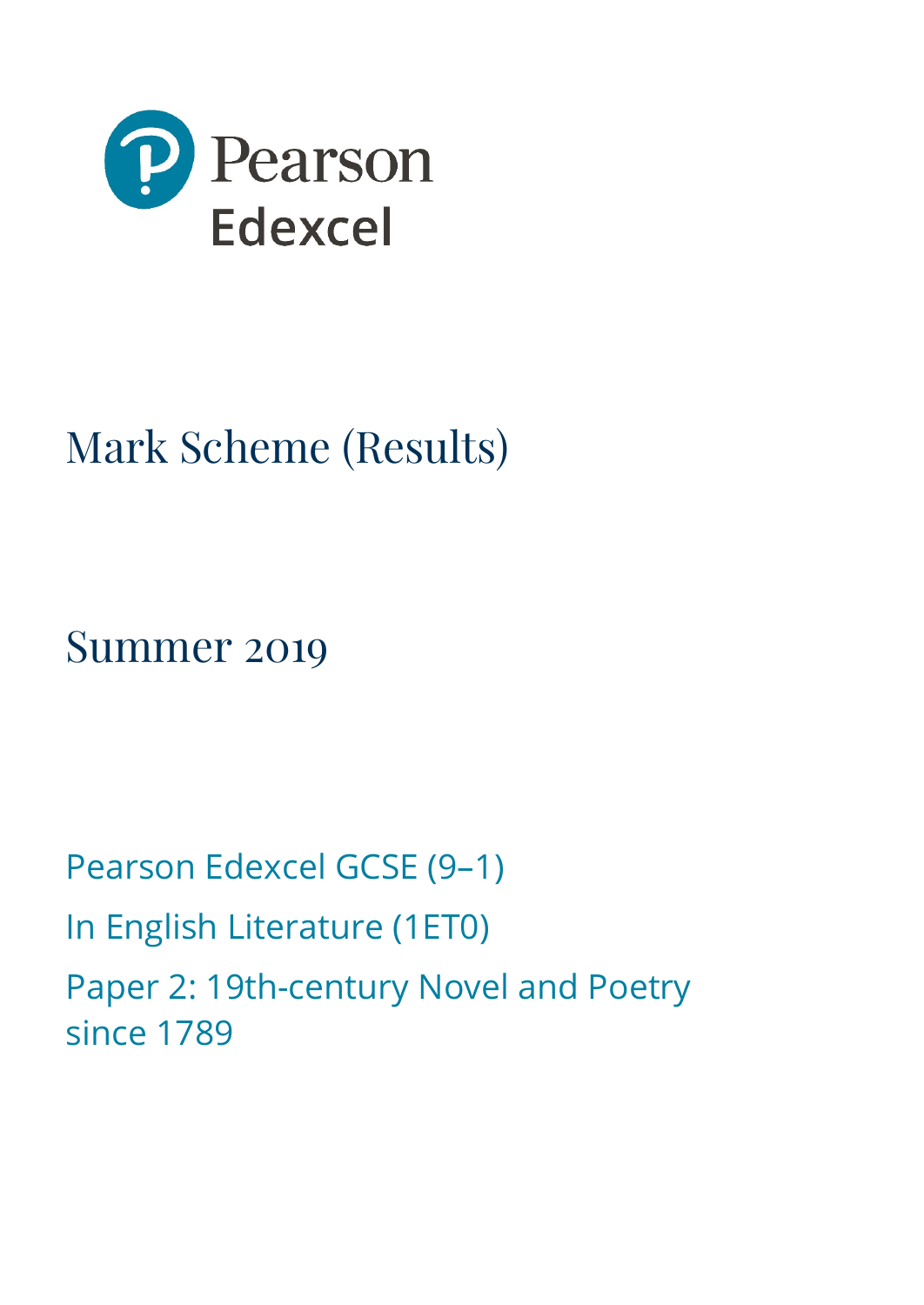

# Mark Scheme (Results)

Summer 2019

Pearson Edexcel GCSE (9–1) In English Literature (1ET0) Paper 2: 19th-century Novel and Poetry since 1789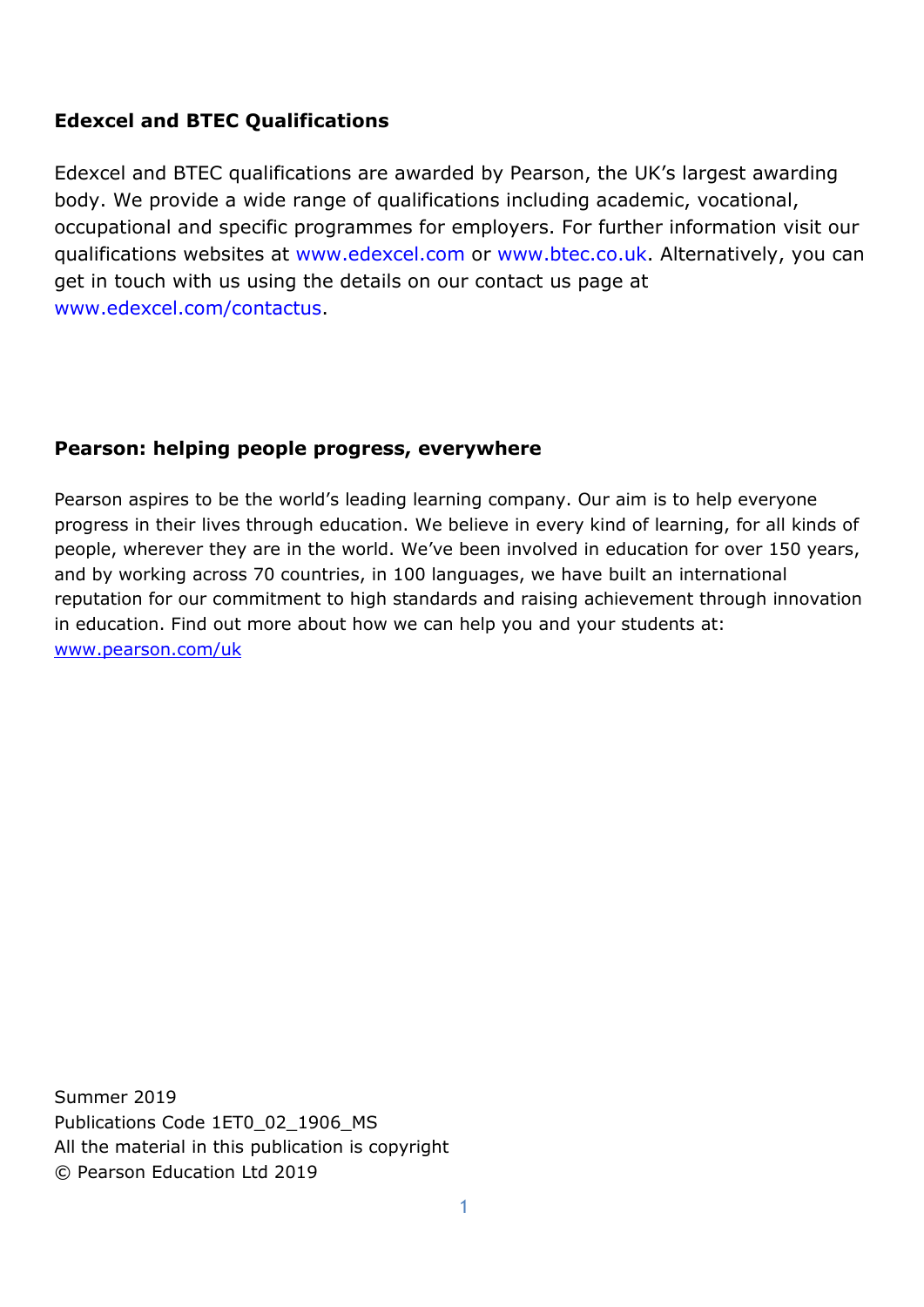# **Edexcel and BTEC Qualifications**

Edexcel and BTEC qualifications are awarded by Pearson, the UK's largest awarding body. We provide a wide range of qualifications including academic, vocational, occupational and specific programmes for employers. For further information visit our qualifications websites at [www.edexcel.com](http://www.edexcel.com/) or [www.btec.co.uk.](http://www.btec.co.uk/) Alternatively, you can get in touch with us using the details on our contact us page at [www.edexcel.com/contactus.](http://www.edexcel.com/contactus)

# **Pearson: helping people progress, everywhere**

Pearson aspires to be the world's leading learning company. Our aim is to help everyone progress in their lives through education. We believe in every kind of learning, for all kinds of people, wherever they are in the world. We've been involved in education for over 150 years, and by working across 70 countries, in 100 languages, we have built an international reputation for our commitment to high standards and raising achievement through innovation in education. Find out more about how we can help you and your students at: [www.pearson.com/uk](http://www.pearson.com/uk)

Summer 2019 Publications Code 1ET0\_02\_1906\_MS All the material in this publication is copyright © Pearson Education Ltd 2019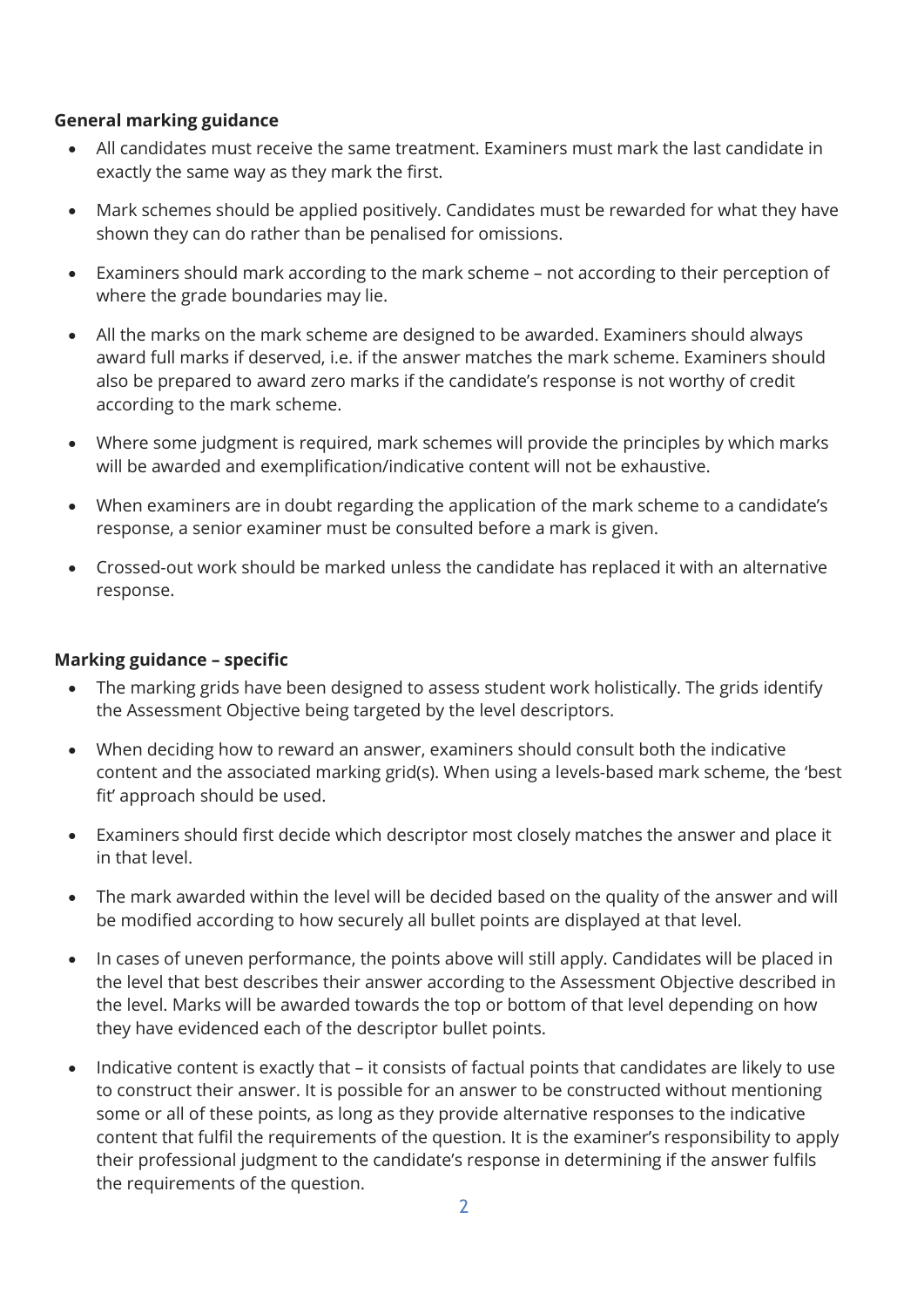#### **General marking guidance**

- All candidates must receive the same treatment. Examiners must mark the last candidate in exactly the same way as they mark the first.
- Mark schemes should be applied positively. Candidates must be rewarded for what they have shown they can do rather than be penalised for omissions.
- Examiners should mark according to the mark scheme not according to their perception of where the grade boundaries may lie.
- All the marks on the mark scheme are designed to be awarded. Examiners should always award full marks if deserved, i.e. if the answer matches the mark scheme. Examiners should also be prepared to award zero marks if the candidate's response is not worthy of credit according to the mark scheme.
- Where some judgment is required, mark schemes will provide the principles by which marks will be awarded and exemplification/indicative content will not be exhaustive.
- When examiners are in doubt regarding the application of the mark scheme to a candidate's response, a senior examiner must be consulted before a mark is given.
- Crossed-out work should be marked unless the candidate has replaced it with an alternative response.

## **Marking guidance – specific**

- The marking grids have been designed to assess student work holistically. The grids identify the Assessment Objective being targeted by the level descriptors.
- When deciding how to reward an answer, examiners should consult both the indicative content and the associated marking grid(s). When using a levels-based mark scheme, the 'best fit' approach should be used.
- Examiners should first decide which descriptor most closely matches the answer and place it in that level.
- The mark awarded within the level will be decided based on the quality of the answer and will be modified according to how securely all bullet points are displayed at that level.
- In cases of uneven performance, the points above will still apply. Candidates will be placed in the level that best describes their answer according to the Assessment Objective described in the level. Marks will be awarded towards the top or bottom of that level depending on how they have evidenced each of the descriptor bullet points.
- Indicative content is exactly that it consists of factual points that candidates are likely to use to construct their answer. It is possible for an answer to be constructed without mentioning some or all of these points, as long as they provide alternative responses to the indicative content that fulfil the requirements of the question. It is the examiner's responsibility to apply their professional judgment to the candidate's response in determining if the answer fulfils the requirements of the question.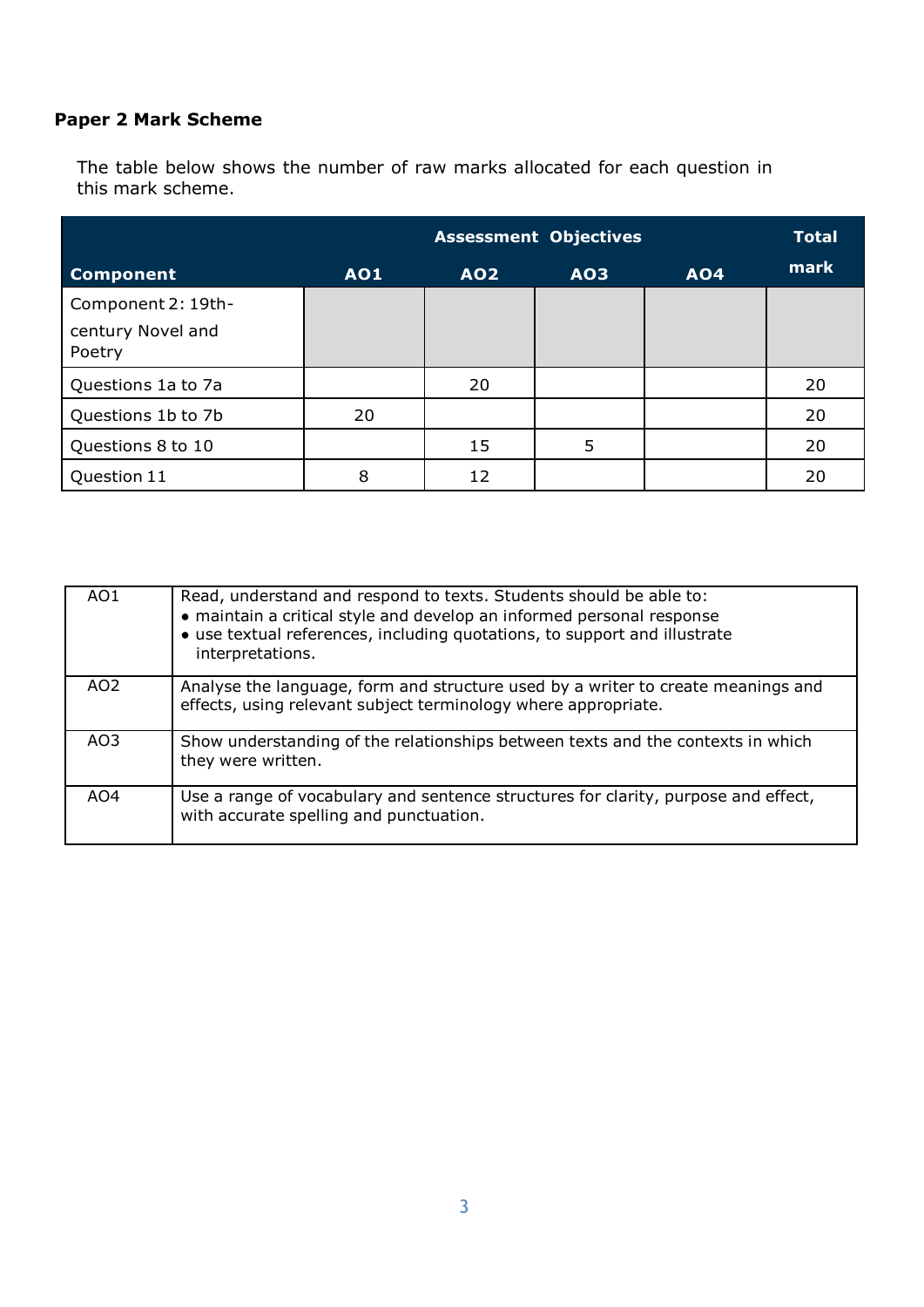# **Paper 2 Mark Scheme**

The table below shows the number of raw marks allocated for each question in this mark scheme.

|                             |            |            | <b>Assessment Objectives</b> |            | <b>Total</b> |
|-----------------------------|------------|------------|------------------------------|------------|--------------|
| <b>Component</b>            | <b>AO1</b> | <b>AO2</b> | <b>AO3</b>                   | <b>AO4</b> | mark         |
| Component 2: 19th-          |            |            |                              |            |              |
| century Novel and<br>Poetry |            |            |                              |            |              |
| Questions 1a to 7a          |            | 20         |                              |            | 20           |
| Questions 1b to 7b          | 20         |            |                              |            | 20           |
| Questions 8 to 10           |            | 15         | 5                            |            | 20           |
| Question 11                 | 8          | 12         |                              |            | 20           |

| AO1             | Read, understand and respond to texts. Students should be able to:<br>• maintain a critical style and develop an informed personal response<br>• use textual references, including quotations, to support and illustrate<br>interpretations. |
|-----------------|----------------------------------------------------------------------------------------------------------------------------------------------------------------------------------------------------------------------------------------------|
| AO <sub>2</sub> | Analyse the language, form and structure used by a writer to create meanings and<br>effects, using relevant subject terminology where appropriate.                                                                                           |
| AO <sub>3</sub> | Show understanding of the relationships between texts and the contexts in which<br>they were written.                                                                                                                                        |
| AO4             | Use a range of vocabulary and sentence structures for clarity, purpose and effect,<br>with accurate spelling and punctuation.                                                                                                                |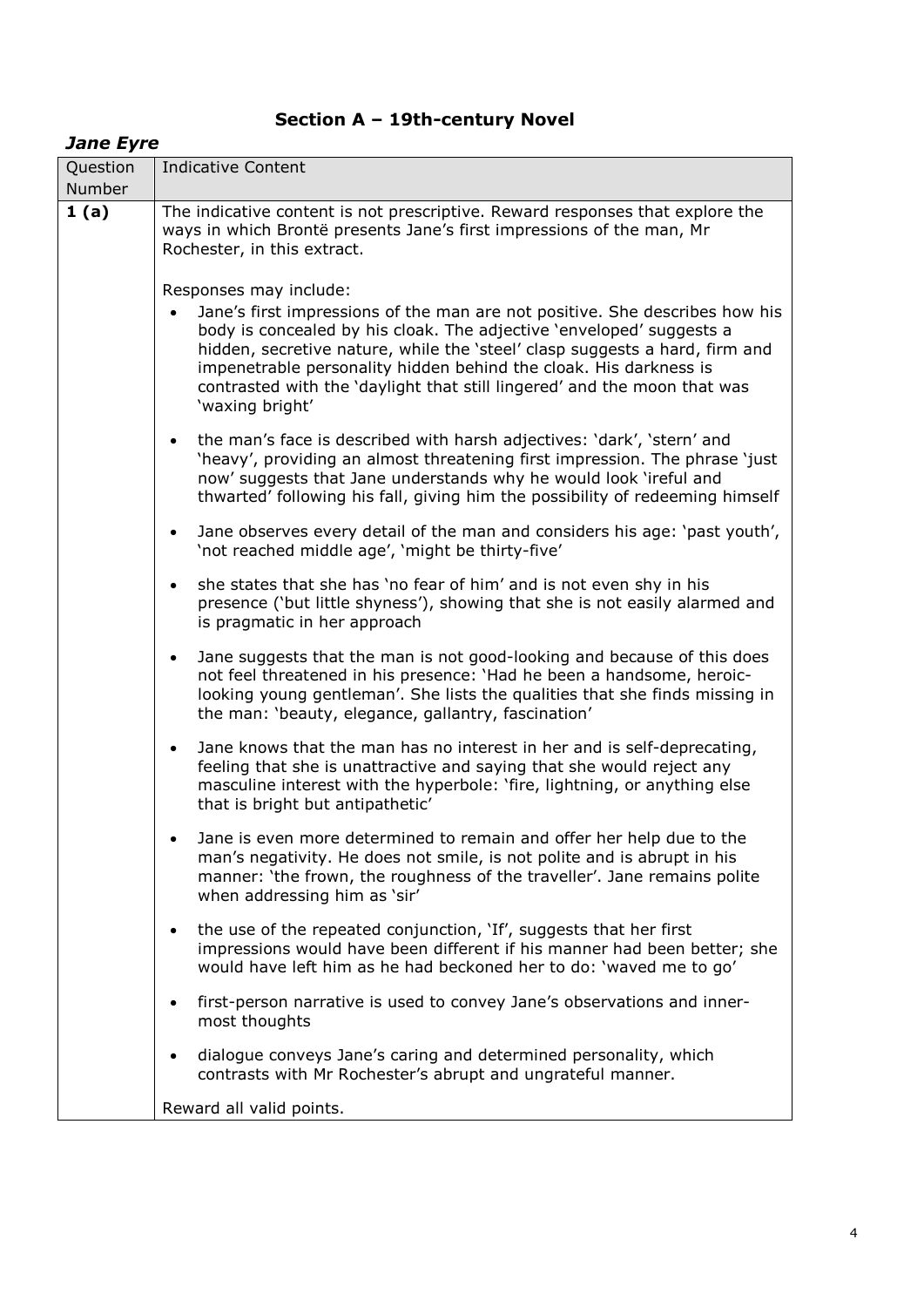# **Section A – 19th-century Novel**

## *Jane Eyre*

| Question<br>Number | Indicative Content                                                                                                                                                                                                                                                                                                                                                                                                               |  |  |  |
|--------------------|----------------------------------------------------------------------------------------------------------------------------------------------------------------------------------------------------------------------------------------------------------------------------------------------------------------------------------------------------------------------------------------------------------------------------------|--|--|--|
| 1(a)               | The indicative content is not prescriptive. Reward responses that explore the<br>ways in which Brontë presents Jane's first impressions of the man, Mr<br>Rochester, in this extract.                                                                                                                                                                                                                                            |  |  |  |
|                    | Responses may include:<br>Jane's first impressions of the man are not positive. She describes how his<br>body is concealed by his cloak. The adjective 'enveloped' suggests a<br>hidden, secretive nature, while the 'steel' clasp suggests a hard, firm and<br>impenetrable personality hidden behind the cloak. His darkness is<br>contrasted with the 'daylight that still lingered' and the moon that was<br>'waxing bright' |  |  |  |
|                    | the man's face is described with harsh adjectives: 'dark', 'stern' and<br>$\bullet$<br>'heavy', providing an almost threatening first impression. The phrase 'just'<br>now' suggests that Jane understands why he would look 'ireful and<br>thwarted' following his fall, giving him the possibility of redeeming himself                                                                                                        |  |  |  |
|                    | Jane observes every detail of the man and considers his age: 'past youth',<br>$\bullet$<br>'not reached middle age', 'might be thirty-five'                                                                                                                                                                                                                                                                                      |  |  |  |
|                    | she states that she has 'no fear of him' and is not even shy in his<br>presence ('but little shyness'), showing that she is not easily alarmed and<br>is pragmatic in her approach                                                                                                                                                                                                                                               |  |  |  |
|                    | Jane suggests that the man is not good-looking and because of this does<br>$\bullet$<br>not feel threatened in his presence: 'Had he been a handsome, heroic-<br>looking young gentleman'. She lists the qualities that she finds missing in<br>the man: 'beauty, elegance, gallantry, fascination'                                                                                                                              |  |  |  |
|                    | Jane knows that the man has no interest in her and is self-deprecating,<br>$\bullet$<br>feeling that she is unattractive and saying that she would reject any<br>masculine interest with the hyperbole: 'fire, lightning, or anything else<br>that is bright but antipathetic'                                                                                                                                                   |  |  |  |
|                    | Jane is even more determined to remain and offer her help due to the<br>man's negativity. He does not smile, is not polite and is abrupt in his<br>manner: 'the frown, the roughness of the traveller'. Jane remains polite<br>when addressing him as 'sir'                                                                                                                                                                      |  |  |  |
|                    | the use of the repeated conjunction, 'If', suggests that her first<br>impressions would have been different if his manner had been better; she<br>would have left him as he had beckoned her to do: 'waved me to go'                                                                                                                                                                                                             |  |  |  |
|                    | first-person narrative is used to convey Jane's observations and inner-<br>most thoughts                                                                                                                                                                                                                                                                                                                                         |  |  |  |
|                    | dialogue conveys Jane's caring and determined personality, which<br>contrasts with Mr Rochester's abrupt and ungrateful manner.                                                                                                                                                                                                                                                                                                  |  |  |  |
|                    | Reward all valid points.                                                                                                                                                                                                                                                                                                                                                                                                         |  |  |  |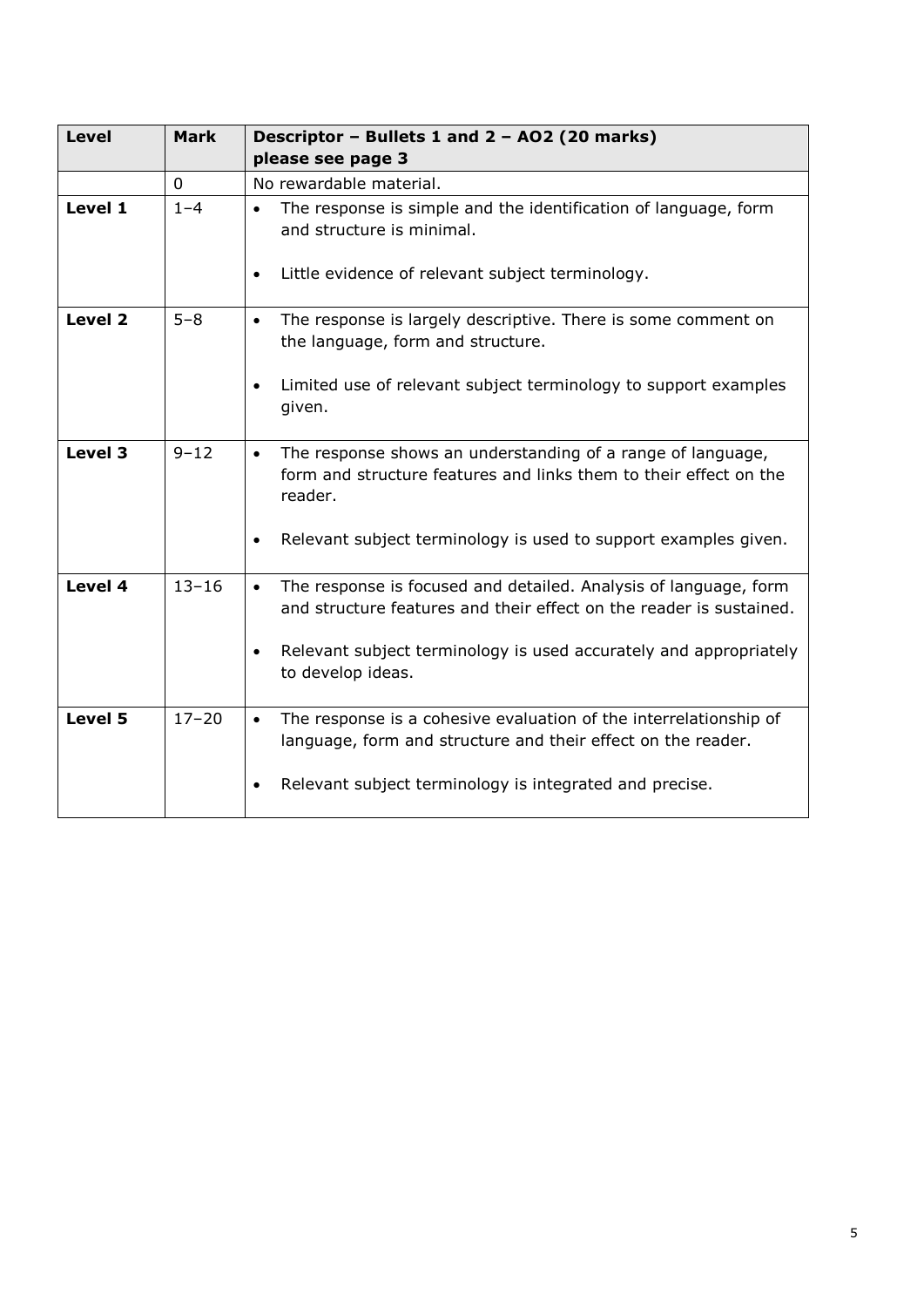| <b>Level</b> | <b>Mark</b> | Descriptor - Bullets 1 and 2 - AO2 (20 marks)<br>please see page 3                                                                                                                                                                                          |  |
|--------------|-------------|-------------------------------------------------------------------------------------------------------------------------------------------------------------------------------------------------------------------------------------------------------------|--|
|              | $\mathbf 0$ | No rewardable material.                                                                                                                                                                                                                                     |  |
| Level 1      | $1 - 4$     | The response is simple and the identification of language, form<br>$\bullet$<br>and structure is minimal.<br>Little evidence of relevant subject terminology.<br>$\bullet$                                                                                  |  |
| Level 2      | $5 - 8$     | The response is largely descriptive. There is some comment on<br>$\bullet$<br>the language, form and structure.<br>Limited use of relevant subject terminology to support examples<br>given.                                                                |  |
| Level 3      | $9 - 12$    | The response shows an understanding of a range of language,<br>$\bullet$<br>form and structure features and links them to their effect on the<br>reader.<br>Relevant subject terminology is used to support examples given.<br>$\bullet$                    |  |
| Level 4      | $13 - 16$   | The response is focused and detailed. Analysis of language, form<br>$\bullet$<br>and structure features and their effect on the reader is sustained.<br>Relevant subject terminology is used accurately and appropriately<br>$\bullet$<br>to develop ideas. |  |
| Level 5      | $17 - 20$   | The response is a cohesive evaluation of the interrelationship of<br>$\bullet$<br>language, form and structure and their effect on the reader.<br>Relevant subject terminology is integrated and precise.                                                   |  |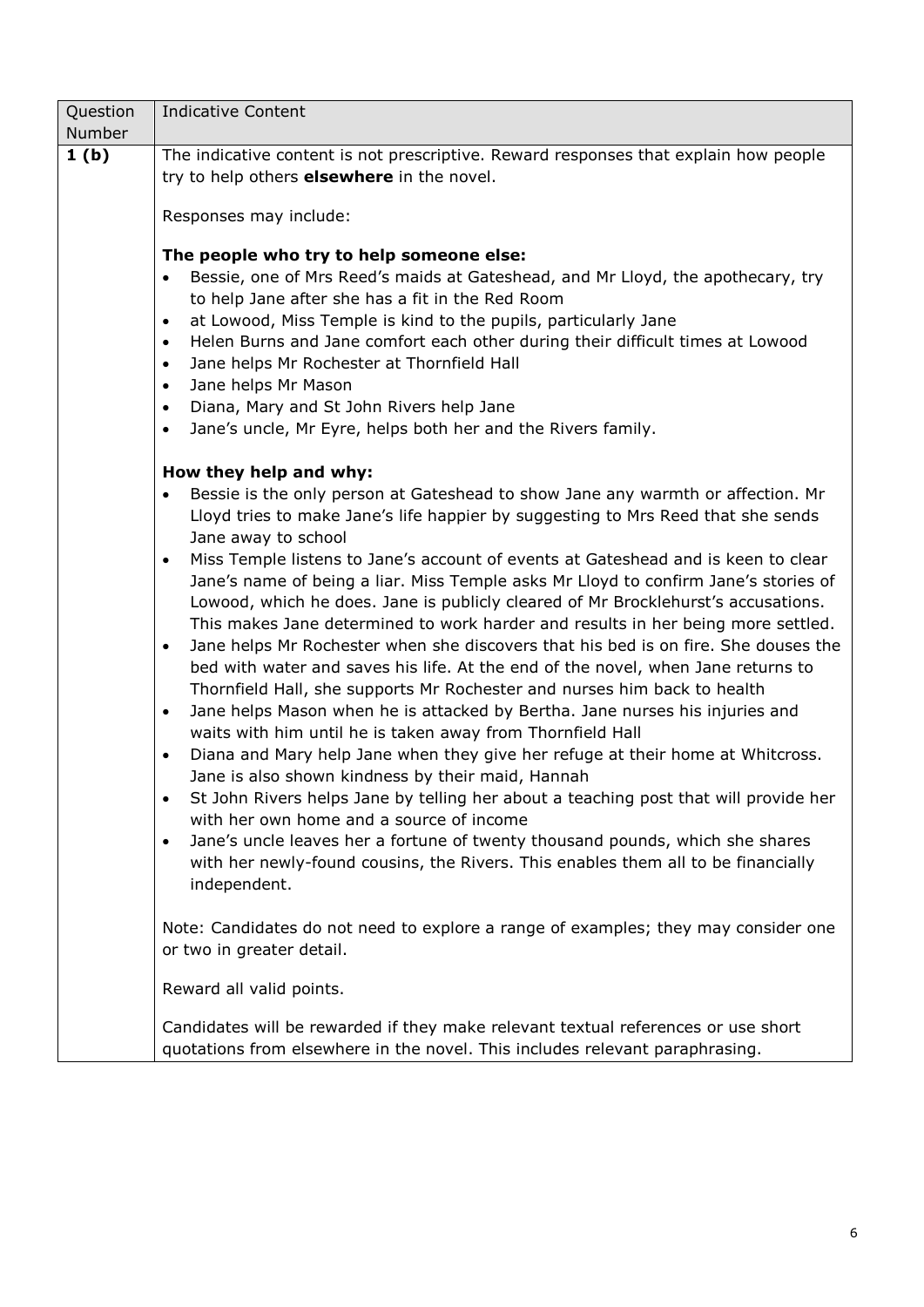| Question<br>Number | <b>Indicative Content</b>                                                                                                                                         |  |  |  |  |
|--------------------|-------------------------------------------------------------------------------------------------------------------------------------------------------------------|--|--|--|--|
| 1 <sub>(b)</sub>   | The indicative content is not prescriptive. Reward responses that explain how people                                                                              |  |  |  |  |
|                    | try to help others elsewhere in the novel.                                                                                                                        |  |  |  |  |
|                    |                                                                                                                                                                   |  |  |  |  |
|                    | Responses may include:                                                                                                                                            |  |  |  |  |
|                    | The people who try to help someone else:                                                                                                                          |  |  |  |  |
|                    | Bessie, one of Mrs Reed's maids at Gateshead, and Mr Lloyd, the apothecary, try                                                                                   |  |  |  |  |
|                    | to help Jane after she has a fit in the Red Room                                                                                                                  |  |  |  |  |
|                    | at Lowood, Miss Temple is kind to the pupils, particularly Jane<br>$\bullet$                                                                                      |  |  |  |  |
|                    | Helen Burns and Jane comfort each other during their difficult times at Lowood<br>$\bullet$                                                                       |  |  |  |  |
|                    | Jane helps Mr Rochester at Thornfield Hall<br>$\bullet$                                                                                                           |  |  |  |  |
|                    | Jane helps Mr Mason<br>$\bullet$                                                                                                                                  |  |  |  |  |
|                    | Diana, Mary and St John Rivers help Jane<br>$\bullet$                                                                                                             |  |  |  |  |
|                    | Jane's uncle, Mr Eyre, helps both her and the Rivers family.<br>$\bullet$                                                                                         |  |  |  |  |
|                    |                                                                                                                                                                   |  |  |  |  |
|                    | How they help and why:                                                                                                                                            |  |  |  |  |
|                    | Bessie is the only person at Gateshead to show Jane any warmth or affection. Mr<br>$\bullet$                                                                      |  |  |  |  |
|                    | Lloyd tries to make Jane's life happier by suggesting to Mrs Reed that she sends                                                                                  |  |  |  |  |
|                    | Jane away to school<br>Miss Temple listens to Jane's account of events at Gateshead and is keen to clear<br>$\bullet$                                             |  |  |  |  |
|                    | Jane's name of being a liar. Miss Temple asks Mr Lloyd to confirm Jane's stories of                                                                               |  |  |  |  |
|                    | Lowood, which he does. Jane is publicly cleared of Mr Brocklehurst's accusations.                                                                                 |  |  |  |  |
|                    | This makes Jane determined to work harder and results in her being more settled.                                                                                  |  |  |  |  |
|                    | Jane helps Mr Rochester when she discovers that his bed is on fire. She douses the<br>$\bullet$                                                                   |  |  |  |  |
|                    | bed with water and saves his life. At the end of the novel, when Jane returns to                                                                                  |  |  |  |  |
|                    | Thornfield Hall, she supports Mr Rochester and nurses him back to health                                                                                          |  |  |  |  |
|                    | Jane helps Mason when he is attacked by Bertha. Jane nurses his injuries and<br>$\bullet$                                                                         |  |  |  |  |
|                    | waits with him until he is taken away from Thornfield Hall                                                                                                        |  |  |  |  |
|                    | Diana and Mary help Jane when they give her refuge at their home at Whitcross.<br>$\bullet$                                                                       |  |  |  |  |
|                    | Jane is also shown kindness by their maid, Hannah                                                                                                                 |  |  |  |  |
|                    | St John Rivers helps Jane by telling her about a teaching post that will provide her                                                                              |  |  |  |  |
|                    | with her own home and a source of income                                                                                                                          |  |  |  |  |
|                    | Jane's uncle leaves her a fortune of twenty thousand pounds, which she shares<br>$\bullet$                                                                        |  |  |  |  |
|                    | with her newly-found cousins, the Rivers. This enables them all to be financially                                                                                 |  |  |  |  |
|                    | independent.                                                                                                                                                      |  |  |  |  |
|                    |                                                                                                                                                                   |  |  |  |  |
|                    | Note: Candidates do not need to explore a range of examples; they may consider one                                                                                |  |  |  |  |
|                    | or two in greater detail.                                                                                                                                         |  |  |  |  |
|                    | Reward all valid points.                                                                                                                                          |  |  |  |  |
|                    | Candidates will be rewarded if they make relevant textual references or use short<br>quotations from elsewhere in the novel. This includes relevant paraphrasing. |  |  |  |  |
|                    |                                                                                                                                                                   |  |  |  |  |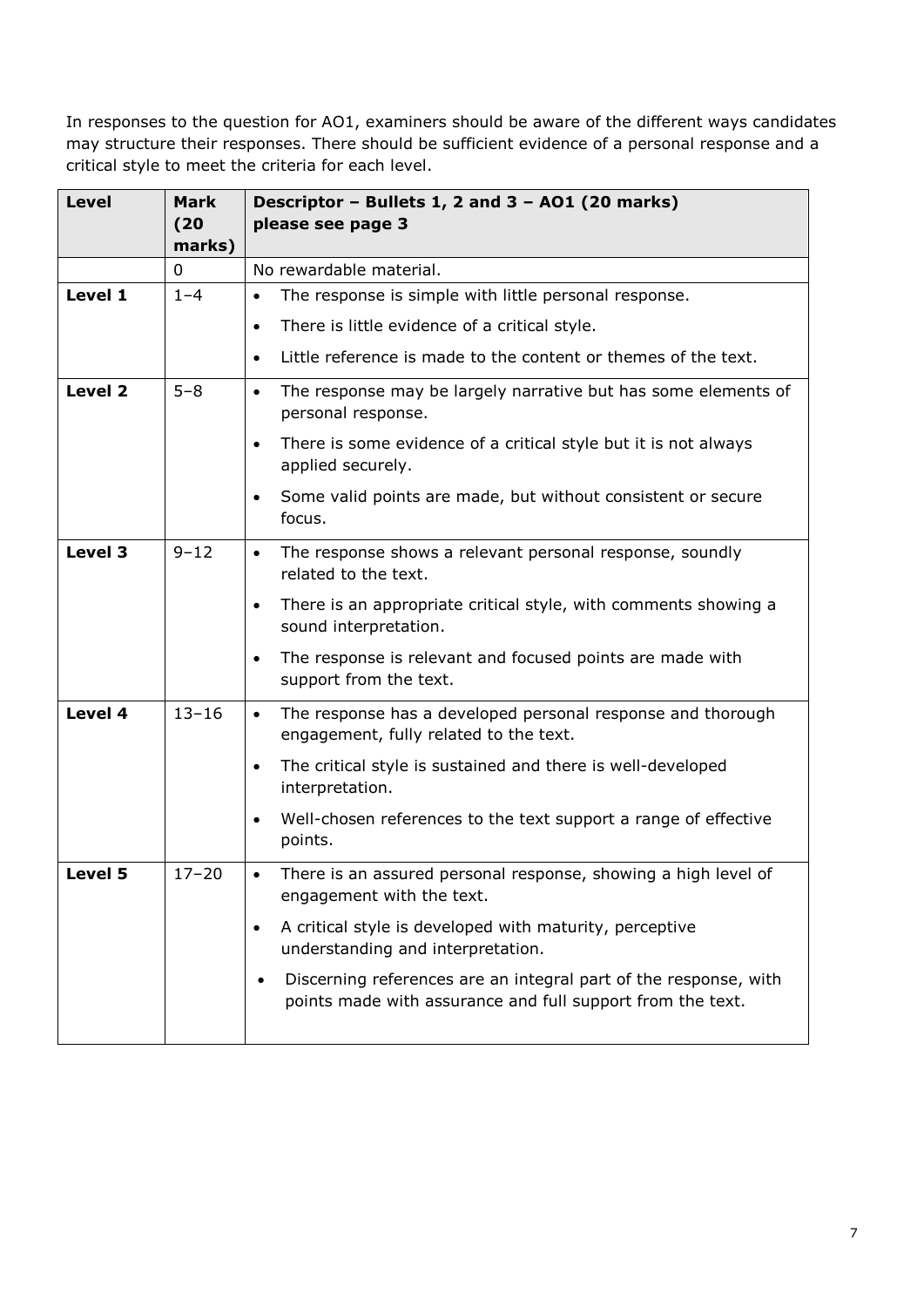| <b>Level</b> | Mark<br>(20)<br>marks) | Descriptor - Bullets 1, 2 and 3 - AO1 (20 marks)<br>please see page 3                                                          |  |
|--------------|------------------------|--------------------------------------------------------------------------------------------------------------------------------|--|
|              | 0                      | No rewardable material.                                                                                                        |  |
| Level 1      | $1 - 4$                | The response is simple with little personal response.<br>$\bullet$                                                             |  |
|              |                        | There is little evidence of a critical style.<br>$\bullet$                                                                     |  |
|              |                        | Little reference is made to the content or themes of the text.<br>$\bullet$                                                    |  |
| Level 2      | $5 - 8$                | The response may be largely narrative but has some elements of<br>$\bullet$<br>personal response.                              |  |
|              |                        | There is some evidence of a critical style but it is not always<br>$\bullet$<br>applied securely.                              |  |
|              |                        | Some valid points are made, but without consistent or secure<br>$\bullet$<br>focus.                                            |  |
| Level 3      | $9 - 12$               | The response shows a relevant personal response, soundly<br>$\bullet$<br>related to the text.                                  |  |
|              |                        | There is an appropriate critical style, with comments showing a<br>$\bullet$<br>sound interpretation.                          |  |
|              |                        | The response is relevant and focused points are made with<br>$\bullet$<br>support from the text.                               |  |
| Level 4      | $13 - 16$              | The response has a developed personal response and thorough<br>$\bullet$<br>engagement, fully related to the text.             |  |
|              |                        | The critical style is sustained and there is well-developed<br>$\bullet$<br>interpretation.                                    |  |
|              |                        | Well-chosen references to the text support a range of effective<br>$\bullet$<br>points.                                        |  |
| Level 5      | $17 - 20$              | There is an assured personal response, showing a high level of<br>$\bullet$<br>engagement with the text.                       |  |
|              |                        | A critical style is developed with maturity, perceptive<br>understanding and interpretation.                                   |  |
|              |                        | Discerning references are an integral part of the response, with<br>points made with assurance and full support from the text. |  |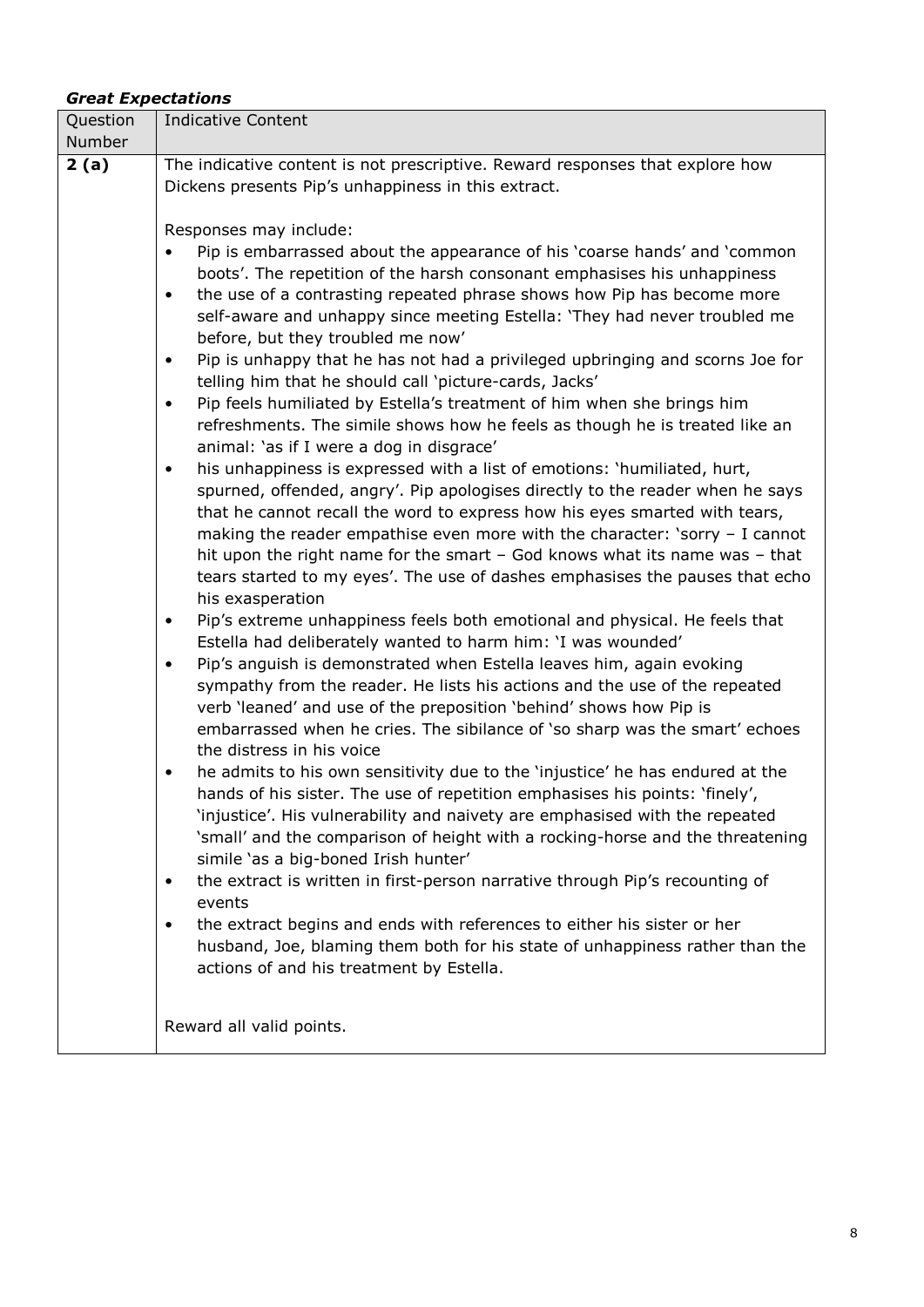#### *Great Expectations*

| Question<br>Number | <b>Indicative Content</b>                                                                                            |
|--------------------|----------------------------------------------------------------------------------------------------------------------|
| 2(a)               | The indicative content is not prescriptive. Reward responses that explore how                                        |
|                    | Dickens presents Pip's unhappiness in this extract.                                                                  |
|                    |                                                                                                                      |
|                    | Responses may include:                                                                                               |
|                    | Pip is embarrassed about the appearance of his 'coarse hands' and 'common                                            |
|                    | boots'. The repetition of the harsh consonant emphasises his unhappiness                                             |
|                    | the use of a contrasting repeated phrase shows how Pip has become more<br>$\bullet$                                  |
|                    | self-aware and unhappy since meeting Estella: 'They had never troubled me                                            |
|                    | before, but they troubled me now'                                                                                    |
|                    | Pip is unhappy that he has not had a privileged upbringing and scorns Joe for<br>$\bullet$                           |
|                    | telling him that he should call 'picture-cards, Jacks'                                                               |
|                    | Pip feels humiliated by Estella's treatment of him when she brings him                                               |
|                    | refreshments. The simile shows how he feels as though he is treated like an                                          |
|                    | animal: 'as if I were a dog in disgrace'<br>his unhappiness is expressed with a list of emotions: 'humiliated, hurt, |
|                    | spurned, offended, angry'. Pip apologises directly to the reader when he says                                        |
|                    | that he cannot recall the word to express how his eyes smarted with tears,                                           |
|                    | making the reader empathise even more with the character: 'sorry $-1$ cannot                                         |
|                    | hit upon the right name for the smart - God knows what its name was - that                                           |
|                    | tears started to my eyes'. The use of dashes emphasises the pauses that echo                                         |
|                    | his exasperation                                                                                                     |
|                    | Pip's extreme unhappiness feels both emotional and physical. He feels that<br>$\bullet$                              |
|                    | Estella had deliberately wanted to harm him: 'I was wounded'                                                         |
|                    | Pip's anguish is demonstrated when Estella leaves him, again evoking<br>٠                                            |
|                    | sympathy from the reader. He lists his actions and the use of the repeated                                           |
|                    | verb 'leaned' and use of the preposition 'behind' shows how Pip is                                                   |
|                    | embarrassed when he cries. The sibilance of 'so sharp was the smart' echoes<br>the distress in his voice             |
|                    | he admits to his own sensitivity due to the 'injustice' he has endured at the<br>$\bullet$                           |
|                    | hands of his sister. The use of repetition emphasises his points: 'finely',                                          |
|                    | 'injustice'. His vulnerability and naivety are emphasised with the repeated                                          |
|                    | 'small' and the comparison of height with a rocking-horse and the threatening                                        |
|                    | simile 'as a big-boned Irish hunter'                                                                                 |
|                    | the extract is written in first-person narrative through Pip's recounting of<br>٠                                    |
|                    | events                                                                                                               |
|                    | the extract begins and ends with references to either his sister or her<br>٠                                         |
|                    | husband, Joe, blaming them both for his state of unhappiness rather than the                                         |
|                    | actions of and his treatment by Estella.                                                                             |
|                    |                                                                                                                      |
|                    | Reward all valid points.                                                                                             |
|                    |                                                                                                                      |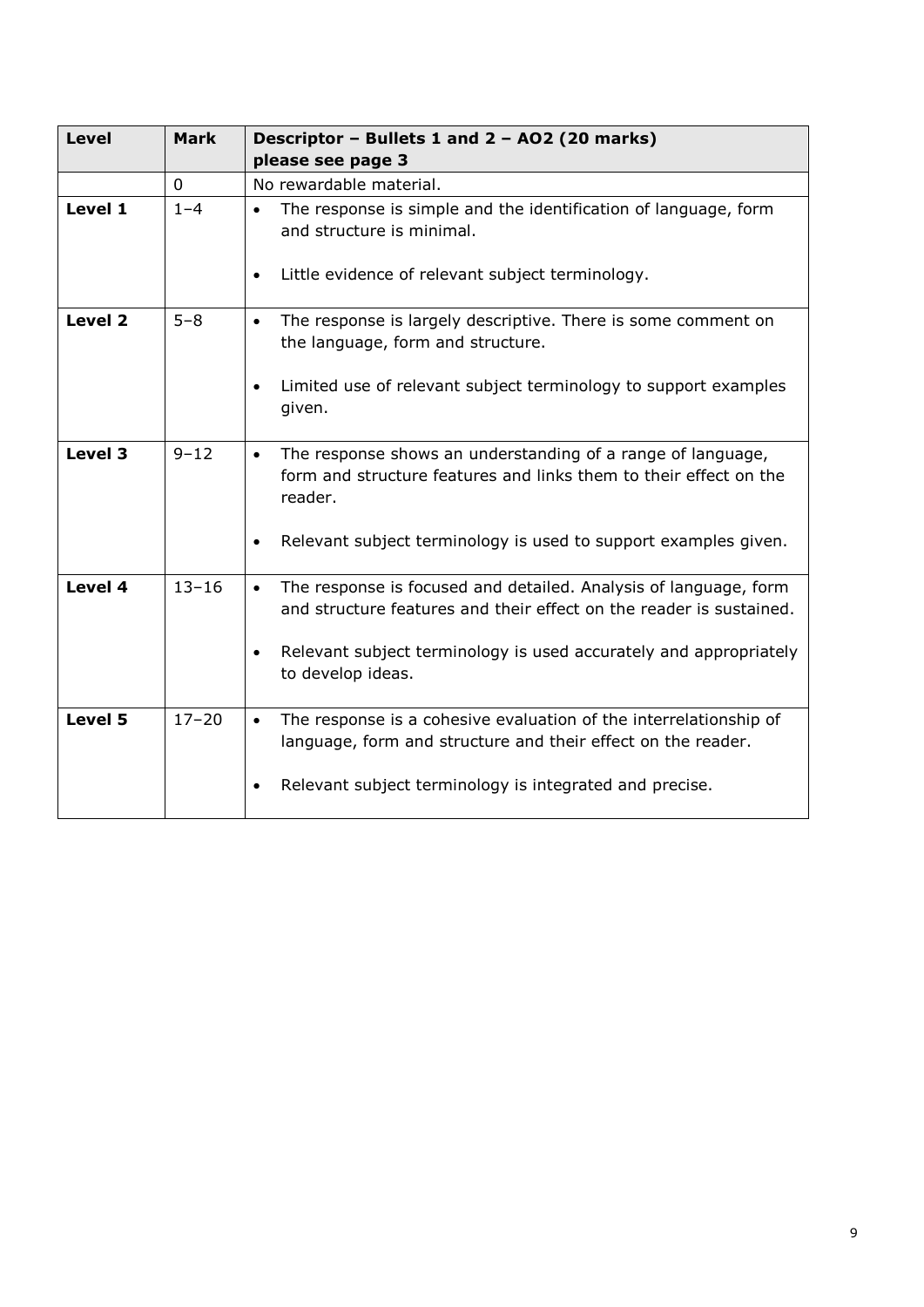| <b>Level</b> | <b>Mark</b> | Descriptor - Bullets 1 and 2 - AO2 (20 marks)                                                                                                            |  |
|--------------|-------------|----------------------------------------------------------------------------------------------------------------------------------------------------------|--|
|              |             | please see page 3                                                                                                                                        |  |
|              | 0           | No rewardable material.                                                                                                                                  |  |
| Level 1      | $1 - 4$     | The response is simple and the identification of language, form<br>$\bullet$<br>and structure is minimal.                                                |  |
|              |             | Little evidence of relevant subject terminology.<br>$\bullet$                                                                                            |  |
| Level 2      | $5 - 8$     | The response is largely descriptive. There is some comment on<br>$\bullet$<br>the language, form and structure.                                          |  |
|              |             | Limited use of relevant subject terminology to support examples<br>given.                                                                                |  |
| Level 3      | $9 - 12$    | The response shows an understanding of a range of language,<br>$\bullet$<br>form and structure features and links them to their effect on the<br>reader. |  |
|              |             | Relevant subject terminology is used to support examples given.<br>$\bullet$                                                                             |  |
| Level 4      | $13 - 16$   | The response is focused and detailed. Analysis of language, form<br>$\bullet$<br>and structure features and their effect on the reader is sustained.     |  |
|              |             | Relevant subject terminology is used accurately and appropriately<br>to develop ideas.                                                                   |  |
| Level 5      | $17 - 20$   | The response is a cohesive evaluation of the interrelationship of<br>$\bullet$<br>language, form and structure and their effect on the reader.           |  |
|              |             | Relevant subject terminology is integrated and precise.                                                                                                  |  |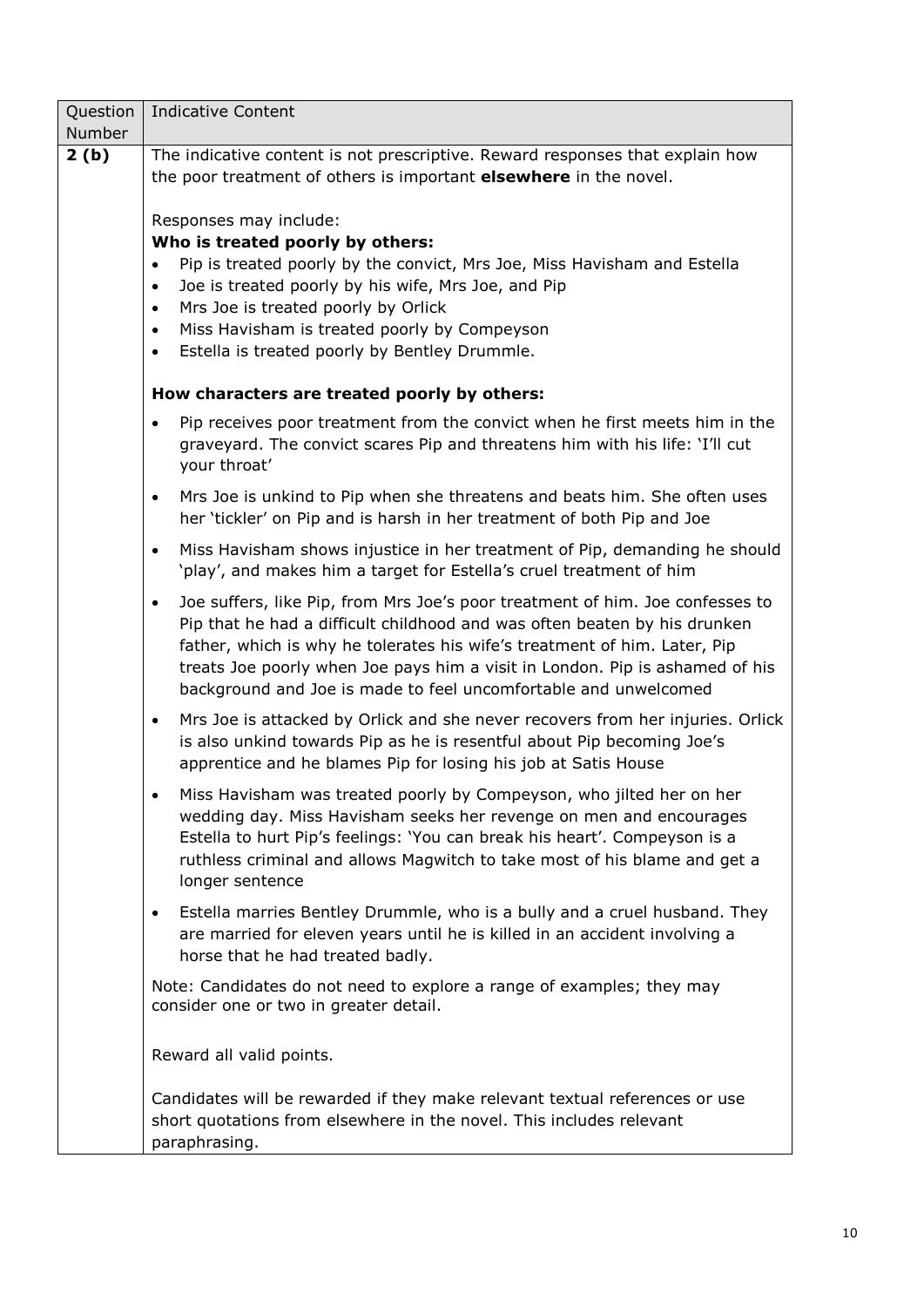| Question       | <b>Indicative Content</b>                                                                                                                                                                                                                                                                                                                                                                               |  |  |  |  |
|----------------|---------------------------------------------------------------------------------------------------------------------------------------------------------------------------------------------------------------------------------------------------------------------------------------------------------------------------------------------------------------------------------------------------------|--|--|--|--|
| Number<br>2(b) | The indicative content is not prescriptive. Reward responses that explain how                                                                                                                                                                                                                                                                                                                           |  |  |  |  |
|                | the poor treatment of others is important <b>elsewhere</b> in the novel.                                                                                                                                                                                                                                                                                                                                |  |  |  |  |
|                | Responses may include:<br>Who is treated poorly by others:<br>Pip is treated poorly by the convict, Mrs Joe, Miss Havisham and Estella<br>$\bullet$<br>Joe is treated poorly by his wife, Mrs Joe, and Pip<br>$\bullet$<br>Mrs Joe is treated poorly by Orlick<br>$\bullet$<br>Miss Havisham is treated poorly by Compeyson<br>$\bullet$                                                                |  |  |  |  |
|                | Estella is treated poorly by Bentley Drummle.<br>$\bullet$                                                                                                                                                                                                                                                                                                                                              |  |  |  |  |
|                | How characters are treated poorly by others:                                                                                                                                                                                                                                                                                                                                                            |  |  |  |  |
|                | Pip receives poor treatment from the convict when he first meets him in the<br>$\bullet$<br>graveyard. The convict scares Pip and threatens him with his life: 'I'll cut<br>your throat'                                                                                                                                                                                                                |  |  |  |  |
|                | Mrs Joe is unkind to Pip when she threatens and beats him. She often uses<br>$\bullet$<br>her 'tickler' on Pip and is harsh in her treatment of both Pip and Joe                                                                                                                                                                                                                                        |  |  |  |  |
|                | Miss Havisham shows injustice in her treatment of Pip, demanding he should<br>$\bullet$<br>'play', and makes him a target for Estella's cruel treatment of him                                                                                                                                                                                                                                          |  |  |  |  |
|                | Joe suffers, like Pip, from Mrs Joe's poor treatment of him. Joe confesses to<br>$\bullet$<br>Pip that he had a difficult childhood and was often beaten by his drunken<br>father, which is why he tolerates his wife's treatment of him. Later, Pip<br>treats Joe poorly when Joe pays him a visit in London. Pip is ashamed of his<br>background and Joe is made to feel uncomfortable and unwelcomed |  |  |  |  |
|                | Mrs Joe is attacked by Orlick and she never recovers from her injuries. Orlick<br>$\bullet$<br>is also unkind towards Pip as he is resentful about Pip becoming Joe's<br>apprentice and he blames Pip for losing his job at Satis House                                                                                                                                                                 |  |  |  |  |
|                | Miss Havisham was treated poorly by Compeyson, who jilted her on her<br>wedding day. Miss Havisham seeks her revenge on men and encourages<br>Estella to hurt Pip's feelings: 'You can break his heart'. Compeyson is a<br>ruthless criminal and allows Magwitch to take most of his blame and get a<br>longer sentence                                                                                 |  |  |  |  |
|                | Estella marries Bentley Drummle, who is a bully and a cruel husband. They<br>$\bullet$<br>are married for eleven years until he is killed in an accident involving a<br>horse that he had treated badly.                                                                                                                                                                                                |  |  |  |  |
|                | Note: Candidates do not need to explore a range of examples; they may<br>consider one or two in greater detail.                                                                                                                                                                                                                                                                                         |  |  |  |  |
|                | Reward all valid points.                                                                                                                                                                                                                                                                                                                                                                                |  |  |  |  |
|                | Candidates will be rewarded if they make relevant textual references or use<br>short quotations from elsewhere in the novel. This includes relevant<br>paraphrasing.                                                                                                                                                                                                                                    |  |  |  |  |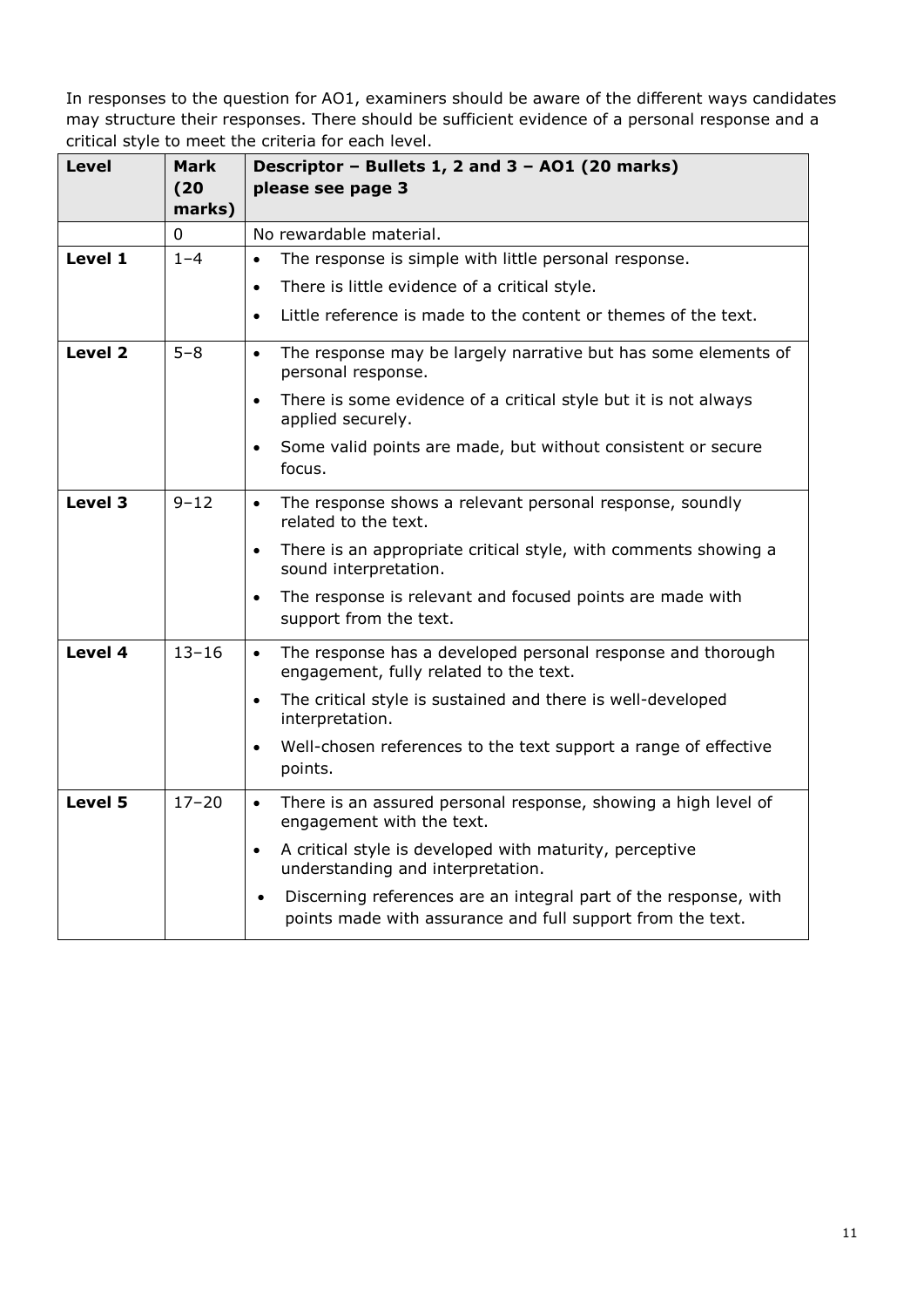| <b>Level</b> | <b>Mark</b><br>(20) | Descriptor - Bullets 1, 2 and 3 - AO1 (20 marks)<br>please see page 3                                                                       |  |
|--------------|---------------------|---------------------------------------------------------------------------------------------------------------------------------------------|--|
|              | marks)              |                                                                                                                                             |  |
|              | 0                   | No rewardable material.                                                                                                                     |  |
| Level 1      | $1 - 4$             | The response is simple with little personal response.<br>$\bullet$                                                                          |  |
|              |                     | There is little evidence of a critical style.<br>$\bullet$                                                                                  |  |
|              |                     | Little reference is made to the content or themes of the text.<br>$\bullet$                                                                 |  |
| Level 2      | $5 - 8$             | The response may be largely narrative but has some elements of<br>$\bullet$<br>personal response.                                           |  |
|              |                     | There is some evidence of a critical style but it is not always<br>$\bullet$<br>applied securely.                                           |  |
|              |                     | Some valid points are made, but without consistent or secure<br>$\bullet$<br>focus.                                                         |  |
| Level 3      | $9 - 12$            | The response shows a relevant personal response, soundly<br>$\bullet$<br>related to the text.                                               |  |
|              |                     | There is an appropriate critical style, with comments showing a<br>$\bullet$<br>sound interpretation.                                       |  |
|              |                     | The response is relevant and focused points are made with<br>$\bullet$<br>support from the text.                                            |  |
| Level 4      | $13 - 16$           | The response has a developed personal response and thorough<br>$\bullet$<br>engagement, fully related to the text.                          |  |
|              |                     | The critical style is sustained and there is well-developed<br>$\bullet$<br>interpretation.                                                 |  |
|              |                     | Well-chosen references to the text support a range of effective<br>$\bullet$<br>points.                                                     |  |
| Level 5      | $17 - 20$           | There is an assured personal response, showing a high level of<br>$\bullet$<br>engagement with the text.                                    |  |
|              |                     | A critical style is developed with maturity, perceptive<br>$\bullet$<br>understanding and interpretation.                                   |  |
|              |                     | Discerning references are an integral part of the response, with<br>$\bullet$<br>points made with assurance and full support from the text. |  |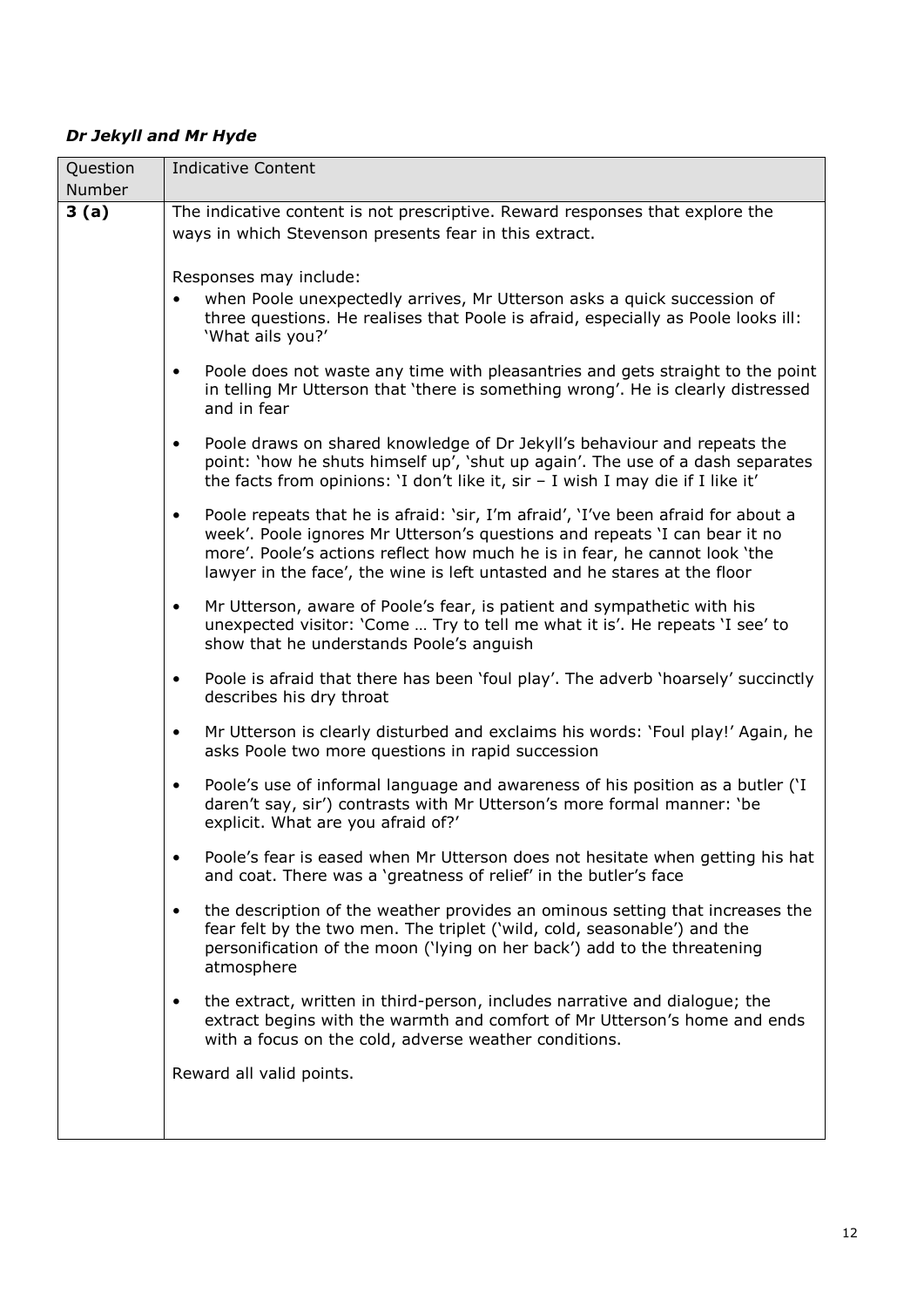# *Dr Jekyll and Mr Hyde*

| Question<br>Number | <b>Indicative Content</b>                                                                                                                                            |  |  |  |  |
|--------------------|----------------------------------------------------------------------------------------------------------------------------------------------------------------------|--|--|--|--|
| 3(a)               | The indicative content is not prescriptive. Reward responses that explore the                                                                                        |  |  |  |  |
|                    | ways in which Stevenson presents fear in this extract.                                                                                                               |  |  |  |  |
|                    |                                                                                                                                                                      |  |  |  |  |
|                    |                                                                                                                                                                      |  |  |  |  |
|                    | Responses may include:                                                                                                                                               |  |  |  |  |
|                    | when Poole unexpectedly arrives, Mr Utterson asks a quick succession of<br>$\bullet$                                                                                 |  |  |  |  |
|                    | three questions. He realises that Poole is afraid, especially as Poole looks ill:                                                                                    |  |  |  |  |
|                    | 'What ails you?'                                                                                                                                                     |  |  |  |  |
|                    | Poole does not waste any time with pleasantries and gets straight to the point<br>$\bullet$                                                                          |  |  |  |  |
|                    | in telling Mr Utterson that 'there is something wrong'. He is clearly distressed                                                                                     |  |  |  |  |
|                    | and in fear                                                                                                                                                          |  |  |  |  |
|                    |                                                                                                                                                                      |  |  |  |  |
|                    | Poole draws on shared knowledge of Dr Jekyll's behaviour and repeats the<br>$\bullet$                                                                                |  |  |  |  |
|                    | point: 'how he shuts himself up', 'shut up again'. The use of a dash separates<br>the facts from opinions: 'I don't like it, $\sin - I$ wish I may die if I like it' |  |  |  |  |
|                    |                                                                                                                                                                      |  |  |  |  |
|                    | Poole repeats that he is afraid: 'sir, I'm afraid', 'I've been afraid for about a<br>$\bullet$                                                                       |  |  |  |  |
|                    | week'. Poole ignores Mr Utterson's questions and repeats 'I can bear it no                                                                                           |  |  |  |  |
|                    | more'. Poole's actions reflect how much he is in fear, he cannot look 'the                                                                                           |  |  |  |  |
|                    | lawyer in the face', the wine is left untasted and he stares at the floor                                                                                            |  |  |  |  |
|                    | Mr Utterson, aware of Poole's fear, is patient and sympathetic with his<br>$\bullet$                                                                                 |  |  |  |  |
|                    | unexpected visitor: 'Come  Try to tell me what it is'. He repeats 'I see' to                                                                                         |  |  |  |  |
|                    | show that he understands Poole's anguish                                                                                                                             |  |  |  |  |
|                    |                                                                                                                                                                      |  |  |  |  |
|                    | Poole is afraid that there has been 'foul play'. The adverb 'hoarsely' succinctly<br>$\bullet$                                                                       |  |  |  |  |
|                    | describes his dry throat                                                                                                                                             |  |  |  |  |
|                    | Mr Utterson is clearly disturbed and exclaims his words: 'Foul play!' Again, he<br>$\bullet$                                                                         |  |  |  |  |
|                    | asks Poole two more questions in rapid succession                                                                                                                    |  |  |  |  |
|                    |                                                                                                                                                                      |  |  |  |  |
|                    | Poole's use of informal language and awareness of his position as a butler ('I<br>$\bullet$                                                                          |  |  |  |  |
|                    | daren't say, sir') contrasts with Mr Utterson's more formal manner: 'be                                                                                              |  |  |  |  |
|                    | explicit. What are you afraid of?'                                                                                                                                   |  |  |  |  |
|                    | Poole's fear is eased when Mr Utterson does not hesitate when getting his hat<br>$\bullet$                                                                           |  |  |  |  |
|                    | and coat. There was a 'greatness of relief' in the butler's face                                                                                                     |  |  |  |  |
|                    |                                                                                                                                                                      |  |  |  |  |
|                    | the description of the weather provides an ominous setting that increases the<br>$\bullet$                                                                           |  |  |  |  |
|                    | fear felt by the two men. The triplet ('wild, cold, seasonable') and the                                                                                             |  |  |  |  |
|                    | personification of the moon ('lying on her back') add to the threatening                                                                                             |  |  |  |  |
|                    | atmosphere                                                                                                                                                           |  |  |  |  |
|                    | the extract, written in third-person, includes narrative and dialogue; the<br>$\bullet$                                                                              |  |  |  |  |
|                    | extract begins with the warmth and comfort of Mr Utterson's home and ends                                                                                            |  |  |  |  |
|                    | with a focus on the cold, adverse weather conditions.                                                                                                                |  |  |  |  |
|                    |                                                                                                                                                                      |  |  |  |  |
|                    | Reward all valid points.                                                                                                                                             |  |  |  |  |
|                    |                                                                                                                                                                      |  |  |  |  |
|                    |                                                                                                                                                                      |  |  |  |  |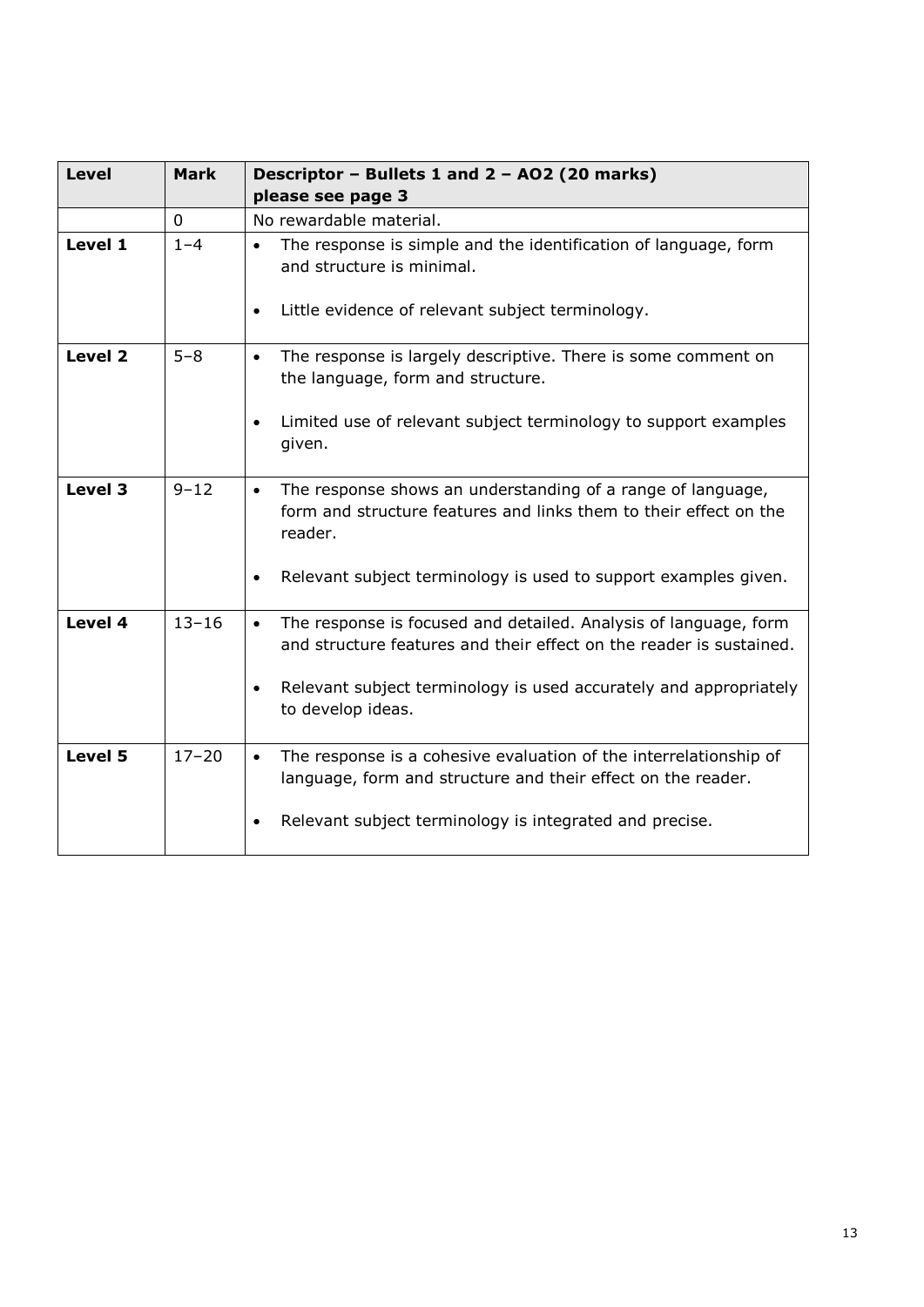| <b>Level</b> | <b>Mark</b> | Descriptor - Bullets 1 and 2 - AO2 (20 marks)<br>please see page 3                                                                                                                                                                                          |  |
|--------------|-------------|-------------------------------------------------------------------------------------------------------------------------------------------------------------------------------------------------------------------------------------------------------------|--|
|              | 0           | No rewardable material.                                                                                                                                                                                                                                     |  |
| Level 1      | $1 - 4$     | The response is simple and the identification of language, form<br>$\bullet$<br>and structure is minimal.<br>Little evidence of relevant subject terminology.<br>$\bullet$                                                                                  |  |
| Level 2      | $5 - 8$     | The response is largely descriptive. There is some comment on<br>$\bullet$<br>the language, form and structure.<br>Limited use of relevant subject terminology to support examples<br>$\bullet$<br>given.                                                   |  |
| Level 3      | $9 - 12$    | The response shows an understanding of a range of language,<br>$\bullet$<br>form and structure features and links them to their effect on the<br>reader.<br>Relevant subject terminology is used to support examples given.<br>$\bullet$                    |  |
| Level 4      | $13 - 16$   | The response is focused and detailed. Analysis of language, form<br>$\bullet$<br>and structure features and their effect on the reader is sustained.<br>Relevant subject terminology is used accurately and appropriately<br>$\bullet$<br>to develop ideas. |  |
| Level 5      | $17 - 20$   | The response is a cohesive evaluation of the interrelationship of<br>$\bullet$<br>language, form and structure and their effect on the reader.<br>Relevant subject terminology is integrated and precise.<br>$\bullet$                                      |  |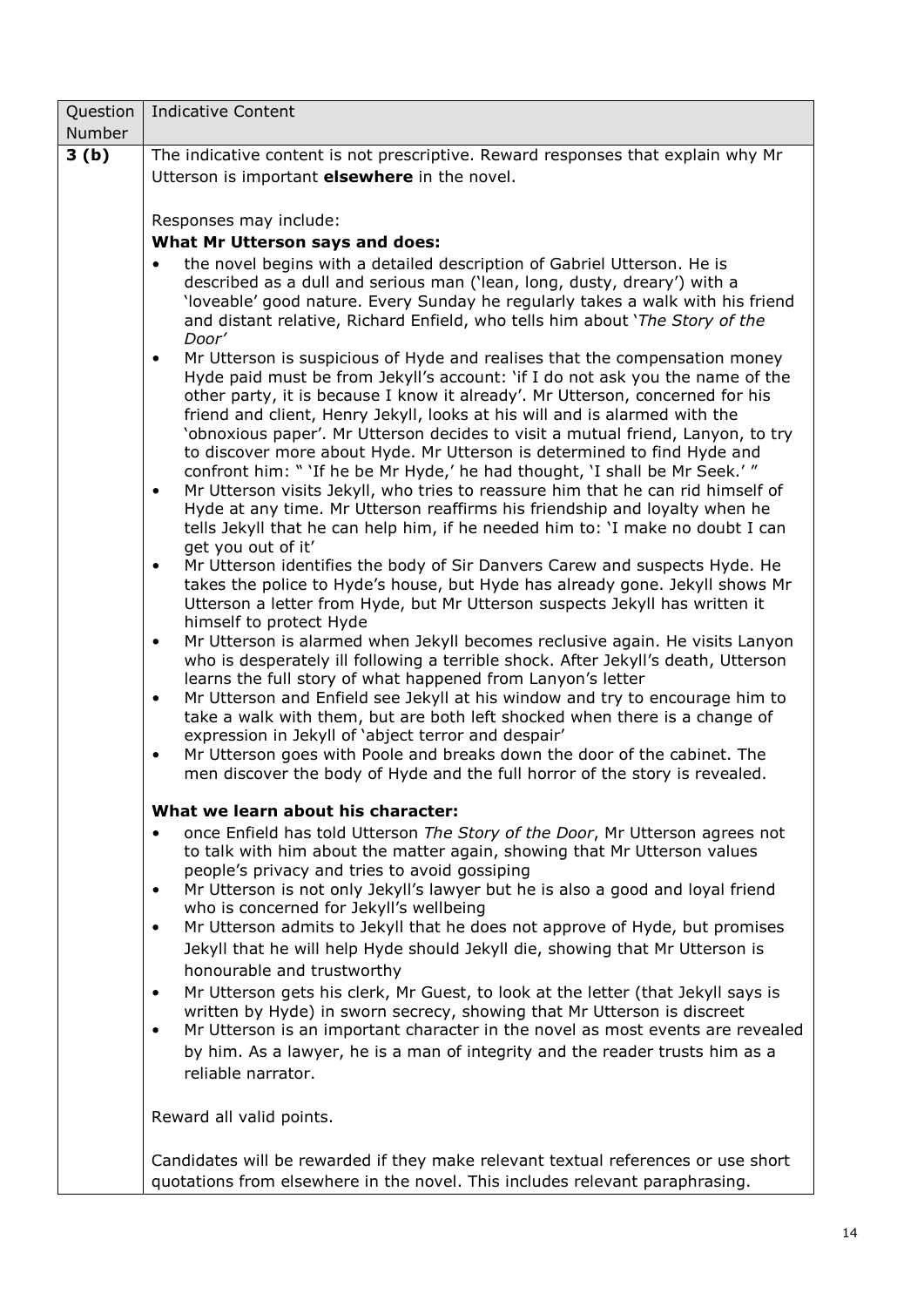| Question | <b>Indicative Content</b>                                                                                                                                                                                                                                                                                                                                                                                                                                                                                                                                                                                                                                                                                                                                                                                                                                                                                                                                                                                                                                                                                                                                                                                                                                                                                                                                                                                                                                                                                                                                                                            |  |  |  |  |
|----------|------------------------------------------------------------------------------------------------------------------------------------------------------------------------------------------------------------------------------------------------------------------------------------------------------------------------------------------------------------------------------------------------------------------------------------------------------------------------------------------------------------------------------------------------------------------------------------------------------------------------------------------------------------------------------------------------------------------------------------------------------------------------------------------------------------------------------------------------------------------------------------------------------------------------------------------------------------------------------------------------------------------------------------------------------------------------------------------------------------------------------------------------------------------------------------------------------------------------------------------------------------------------------------------------------------------------------------------------------------------------------------------------------------------------------------------------------------------------------------------------------------------------------------------------------------------------------------------------------|--|--|--|--|
| Number   |                                                                                                                                                                                                                                                                                                                                                                                                                                                                                                                                                                                                                                                                                                                                                                                                                                                                                                                                                                                                                                                                                                                                                                                                                                                                                                                                                                                                                                                                                                                                                                                                      |  |  |  |  |
| 3(b)     | The indicative content is not prescriptive. Reward responses that explain why Mr                                                                                                                                                                                                                                                                                                                                                                                                                                                                                                                                                                                                                                                                                                                                                                                                                                                                                                                                                                                                                                                                                                                                                                                                                                                                                                                                                                                                                                                                                                                     |  |  |  |  |
|          | Utterson is important elsewhere in the novel.                                                                                                                                                                                                                                                                                                                                                                                                                                                                                                                                                                                                                                                                                                                                                                                                                                                                                                                                                                                                                                                                                                                                                                                                                                                                                                                                                                                                                                                                                                                                                        |  |  |  |  |
|          |                                                                                                                                                                                                                                                                                                                                                                                                                                                                                                                                                                                                                                                                                                                                                                                                                                                                                                                                                                                                                                                                                                                                                                                                                                                                                                                                                                                                                                                                                                                                                                                                      |  |  |  |  |
|          | Responses may include:                                                                                                                                                                                                                                                                                                                                                                                                                                                                                                                                                                                                                                                                                                                                                                                                                                                                                                                                                                                                                                                                                                                                                                                                                                                                                                                                                                                                                                                                                                                                                                               |  |  |  |  |
|          | What Mr Utterson says and does:                                                                                                                                                                                                                                                                                                                                                                                                                                                                                                                                                                                                                                                                                                                                                                                                                                                                                                                                                                                                                                                                                                                                                                                                                                                                                                                                                                                                                                                                                                                                                                      |  |  |  |  |
|          | the novel begins with a detailed description of Gabriel Utterson. He is<br>$\bullet$<br>described as a dull and serious man ('lean, long, dusty, dreary') with a<br>'loveable' good nature. Every Sunday he regularly takes a walk with his friend<br>and distant relative, Richard Enfield, who tells him about 'The Story of the                                                                                                                                                                                                                                                                                                                                                                                                                                                                                                                                                                                                                                                                                                                                                                                                                                                                                                                                                                                                                                                                                                                                                                                                                                                                   |  |  |  |  |
|          | Door'<br>Mr Utterson is suspicious of Hyde and realises that the compensation money<br>$\bullet$<br>Hyde paid must be from Jekyll's account: 'if I do not ask you the name of the<br>other party, it is because I know it already'. Mr Utterson, concerned for his<br>friend and client, Henry Jekyll, looks at his will and is alarmed with the<br>'obnoxious paper'. Mr Utterson decides to visit a mutual friend, Lanyon, to try<br>to discover more about Hyde. Mr Utterson is determined to find Hyde and<br>confront him: " 'If he be Mr Hyde,' he had thought, 'I shall be Mr Seek.' "<br>Mr Utterson visits Jekyll, who tries to reassure him that he can rid himself of<br>$\bullet$<br>Hyde at any time. Mr Utterson reaffirms his friendship and loyalty when he<br>tells Jekyll that he can help him, if he needed him to: 'I make no doubt I can<br>get you out of it'<br>Mr Utterson identifies the body of Sir Danvers Carew and suspects Hyde. He<br>$\bullet$<br>takes the police to Hyde's house, but Hyde has already gone. Jekyll shows Mr<br>Utterson a letter from Hyde, but Mr Utterson suspects Jekyll has written it<br>himself to protect Hyde<br>Mr Utterson is alarmed when Jekyll becomes reclusive again. He visits Lanyon<br>$\bullet$<br>who is desperately ill following a terrible shock. After Jekyll's death, Utterson<br>learns the full story of what happened from Lanyon's letter<br>Mr Utterson and Enfield see Jekyll at his window and try to encourage him to<br>$\bullet$<br>take a walk with them, but are both left shocked when there is a change of |  |  |  |  |
|          | expression in Jekyll of 'abject terror and despair'<br>Mr Utterson goes with Poole and breaks down the door of the cabinet. The<br>$\bullet$<br>men discover the body of Hyde and the full horror of the story is revealed.                                                                                                                                                                                                                                                                                                                                                                                                                                                                                                                                                                                                                                                                                                                                                                                                                                                                                                                                                                                                                                                                                                                                                                                                                                                                                                                                                                          |  |  |  |  |
|          | What we learn about his character:                                                                                                                                                                                                                                                                                                                                                                                                                                                                                                                                                                                                                                                                                                                                                                                                                                                                                                                                                                                                                                                                                                                                                                                                                                                                                                                                                                                                                                                                                                                                                                   |  |  |  |  |
|          | once Enfield has told Utterson The Story of the Door, Mr Utterson agrees not<br>$\bullet$<br>to talk with him about the matter again, showing that Mr Utterson values<br>people's privacy and tries to avoid gossiping<br>Mr Utterson is not only Jekyll's lawyer but he is also a good and loyal friend<br>$\bullet$                                                                                                                                                                                                                                                                                                                                                                                                                                                                                                                                                                                                                                                                                                                                                                                                                                                                                                                                                                                                                                                                                                                                                                                                                                                                                |  |  |  |  |
|          | who is concerned for Jekyll's wellbeing                                                                                                                                                                                                                                                                                                                                                                                                                                                                                                                                                                                                                                                                                                                                                                                                                                                                                                                                                                                                                                                                                                                                                                                                                                                                                                                                                                                                                                                                                                                                                              |  |  |  |  |
|          | Mr Utterson admits to Jekyll that he does not approve of Hyde, but promises<br>$\bullet$<br>Jekyll that he will help Hyde should Jekyll die, showing that Mr Utterson is<br>honourable and trustworthy                                                                                                                                                                                                                                                                                                                                                                                                                                                                                                                                                                                                                                                                                                                                                                                                                                                                                                                                                                                                                                                                                                                                                                                                                                                                                                                                                                                               |  |  |  |  |
|          | Mr Utterson gets his clerk, Mr Guest, to look at the letter (that Jekyll says is<br>$\bullet$<br>written by Hyde) in sworn secrecy, showing that Mr Utterson is discreet<br>Mr Utterson is an important character in the novel as most events are revealed<br>$\bullet$<br>by him. As a lawyer, he is a man of integrity and the reader trusts him as a<br>reliable narrator.                                                                                                                                                                                                                                                                                                                                                                                                                                                                                                                                                                                                                                                                                                                                                                                                                                                                                                                                                                                                                                                                                                                                                                                                                        |  |  |  |  |
|          | Reward all valid points.                                                                                                                                                                                                                                                                                                                                                                                                                                                                                                                                                                                                                                                                                                                                                                                                                                                                                                                                                                                                                                                                                                                                                                                                                                                                                                                                                                                                                                                                                                                                                                             |  |  |  |  |
|          | Candidates will be rewarded if they make relevant textual references or use short<br>quotations from elsewhere in the novel. This includes relevant paraphrasing.                                                                                                                                                                                                                                                                                                                                                                                                                                                                                                                                                                                                                                                                                                                                                                                                                                                                                                                                                                                                                                                                                                                                                                                                                                                                                                                                                                                                                                    |  |  |  |  |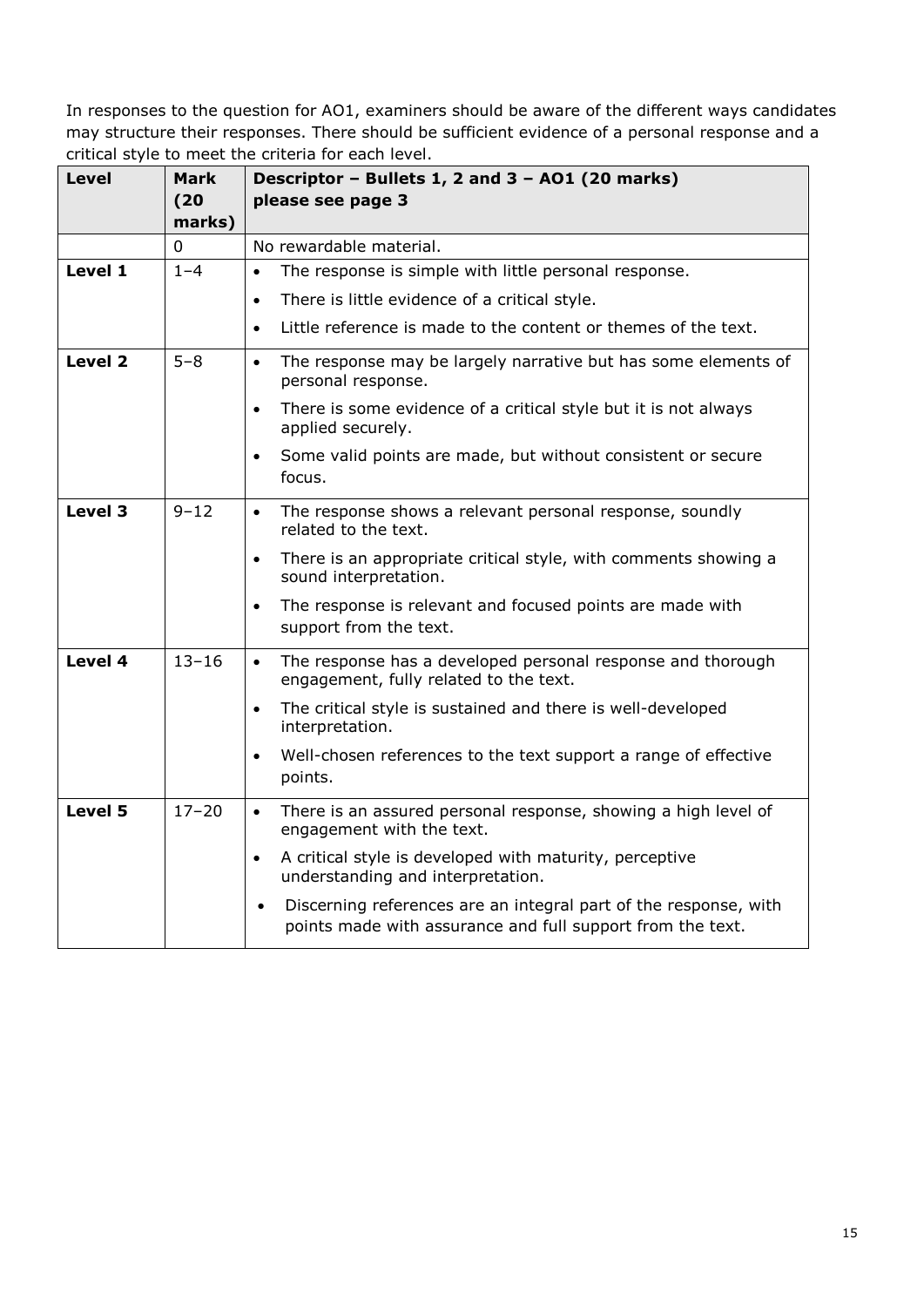| <b>Level</b> | Mark<br>(20)<br>marks) | Descriptor - Bullets 1, 2 and 3 - AO1 (20 marks)<br>please see page 3                                                                       |
|--------------|------------------------|---------------------------------------------------------------------------------------------------------------------------------------------|
|              | $\mathbf 0$            | No rewardable material.                                                                                                                     |
| Level 1      | $1 - 4$                | The response is simple with little personal response.<br>$\bullet$                                                                          |
|              |                        | There is little evidence of a critical style.<br>$\bullet$                                                                                  |
|              |                        | Little reference is made to the content or themes of the text.<br>$\bullet$                                                                 |
| Level 2      | $5 - 8$                | The response may be largely narrative but has some elements of<br>$\bullet$<br>personal response.                                           |
|              |                        | There is some evidence of a critical style but it is not always<br>$\bullet$<br>applied securely.                                           |
|              |                        | Some valid points are made, but without consistent or secure<br>$\bullet$<br>focus.                                                         |
| Level 3      | $9 - 12$               | The response shows a relevant personal response, soundly<br>$\bullet$<br>related to the text.                                               |
|              |                        | There is an appropriate critical style, with comments showing a<br>$\bullet$<br>sound interpretation.                                       |
|              |                        | The response is relevant and focused points are made with<br>$\bullet$<br>support from the text.                                            |
| Level 4      | $13 - 16$              | The response has a developed personal response and thorough<br>$\bullet$<br>engagement, fully related to the text.                          |
|              |                        | The critical style is sustained and there is well-developed<br>$\bullet$<br>interpretation.                                                 |
|              |                        | Well-chosen references to the text support a range of effective<br>$\bullet$<br>points.                                                     |
| Level 5      | $17 - 20$              | There is an assured personal response, showing a high level of<br>$\bullet$<br>engagement with the text.                                    |
|              |                        | A critical style is developed with maturity, perceptive<br>$\bullet$<br>understanding and interpretation.                                   |
|              |                        | Discerning references are an integral part of the response, with<br>$\bullet$<br>points made with assurance and full support from the text. |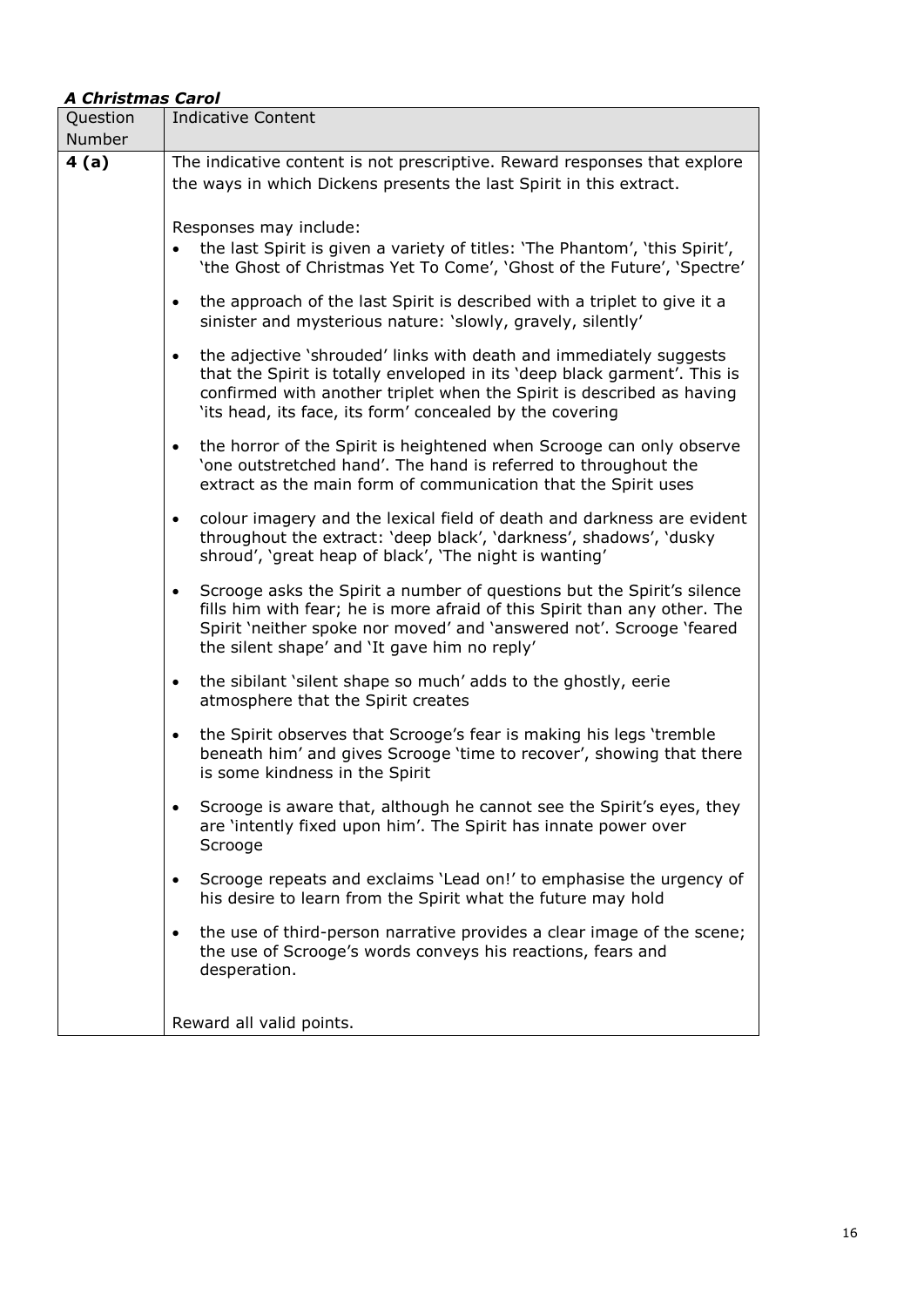#### *A Christmas Carol*

| 4(a)<br>The indicative content is not prescriptive. Reward responses that explore<br>the ways in which Dickens presents the last Spirit in this extract.<br>Responses may include:<br>the last Spirit is given a variety of titles: 'The Phantom', 'this Spirit',<br>'the Ghost of Christmas Yet To Come', 'Ghost of the Future', 'Spectre'<br>the approach of the last Spirit is described with a triplet to give it a<br>$\bullet$<br>sinister and mysterious nature: 'slowly, gravely, silently'<br>the adjective 'shrouded' links with death and immediately suggests<br>$\bullet$<br>that the Spirit is totally enveloped in its 'deep black garment'. This is<br>confirmed with another triplet when the Spirit is described as having<br>'its head, its face, its form' concealed by the covering<br>the horror of the Spirit is heightened when Scrooge can only observe<br>$\bullet$<br>'one outstretched hand'. The hand is referred to throughout the<br>extract as the main form of communication that the Spirit uses<br>colour imagery and the lexical field of death and darkness are evident<br>$\bullet$<br>throughout the extract: 'deep black', 'darkness', shadows', 'dusky<br>shroud', 'great heap of black', 'The night is wanting'<br>Scrooge asks the Spirit a number of questions but the Spirit's silence<br>$\bullet$<br>fills him with fear; he is more afraid of this Spirit than any other. The<br>Spirit 'neither spoke nor moved' and 'answered not'. Scrooge 'feared<br>the silent shape' and 'It gave him no reply'<br>the sibilant 'silent shape so much' adds to the ghostly, eerie<br>$\bullet$<br>atmosphere that the Spirit creates<br>the Spirit observes that Scrooge's fear is making his legs 'tremble<br>$\bullet$<br>beneath him' and gives Scrooge 'time to recover', showing that there<br>is some kindness in the Spirit<br>Scrooge is aware that, although he cannot see the Spirit's eyes, they<br>are 'intently fixed upon him'. The Spirit has innate power over<br>Scrooge | Question | <b>Indicative Content</b>                                           |  |  |  |  |
|---------------------------------------------------------------------------------------------------------------------------------------------------------------------------------------------------------------------------------------------------------------------------------------------------------------------------------------------------------------------------------------------------------------------------------------------------------------------------------------------------------------------------------------------------------------------------------------------------------------------------------------------------------------------------------------------------------------------------------------------------------------------------------------------------------------------------------------------------------------------------------------------------------------------------------------------------------------------------------------------------------------------------------------------------------------------------------------------------------------------------------------------------------------------------------------------------------------------------------------------------------------------------------------------------------------------------------------------------------------------------------------------------------------------------------------------------------------------------------------------------------------------------------------------------------------------------------------------------------------------------------------------------------------------------------------------------------------------------------------------------------------------------------------------------------------------------------------------------------------------------------------------------------------------------------------------------------------------------------------------------------------------------------|----------|---------------------------------------------------------------------|--|--|--|--|
|                                                                                                                                                                                                                                                                                                                                                                                                                                                                                                                                                                                                                                                                                                                                                                                                                                                                                                                                                                                                                                                                                                                                                                                                                                                                                                                                                                                                                                                                                                                                                                                                                                                                                                                                                                                                                                                                                                                                                                                                                                 | Number   |                                                                     |  |  |  |  |
|                                                                                                                                                                                                                                                                                                                                                                                                                                                                                                                                                                                                                                                                                                                                                                                                                                                                                                                                                                                                                                                                                                                                                                                                                                                                                                                                                                                                                                                                                                                                                                                                                                                                                                                                                                                                                                                                                                                                                                                                                                 |          |                                                                     |  |  |  |  |
|                                                                                                                                                                                                                                                                                                                                                                                                                                                                                                                                                                                                                                                                                                                                                                                                                                                                                                                                                                                                                                                                                                                                                                                                                                                                                                                                                                                                                                                                                                                                                                                                                                                                                                                                                                                                                                                                                                                                                                                                                                 |          |                                                                     |  |  |  |  |
|                                                                                                                                                                                                                                                                                                                                                                                                                                                                                                                                                                                                                                                                                                                                                                                                                                                                                                                                                                                                                                                                                                                                                                                                                                                                                                                                                                                                                                                                                                                                                                                                                                                                                                                                                                                                                                                                                                                                                                                                                                 |          |                                                                     |  |  |  |  |
|                                                                                                                                                                                                                                                                                                                                                                                                                                                                                                                                                                                                                                                                                                                                                                                                                                                                                                                                                                                                                                                                                                                                                                                                                                                                                                                                                                                                                                                                                                                                                                                                                                                                                                                                                                                                                                                                                                                                                                                                                                 |          |                                                                     |  |  |  |  |
|                                                                                                                                                                                                                                                                                                                                                                                                                                                                                                                                                                                                                                                                                                                                                                                                                                                                                                                                                                                                                                                                                                                                                                                                                                                                                                                                                                                                                                                                                                                                                                                                                                                                                                                                                                                                                                                                                                                                                                                                                                 |          |                                                                     |  |  |  |  |
|                                                                                                                                                                                                                                                                                                                                                                                                                                                                                                                                                                                                                                                                                                                                                                                                                                                                                                                                                                                                                                                                                                                                                                                                                                                                                                                                                                                                                                                                                                                                                                                                                                                                                                                                                                                                                                                                                                                                                                                                                                 |          |                                                                     |  |  |  |  |
|                                                                                                                                                                                                                                                                                                                                                                                                                                                                                                                                                                                                                                                                                                                                                                                                                                                                                                                                                                                                                                                                                                                                                                                                                                                                                                                                                                                                                                                                                                                                                                                                                                                                                                                                                                                                                                                                                                                                                                                                                                 |          |                                                                     |  |  |  |  |
|                                                                                                                                                                                                                                                                                                                                                                                                                                                                                                                                                                                                                                                                                                                                                                                                                                                                                                                                                                                                                                                                                                                                                                                                                                                                                                                                                                                                                                                                                                                                                                                                                                                                                                                                                                                                                                                                                                                                                                                                                                 |          |                                                                     |  |  |  |  |
|                                                                                                                                                                                                                                                                                                                                                                                                                                                                                                                                                                                                                                                                                                                                                                                                                                                                                                                                                                                                                                                                                                                                                                                                                                                                                                                                                                                                                                                                                                                                                                                                                                                                                                                                                                                                                                                                                                                                                                                                                                 |          |                                                                     |  |  |  |  |
|                                                                                                                                                                                                                                                                                                                                                                                                                                                                                                                                                                                                                                                                                                                                                                                                                                                                                                                                                                                                                                                                                                                                                                                                                                                                                                                                                                                                                                                                                                                                                                                                                                                                                                                                                                                                                                                                                                                                                                                                                                 |          |                                                                     |  |  |  |  |
| his desire to learn from the Spirit what the future may hold                                                                                                                                                                                                                                                                                                                                                                                                                                                                                                                                                                                                                                                                                                                                                                                                                                                                                                                                                                                                                                                                                                                                                                                                                                                                                                                                                                                                                                                                                                                                                                                                                                                                                                                                                                                                                                                                                                                                                                    |          | Scrooge repeats and exclaims 'Lead on!' to emphasise the urgency of |  |  |  |  |
| the use of third-person narrative provides a clear image of the scene;<br>the use of Scrooge's words conveys his reactions, fears and<br>desperation.                                                                                                                                                                                                                                                                                                                                                                                                                                                                                                                                                                                                                                                                                                                                                                                                                                                                                                                                                                                                                                                                                                                                                                                                                                                                                                                                                                                                                                                                                                                                                                                                                                                                                                                                                                                                                                                                           |          |                                                                     |  |  |  |  |
| Reward all valid points.                                                                                                                                                                                                                                                                                                                                                                                                                                                                                                                                                                                                                                                                                                                                                                                                                                                                                                                                                                                                                                                                                                                                                                                                                                                                                                                                                                                                                                                                                                                                                                                                                                                                                                                                                                                                                                                                                                                                                                                                        |          |                                                                     |  |  |  |  |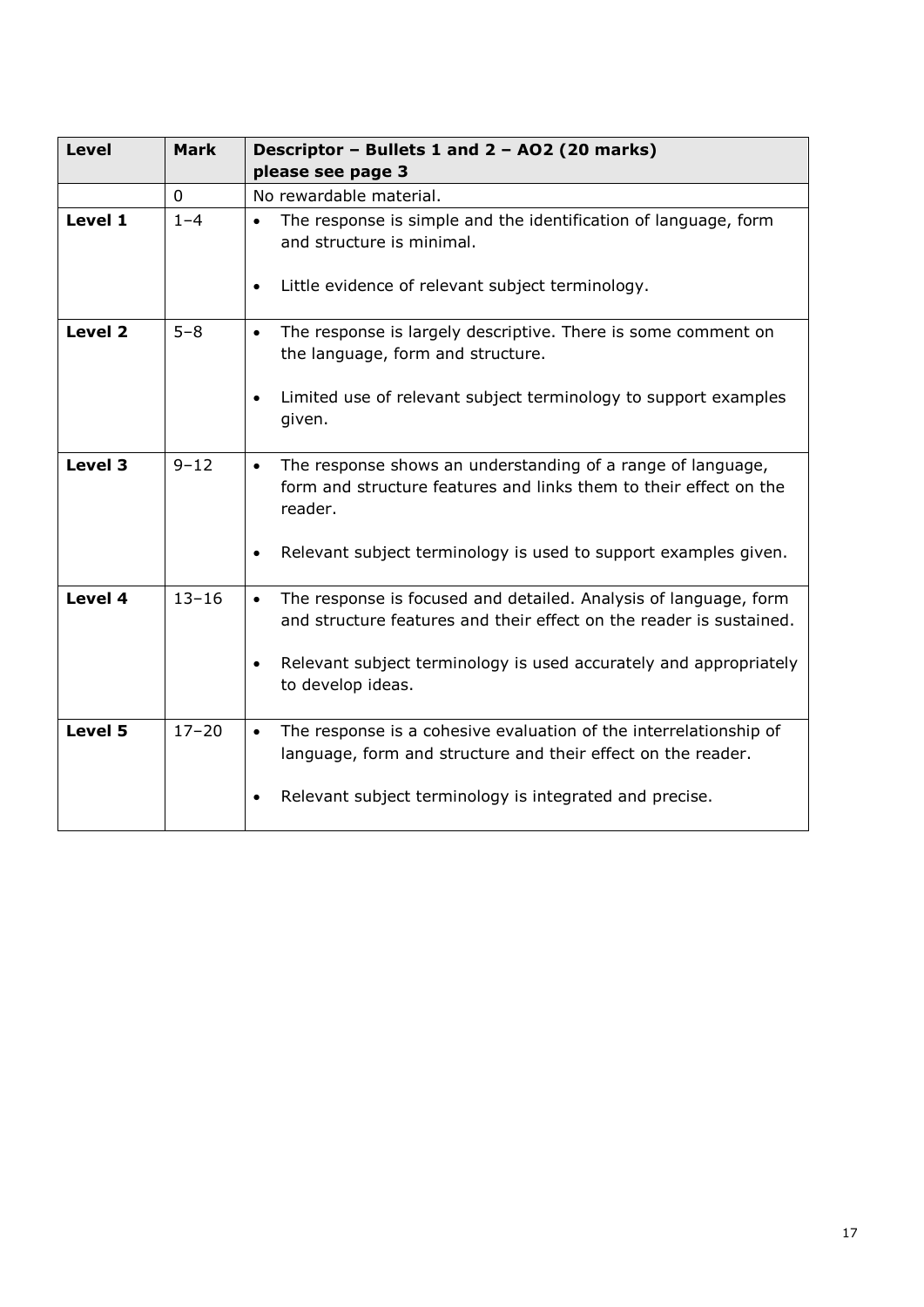| <b>Level</b> | <b>Mark</b>  | Descriptor - Bullets 1 and 2 - AO2 (20 marks)<br>please see page 3                                                                                                                                                                     |
|--------------|--------------|----------------------------------------------------------------------------------------------------------------------------------------------------------------------------------------------------------------------------------------|
|              | $\mathbf{0}$ | No rewardable material.                                                                                                                                                                                                                |
| Level 1      | $1 - 4$      | The response is simple and the identification of language, form<br>$\bullet$<br>and structure is minimal.<br>Little evidence of relevant subject terminology.<br>$\bullet$                                                             |
| Level 2      | $5 - 8$      | The response is largely descriptive. There is some comment on<br>$\bullet$<br>the language, form and structure.<br>Limited use of relevant subject terminology to support examples<br>$\bullet$                                        |
|              |              | given.                                                                                                                                                                                                                                 |
| Level 3      | $9 - 12$     | The response shows an understanding of a range of language,<br>$\bullet$<br>form and structure features and links them to their effect on the<br>reader.                                                                               |
|              |              | Relevant subject terminology is used to support examples given.<br>$\bullet$                                                                                                                                                           |
| Level 4      | $13 - 16$    | The response is focused and detailed. Analysis of language, form<br>$\bullet$<br>and structure features and their effect on the reader is sustained.<br>Relevant subject terminology is used accurately and appropriately<br>$\bullet$ |
|              |              | to develop ideas.                                                                                                                                                                                                                      |
| Level 5      | $17 - 20$    | The response is a cohesive evaluation of the interrelationship of<br>$\bullet$<br>language, form and structure and their effect on the reader.                                                                                         |
|              |              | Relevant subject terminology is integrated and precise.                                                                                                                                                                                |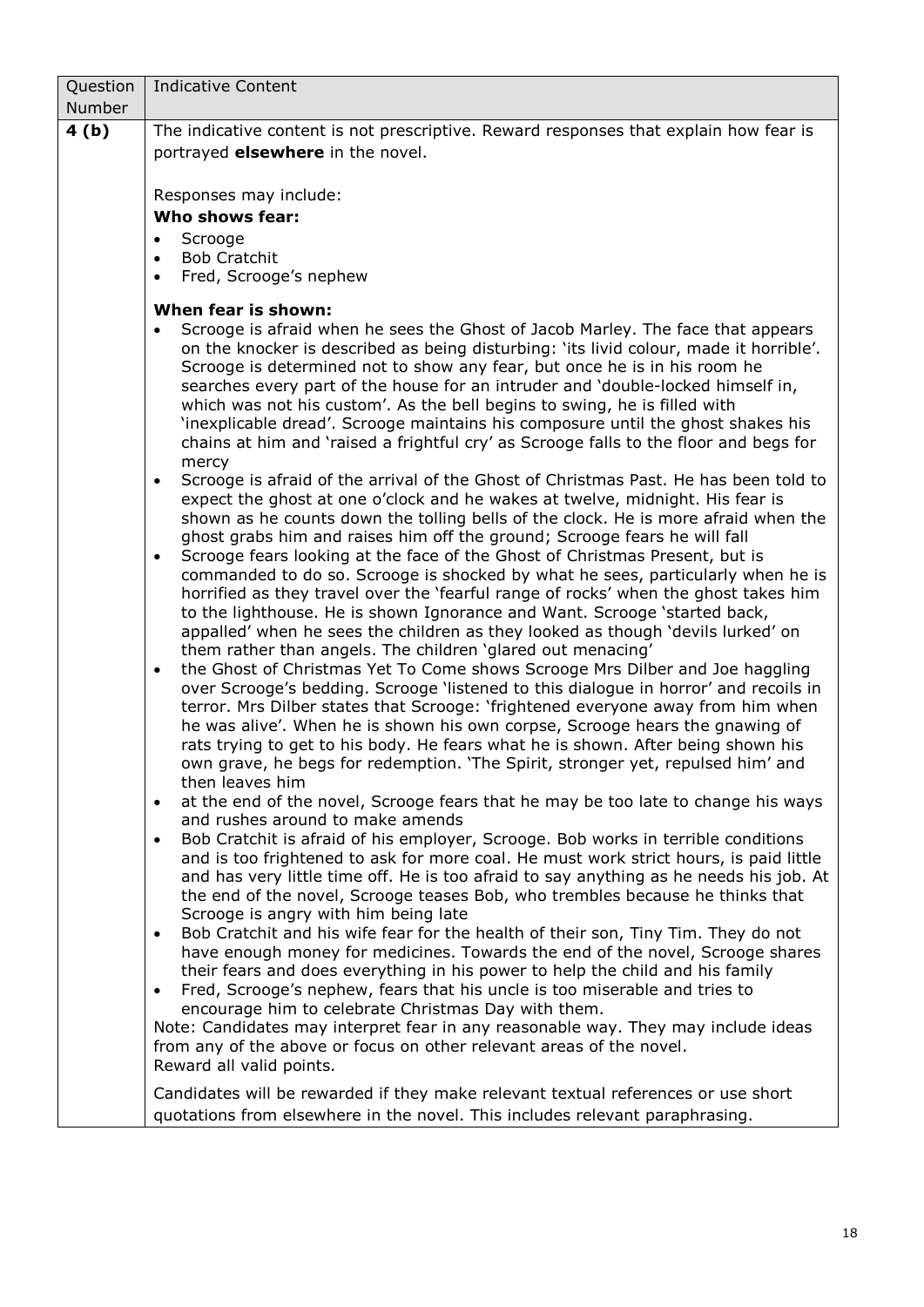| Question | <b>Indicative Content</b>                                                                                                                                                                                                                                                                                                                                                                                                                                                                                                                                                                                                                                                                                                                                                                                                                                                                                                                                                                                                                                                                                                                                                                                                                                                                                                                                                                                                                                                                                                                                                                                                                                                                                                                                                                                                                                                                                                                                                                                                                                                                                                                                                                                                                                                                                                                                                                                                                                                                                                                                                                                                                                                                                                                                                                                                                                                                                                                                                                                                                                                                                                                                                                                                           |  |  |  |
|----------|-------------------------------------------------------------------------------------------------------------------------------------------------------------------------------------------------------------------------------------------------------------------------------------------------------------------------------------------------------------------------------------------------------------------------------------------------------------------------------------------------------------------------------------------------------------------------------------------------------------------------------------------------------------------------------------------------------------------------------------------------------------------------------------------------------------------------------------------------------------------------------------------------------------------------------------------------------------------------------------------------------------------------------------------------------------------------------------------------------------------------------------------------------------------------------------------------------------------------------------------------------------------------------------------------------------------------------------------------------------------------------------------------------------------------------------------------------------------------------------------------------------------------------------------------------------------------------------------------------------------------------------------------------------------------------------------------------------------------------------------------------------------------------------------------------------------------------------------------------------------------------------------------------------------------------------------------------------------------------------------------------------------------------------------------------------------------------------------------------------------------------------------------------------------------------------------------------------------------------------------------------------------------------------------------------------------------------------------------------------------------------------------------------------------------------------------------------------------------------------------------------------------------------------------------------------------------------------------------------------------------------------------------------------------------------------------------------------------------------------------------------------------------------------------------------------------------------------------------------------------------------------------------------------------------------------------------------------------------------------------------------------------------------------------------------------------------------------------------------------------------------------------------------------------------------------------------------------------------------------|--|--|--|
| Number   |                                                                                                                                                                                                                                                                                                                                                                                                                                                                                                                                                                                                                                                                                                                                                                                                                                                                                                                                                                                                                                                                                                                                                                                                                                                                                                                                                                                                                                                                                                                                                                                                                                                                                                                                                                                                                                                                                                                                                                                                                                                                                                                                                                                                                                                                                                                                                                                                                                                                                                                                                                                                                                                                                                                                                                                                                                                                                                                                                                                                                                                                                                                                                                                                                                     |  |  |  |
| 4(b)     | The indicative content is not prescriptive. Reward responses that explain how fear is                                                                                                                                                                                                                                                                                                                                                                                                                                                                                                                                                                                                                                                                                                                                                                                                                                                                                                                                                                                                                                                                                                                                                                                                                                                                                                                                                                                                                                                                                                                                                                                                                                                                                                                                                                                                                                                                                                                                                                                                                                                                                                                                                                                                                                                                                                                                                                                                                                                                                                                                                                                                                                                                                                                                                                                                                                                                                                                                                                                                                                                                                                                                               |  |  |  |
|          | portrayed <b>elsewhere</b> in the novel.                                                                                                                                                                                                                                                                                                                                                                                                                                                                                                                                                                                                                                                                                                                                                                                                                                                                                                                                                                                                                                                                                                                                                                                                                                                                                                                                                                                                                                                                                                                                                                                                                                                                                                                                                                                                                                                                                                                                                                                                                                                                                                                                                                                                                                                                                                                                                                                                                                                                                                                                                                                                                                                                                                                                                                                                                                                                                                                                                                                                                                                                                                                                                                                            |  |  |  |
|          |                                                                                                                                                                                                                                                                                                                                                                                                                                                                                                                                                                                                                                                                                                                                                                                                                                                                                                                                                                                                                                                                                                                                                                                                                                                                                                                                                                                                                                                                                                                                                                                                                                                                                                                                                                                                                                                                                                                                                                                                                                                                                                                                                                                                                                                                                                                                                                                                                                                                                                                                                                                                                                                                                                                                                                                                                                                                                                                                                                                                                                                                                                                                                                                                                                     |  |  |  |
|          | Responses may include:<br><b>Who shows fear:</b>                                                                                                                                                                                                                                                                                                                                                                                                                                                                                                                                                                                                                                                                                                                                                                                                                                                                                                                                                                                                                                                                                                                                                                                                                                                                                                                                                                                                                                                                                                                                                                                                                                                                                                                                                                                                                                                                                                                                                                                                                                                                                                                                                                                                                                                                                                                                                                                                                                                                                                                                                                                                                                                                                                                                                                                                                                                                                                                                                                                                                                                                                                                                                                                    |  |  |  |
|          | Scrooge<br>$\bullet$                                                                                                                                                                                                                                                                                                                                                                                                                                                                                                                                                                                                                                                                                                                                                                                                                                                                                                                                                                                                                                                                                                                                                                                                                                                                                                                                                                                                                                                                                                                                                                                                                                                                                                                                                                                                                                                                                                                                                                                                                                                                                                                                                                                                                                                                                                                                                                                                                                                                                                                                                                                                                                                                                                                                                                                                                                                                                                                                                                                                                                                                                                                                                                                                                |  |  |  |
|          | <b>Bob Cratchit</b><br>$\bullet$                                                                                                                                                                                                                                                                                                                                                                                                                                                                                                                                                                                                                                                                                                                                                                                                                                                                                                                                                                                                                                                                                                                                                                                                                                                                                                                                                                                                                                                                                                                                                                                                                                                                                                                                                                                                                                                                                                                                                                                                                                                                                                                                                                                                                                                                                                                                                                                                                                                                                                                                                                                                                                                                                                                                                                                                                                                                                                                                                                                                                                                                                                                                                                                                    |  |  |  |
|          | Fred, Scrooge's nephew<br>$\bullet$                                                                                                                                                                                                                                                                                                                                                                                                                                                                                                                                                                                                                                                                                                                                                                                                                                                                                                                                                                                                                                                                                                                                                                                                                                                                                                                                                                                                                                                                                                                                                                                                                                                                                                                                                                                                                                                                                                                                                                                                                                                                                                                                                                                                                                                                                                                                                                                                                                                                                                                                                                                                                                                                                                                                                                                                                                                                                                                                                                                                                                                                                                                                                                                                 |  |  |  |
|          |                                                                                                                                                                                                                                                                                                                                                                                                                                                                                                                                                                                                                                                                                                                                                                                                                                                                                                                                                                                                                                                                                                                                                                                                                                                                                                                                                                                                                                                                                                                                                                                                                                                                                                                                                                                                                                                                                                                                                                                                                                                                                                                                                                                                                                                                                                                                                                                                                                                                                                                                                                                                                                                                                                                                                                                                                                                                                                                                                                                                                                                                                                                                                                                                                                     |  |  |  |
|          | When fear is shown:<br>Scrooge is afraid when he sees the Ghost of Jacob Marley. The face that appears<br>$\bullet$<br>on the knocker is described as being disturbing: 'its livid colour, made it horrible'.<br>Scrooge is determined not to show any fear, but once he is in his room he<br>searches every part of the house for an intruder and 'double-locked himself in,<br>which was not his custom'. As the bell begins to swing, he is filled with<br>'inexplicable dread'. Scrooge maintains his composure until the ghost shakes his<br>chains at him and 'raised a frightful cry' as Scrooge falls to the floor and begs for<br>mercy<br>Scrooge is afraid of the arrival of the Ghost of Christmas Past. He has been told to<br>$\bullet$<br>expect the ghost at one o'clock and he wakes at twelve, midnight. His fear is<br>shown as he counts down the tolling bells of the clock. He is more afraid when the<br>ghost grabs him and raises him off the ground; Scrooge fears he will fall<br>Scrooge fears looking at the face of the Ghost of Christmas Present, but is<br>$\bullet$<br>commanded to do so. Scrooge is shocked by what he sees, particularly when he is<br>horrified as they travel over the 'fearful range of rocks' when the ghost takes him<br>to the lighthouse. He is shown Ignorance and Want. Scrooge 'started back,<br>appalled' when he sees the children as they looked as though 'devils lurked' on<br>them rather than angels. The children 'glared out menacing'<br>the Ghost of Christmas Yet To Come shows Scrooge Mrs Dilber and Joe haggling<br>$\bullet$<br>over Scrooge's bedding. Scrooge 'listened to this dialogue in horror' and recoils in<br>terror. Mrs Dilber states that Scrooge: 'frightened everyone away from him when<br>he was alive'. When he is shown his own corpse, Scrooge hears the gnawing of<br>rats trying to get to his body. He fears what he is shown. After being shown his<br>own grave, he begs for redemption. 'The Spirit, stronger yet, repulsed him' and<br>then leaves him<br>at the end of the novel, Scrooge fears that he may be too late to change his ways<br>$\bullet$<br>and rushes around to make amends<br>Bob Cratchit is afraid of his employer, Scrooge. Bob works in terrible conditions<br>$\bullet$<br>and is too frightened to ask for more coal. He must work strict hours, is paid little<br>and has very little time off. He is too afraid to say anything as he needs his job. At<br>the end of the novel, Scrooge teases Bob, who trembles because he thinks that<br>Scrooge is angry with him being late<br>Bob Cratchit and his wife fear for the health of their son, Tiny Tim. They do not<br>$\bullet$<br>have enough money for medicines. Towards the end of the novel, Scrooge shares<br>their fears and does everything in his power to help the child and his family<br>Fred, Scrooge's nephew, fears that his uncle is too miserable and tries to<br>$\bullet$<br>encourage him to celebrate Christmas Day with them.<br>Note: Candidates may interpret fear in any reasonable way. They may include ideas<br>from any of the above or focus on other relevant areas of the novel.<br>Reward all valid points. |  |  |  |
|          | Candidates will be rewarded if they make relevant textual references or use short                                                                                                                                                                                                                                                                                                                                                                                                                                                                                                                                                                                                                                                                                                                                                                                                                                                                                                                                                                                                                                                                                                                                                                                                                                                                                                                                                                                                                                                                                                                                                                                                                                                                                                                                                                                                                                                                                                                                                                                                                                                                                                                                                                                                                                                                                                                                                                                                                                                                                                                                                                                                                                                                                                                                                                                                                                                                                                                                                                                                                                                                                                                                                   |  |  |  |
|          | quotations from elsewhere in the novel. This includes relevant paraphrasing.                                                                                                                                                                                                                                                                                                                                                                                                                                                                                                                                                                                                                                                                                                                                                                                                                                                                                                                                                                                                                                                                                                                                                                                                                                                                                                                                                                                                                                                                                                                                                                                                                                                                                                                                                                                                                                                                                                                                                                                                                                                                                                                                                                                                                                                                                                                                                                                                                                                                                                                                                                                                                                                                                                                                                                                                                                                                                                                                                                                                                                                                                                                                                        |  |  |  |
|          |                                                                                                                                                                                                                                                                                                                                                                                                                                                                                                                                                                                                                                                                                                                                                                                                                                                                                                                                                                                                                                                                                                                                                                                                                                                                                                                                                                                                                                                                                                                                                                                                                                                                                                                                                                                                                                                                                                                                                                                                                                                                                                                                                                                                                                                                                                                                                                                                                                                                                                                                                                                                                                                                                                                                                                                                                                                                                                                                                                                                                                                                                                                                                                                                                                     |  |  |  |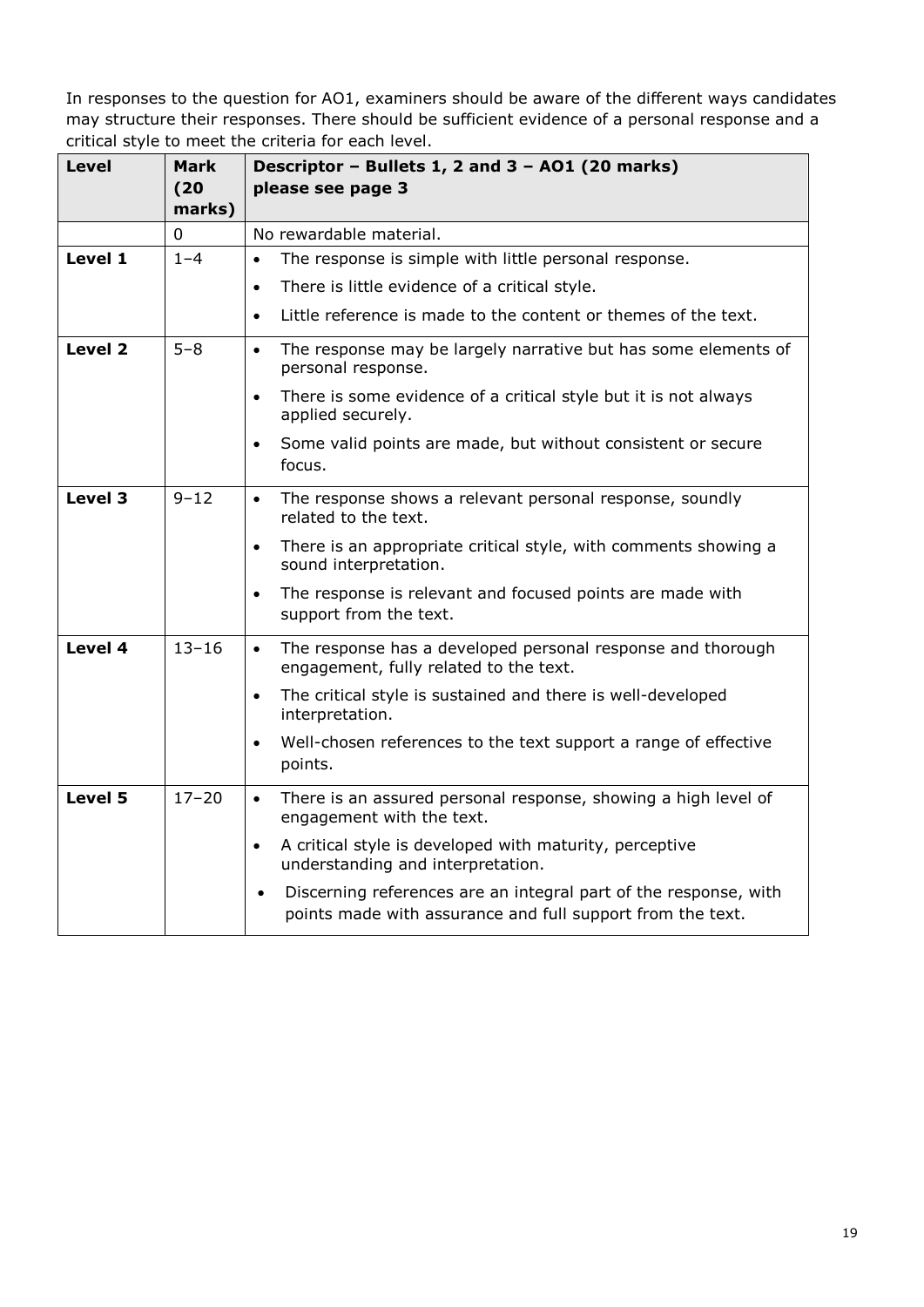| <b>Level</b> | <b>Mark</b><br>(20)<br>marks) | Descriptor - Bullets 1, 2 and 3 - A01 (20 marks)<br>please see page 3                                                                       |
|--------------|-------------------------------|---------------------------------------------------------------------------------------------------------------------------------------------|
|              | 0                             | No rewardable material.                                                                                                                     |
| Level 1      | $1 - 4$                       | The response is simple with little personal response.<br>$\bullet$                                                                          |
|              |                               | There is little evidence of a critical style.<br>$\bullet$                                                                                  |
|              |                               | Little reference is made to the content or themes of the text.<br>$\bullet$                                                                 |
| Level 2      | $5 - 8$                       | The response may be largely narrative but has some elements of<br>$\bullet$<br>personal response.                                           |
|              |                               | There is some evidence of a critical style but it is not always<br>$\bullet$<br>applied securely.                                           |
|              |                               | Some valid points are made, but without consistent or secure<br>$\bullet$<br>focus.                                                         |
| Level 3      | $9 - 12$                      | The response shows a relevant personal response, soundly<br>$\bullet$<br>related to the text.                                               |
|              |                               | There is an appropriate critical style, with comments showing a<br>$\bullet$<br>sound interpretation.                                       |
|              |                               | The response is relevant and focused points are made with<br>$\bullet$<br>support from the text.                                            |
| Level 4      | $13 - 16$                     | The response has a developed personal response and thorough<br>$\bullet$<br>engagement, fully related to the text.                          |
|              |                               | The critical style is sustained and there is well-developed<br>$\bullet$<br>interpretation.                                                 |
|              |                               | Well-chosen references to the text support a range of effective<br>$\bullet$<br>points.                                                     |
| Level 5      | $17 - 20$                     | There is an assured personal response, showing a high level of<br>$\bullet$<br>engagement with the text.                                    |
|              |                               | A critical style is developed with maturity, perceptive<br>$\bullet$<br>understanding and interpretation.                                   |
|              |                               | Discerning references are an integral part of the response, with<br>$\bullet$<br>points made with assurance and full support from the text. |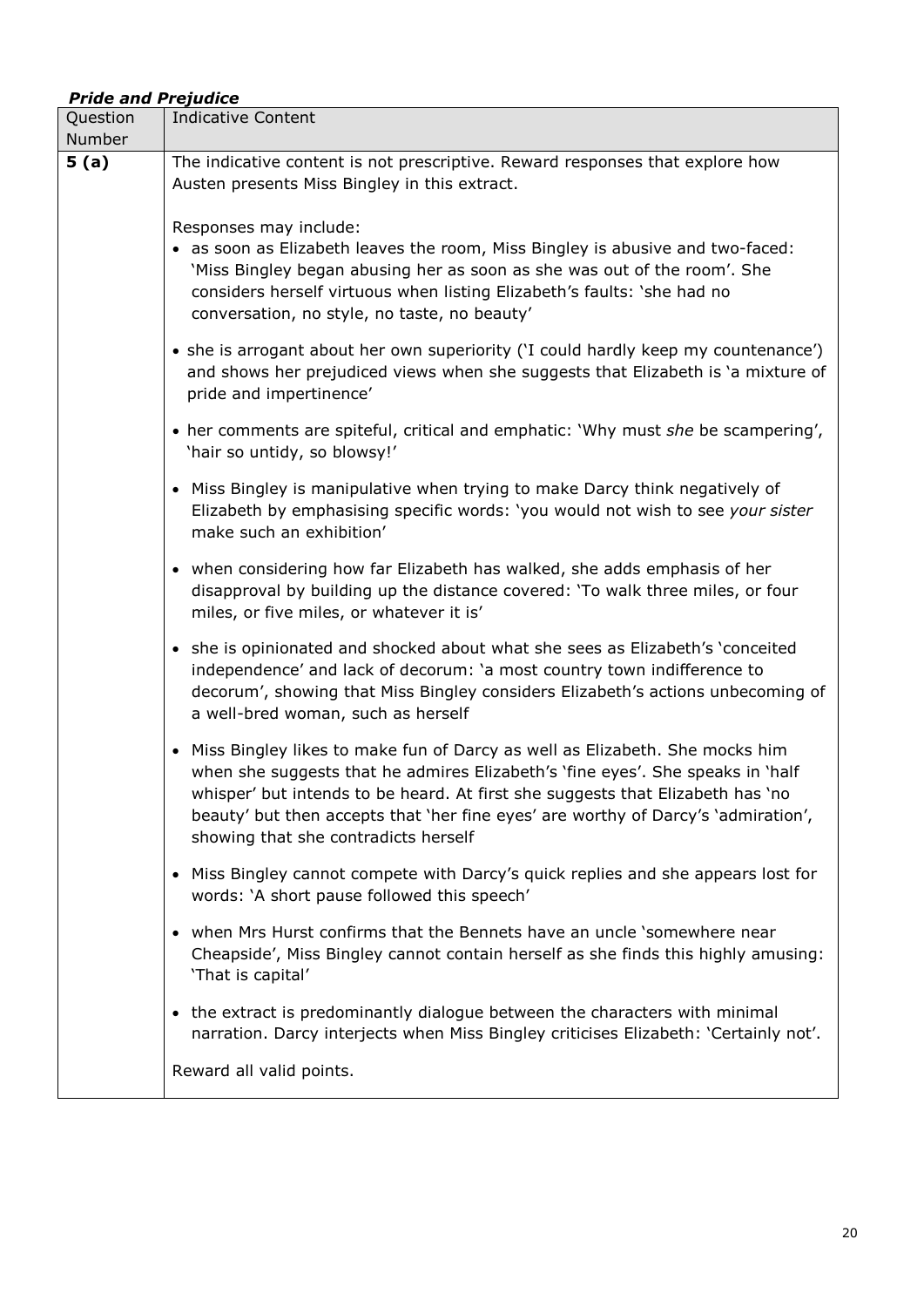# *Pride and Prejudice*

| Question<br>Number | <b>Indicative Content</b>                                                                                                                                                                                                                                                                                                                                                      |
|--------------------|--------------------------------------------------------------------------------------------------------------------------------------------------------------------------------------------------------------------------------------------------------------------------------------------------------------------------------------------------------------------------------|
| 5(a)               | The indicative content is not prescriptive. Reward responses that explore how<br>Austen presents Miss Bingley in this extract.                                                                                                                                                                                                                                                 |
|                    | Responses may include:<br>• as soon as Elizabeth leaves the room, Miss Bingley is abusive and two-faced:<br>'Miss Bingley began abusing her as soon as she was out of the room'. She<br>considers herself virtuous when listing Elizabeth's faults: 'she had no<br>conversation, no style, no taste, no beauty'                                                                |
|                    | • she is arrogant about her own superiority ('I could hardly keep my countenance')<br>and shows her prejudiced views when she suggests that Elizabeth is 'a mixture of<br>pride and impertinence'                                                                                                                                                                              |
|                    | • her comments are spiteful, critical and emphatic: 'Why must she be scampering',<br>'hair so untidy, so blowsy!'                                                                                                                                                                                                                                                              |
|                    | • Miss Bingley is manipulative when trying to make Darcy think negatively of<br>Elizabeth by emphasising specific words: 'you would not wish to see your sister<br>make such an exhibition'                                                                                                                                                                                    |
|                    | • when considering how far Elizabeth has walked, she adds emphasis of her<br>disapproval by building up the distance covered: 'To walk three miles, or four<br>miles, or five miles, or whatever it is'                                                                                                                                                                        |
|                    | • she is opinionated and shocked about what she sees as Elizabeth's 'conceited<br>independence' and lack of decorum: 'a most country town indifference to<br>decorum', showing that Miss Bingley considers Elizabeth's actions unbecoming of<br>a well-bred woman, such as herself                                                                                             |
|                    | • Miss Bingley likes to make fun of Darcy as well as Elizabeth. She mocks him<br>when she suggests that he admires Elizabeth's 'fine eyes'. She speaks in 'half<br>whisper' but intends to be heard. At first she suggests that Elizabeth has 'no<br>beauty' but then accepts that 'her fine eyes' are worthy of Darcy's 'admiration',<br>showing that she contradicts herself |
|                    | • Miss Bingley cannot compete with Darcy's quick replies and she appears lost for<br>words: 'A short pause followed this speech'                                                                                                                                                                                                                                               |
|                    | • when Mrs Hurst confirms that the Bennets have an uncle 'somewhere near<br>Cheapside', Miss Bingley cannot contain herself as she finds this highly amusing:<br>'That is capital'                                                                                                                                                                                             |
|                    | • the extract is predominantly dialogue between the characters with minimal<br>narration. Darcy interjects when Miss Bingley criticises Elizabeth: 'Certainly not'.                                                                                                                                                                                                            |
|                    | Reward all valid points.                                                                                                                                                                                                                                                                                                                                                       |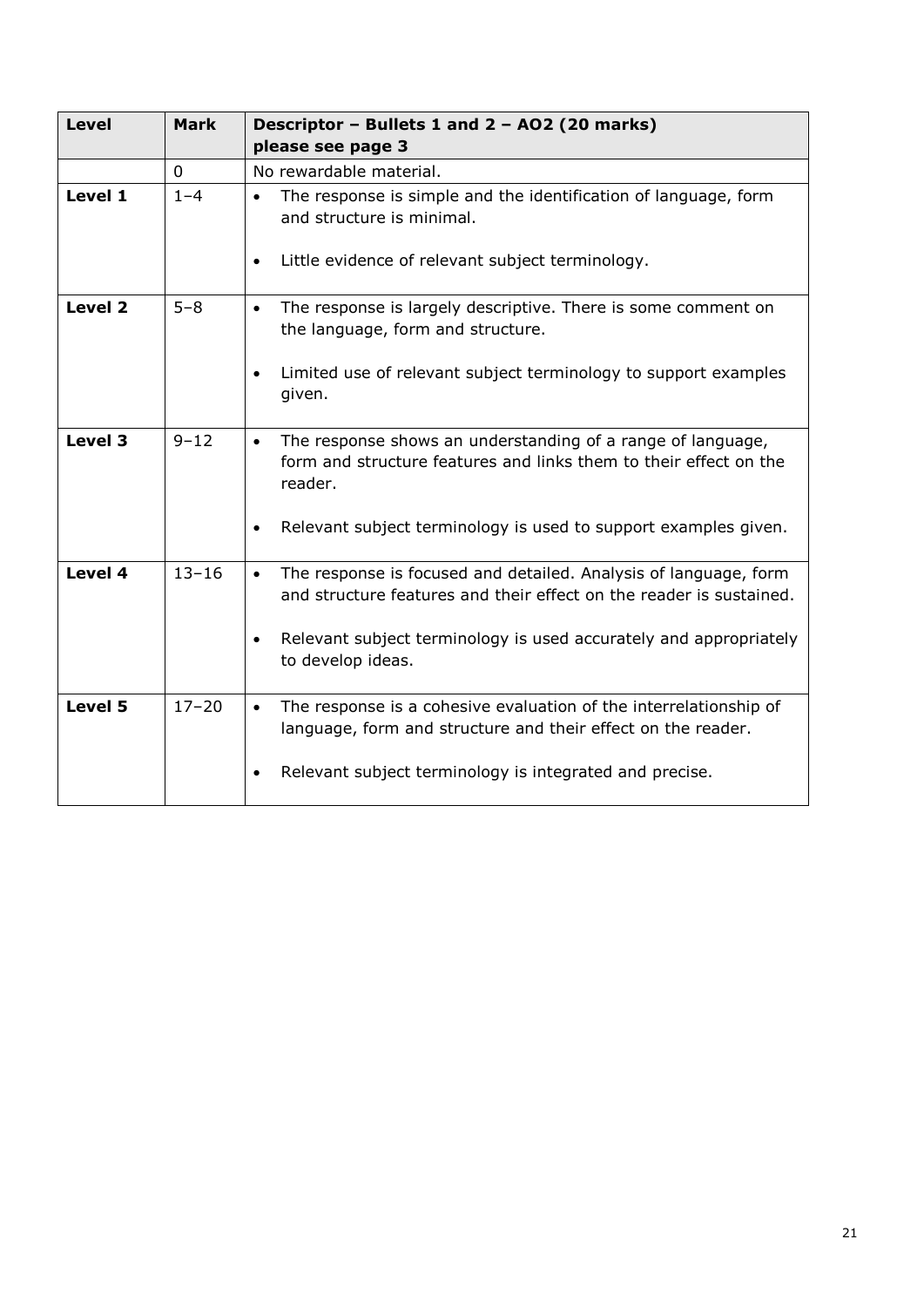| <b>Level</b> | <b>Mark</b> | Descriptor - Bullets 1 and 2 - AO2 (20 marks)<br>please see page 3                                                                                                                                                        |
|--------------|-------------|---------------------------------------------------------------------------------------------------------------------------------------------------------------------------------------------------------------------------|
|              | 0           | No rewardable material.                                                                                                                                                                                                   |
| Level 1      | $1 - 4$     | The response is simple and the identification of language, form<br>$\bullet$<br>and structure is minimal.<br>Little evidence of relevant subject terminology.<br>$\bullet$                                                |
|              |             |                                                                                                                                                                                                                           |
| Level 2      | $5 - 8$     | The response is largely descriptive. There is some comment on<br>$\bullet$<br>the language, form and structure.                                                                                                           |
|              |             | Limited use of relevant subject terminology to support examples<br>given.                                                                                                                                                 |
| Level 3      | $9 - 12$    | The response shows an understanding of a range of language,<br>$\bullet$<br>form and structure features and links them to their effect on the<br>reader.                                                                  |
|              |             | Relevant subject terminology is used to support examples given.                                                                                                                                                           |
| Level 4      | $13 - 16$   | The response is focused and detailed. Analysis of language, form<br>and structure features and their effect on the reader is sustained.<br>Relevant subject terminology is used accurately and appropriately<br>$\bullet$ |
|              |             | to develop ideas.                                                                                                                                                                                                         |
| Level 5      | $17 - 20$   | The response is a cohesive evaluation of the interrelationship of<br>$\bullet$<br>language, form and structure and their effect on the reader.                                                                            |
|              |             | Relevant subject terminology is integrated and precise.                                                                                                                                                                   |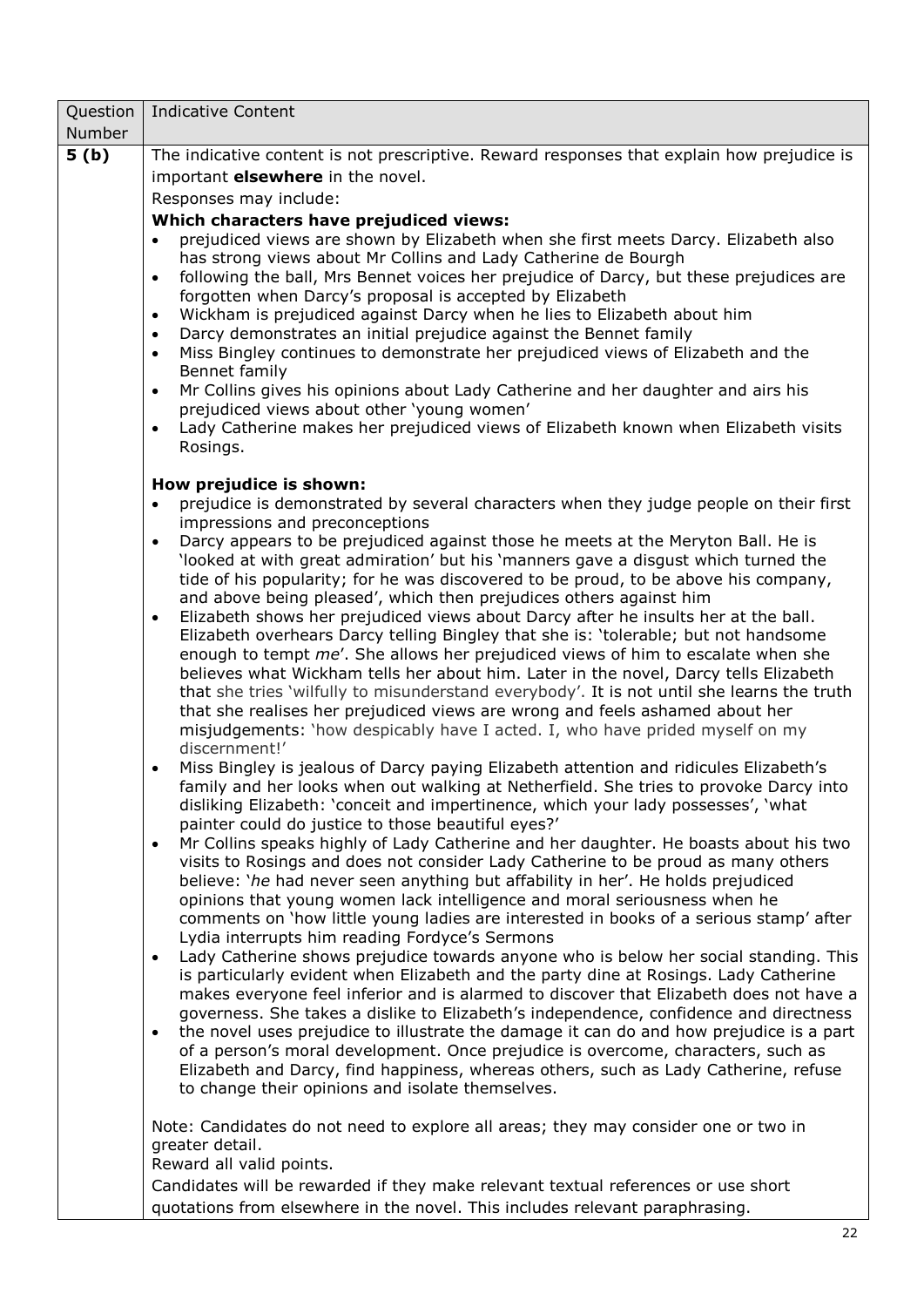| Question | <b>Indicative Content</b>                                                                                                                                                                                                                                                                                                                                                                                                                                                                                                                                                                                                                                                                                                                                                                                                                                                                                                                                                                                                                                                                                                                                                                                                                                                                                                                                                                                                              |  |  |  |  |
|----------|----------------------------------------------------------------------------------------------------------------------------------------------------------------------------------------------------------------------------------------------------------------------------------------------------------------------------------------------------------------------------------------------------------------------------------------------------------------------------------------------------------------------------------------------------------------------------------------------------------------------------------------------------------------------------------------------------------------------------------------------------------------------------------------------------------------------------------------------------------------------------------------------------------------------------------------------------------------------------------------------------------------------------------------------------------------------------------------------------------------------------------------------------------------------------------------------------------------------------------------------------------------------------------------------------------------------------------------------------------------------------------------------------------------------------------------|--|--|--|--|
| Number   |                                                                                                                                                                                                                                                                                                                                                                                                                                                                                                                                                                                                                                                                                                                                                                                                                                                                                                                                                                                                                                                                                                                                                                                                                                                                                                                                                                                                                                        |  |  |  |  |
| 5(b)     | The indicative content is not prescriptive. Reward responses that explain how prejudice is<br>important <b>elsewhere</b> in the novel.<br>Responses may include:<br>Which characters have prejudiced views:<br>prejudiced views are shown by Elizabeth when she first meets Darcy. Elizabeth also<br>has strong views about Mr Collins and Lady Catherine de Bourgh<br>following the ball, Mrs Bennet voices her prejudice of Darcy, but these prejudices are<br>$\bullet$<br>forgotten when Darcy's proposal is accepted by Elizabeth<br>Wickham is prejudiced against Darcy when he lies to Elizabeth about him<br>$\bullet$<br>Darcy demonstrates an initial prejudice against the Bennet family<br>$\bullet$<br>Miss Bingley continues to demonstrate her prejudiced views of Elizabeth and the<br>$\bullet$<br>Bennet family<br>Mr Collins gives his opinions about Lady Catherine and her daughter and airs his<br>$\bullet$<br>prejudiced views about other 'young women'<br>Lady Catherine makes her prejudiced views of Elizabeth known when Elizabeth visits<br>$\bullet$<br>Rosings.                                                                                                                                                                                                                                                                                                                                        |  |  |  |  |
|          | How prejudice is shown:<br>prejudice is demonstrated by several characters when they judge people on their first<br>$\bullet$<br>impressions and preconceptions<br>Darcy appears to be prejudiced against those he meets at the Meryton Ball. He is<br>$\bullet$<br>'looked at with great admiration' but his 'manners gave a disgust which turned the<br>tide of his popularity; for he was discovered to be proud, to be above his company,<br>and above being pleased', which then prejudices others against him<br>Elizabeth shows her prejudiced views about Darcy after he insults her at the ball.<br>$\bullet$<br>Elizabeth overhears Darcy telling Bingley that she is: 'tolerable; but not handsome<br>enough to tempt me'. She allows her prejudiced views of him to escalate when she<br>believes what Wickham tells her about him. Later in the novel, Darcy tells Elizabeth<br>that she tries 'wilfully to misunderstand everybody'. It is not until she learns the truth<br>that she realises her prejudiced views are wrong and feels ashamed about her                                                                                                                                                                                                                                                                                                                                                                |  |  |  |  |
|          | misjudgements: 'how despicably have I acted. I, who have prided myself on my<br>discernment!'<br>Miss Bingley is jealous of Darcy paying Elizabeth attention and ridicules Elizabeth's<br>$\bullet$<br>family and her looks when out walking at Netherfield. She tries to provoke Darcy into<br>disliking Elizabeth: 'conceit and impertinence, which your lady possesses', 'what<br>painter could do justice to those beautiful eyes?'<br>Mr Collins speaks highly of Lady Catherine and her daughter. He boasts about his two<br>$\bullet$<br>visits to Rosings and does not consider Lady Catherine to be proud as many others<br>believe: 'he had never seen anything but affability in her'. He holds prejudiced<br>opinions that young women lack intelligence and moral seriousness when he<br>comments on 'how little young ladies are interested in books of a serious stamp' after<br>Lydia interrupts him reading Fordyce's Sermons<br>Lady Catherine shows prejudice towards anyone who is below her social standing. This<br>$\bullet$<br>is particularly evident when Elizabeth and the party dine at Rosings. Lady Catherine<br>makes everyone feel inferior and is alarmed to discover that Elizabeth does not have a<br>governess. She takes a dislike to Elizabeth's independence, confidence and directness<br>the novel uses prejudice to illustrate the damage it can do and how prejudice is a part<br>$\bullet$ |  |  |  |  |
|          | of a person's moral development. Once prejudice is overcome, characters, such as<br>Elizabeth and Darcy, find happiness, whereas others, such as Lady Catherine, refuse<br>to change their opinions and isolate themselves.<br>Note: Candidates do not need to explore all areas; they may consider one or two in<br>greater detail.<br>Reward all valid points.<br>Candidates will be rewarded if they make relevant textual references or use short<br>quotations from elsewhere in the novel. This includes relevant paraphrasing.                                                                                                                                                                                                                                                                                                                                                                                                                                                                                                                                                                                                                                                                                                                                                                                                                                                                                                  |  |  |  |  |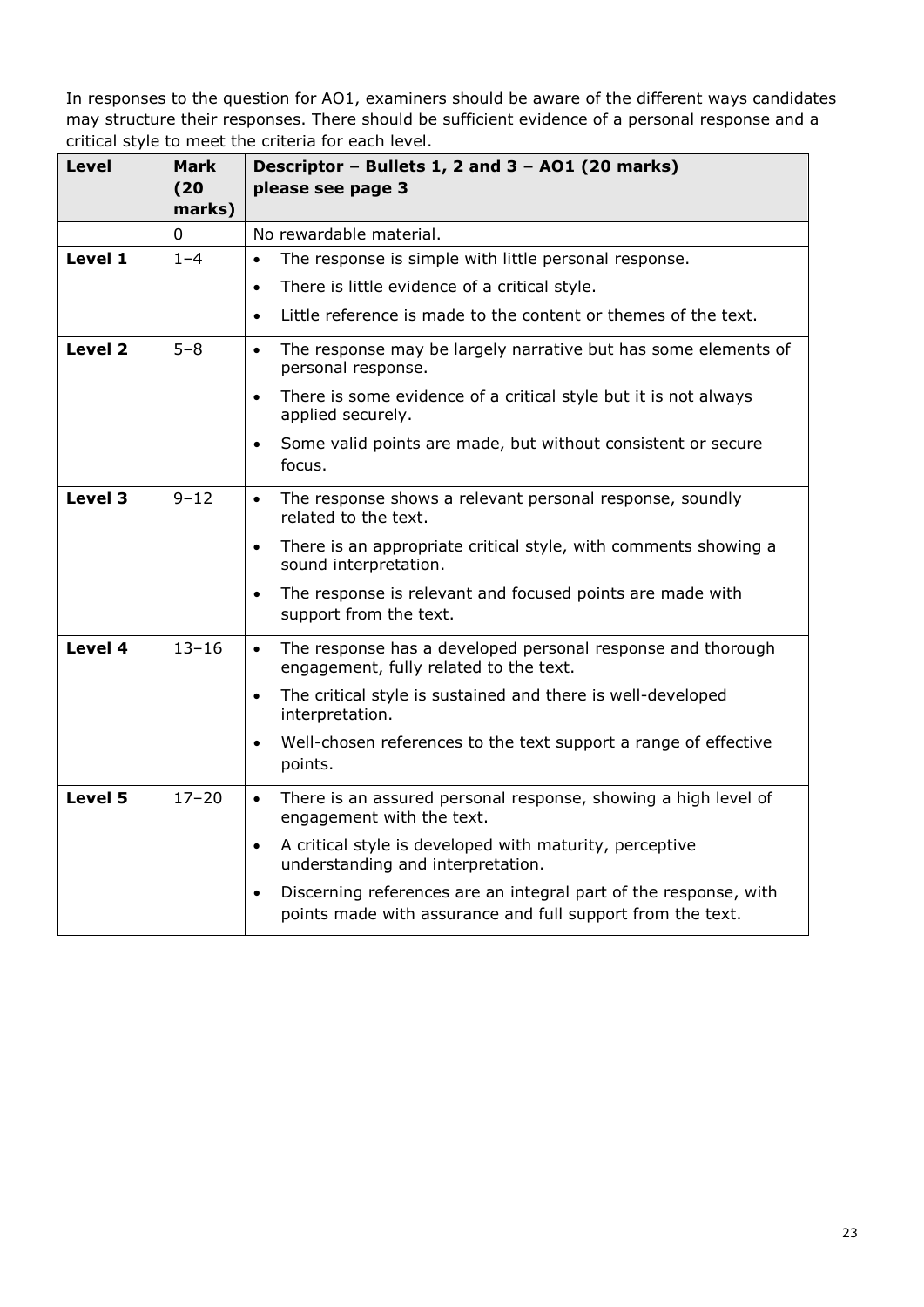| <b>Level</b>       | <b>Mark</b><br>(20)<br>marks) | Descriptor - Bullets 1, 2 and 3 - A01 (20 marks)<br>please see page 3                                                                       |
|--------------------|-------------------------------|---------------------------------------------------------------------------------------------------------------------------------------------|
|                    | 0                             | No rewardable material.                                                                                                                     |
| Level 1            | $1 - 4$                       | The response is simple with little personal response.<br>$\bullet$                                                                          |
|                    |                               | There is little evidence of a critical style.<br>$\bullet$                                                                                  |
|                    |                               | Little reference is made to the content or themes of the text.<br>$\bullet$                                                                 |
| Level <sub>2</sub> | $5 - 8$                       | The response may be largely narrative but has some elements of<br>$\bullet$<br>personal response.                                           |
|                    |                               | There is some evidence of a critical style but it is not always<br>$\bullet$<br>applied securely.                                           |
|                    |                               | Some valid points are made, but without consistent or secure<br>$\bullet$<br>focus.                                                         |
| Level 3            | $9 - 12$                      | The response shows a relevant personal response, soundly<br>$\bullet$<br>related to the text.                                               |
|                    |                               | There is an appropriate critical style, with comments showing a<br>$\bullet$<br>sound interpretation.                                       |
|                    |                               | The response is relevant and focused points are made with<br>$\bullet$<br>support from the text.                                            |
| Level 4            | $13 - 16$                     | The response has a developed personal response and thorough<br>$\bullet$<br>engagement, fully related to the text.                          |
|                    |                               | The critical style is sustained and there is well-developed<br>$\bullet$<br>interpretation.                                                 |
|                    |                               | Well-chosen references to the text support a range of effective<br>$\bullet$<br>points.                                                     |
| Level 5            | $17 - 20$                     | There is an assured personal response, showing a high level of<br>$\bullet$<br>engagement with the text.                                    |
|                    |                               | A critical style is developed with maturity, perceptive<br>$\bullet$<br>understanding and interpretation.                                   |
|                    |                               | Discerning references are an integral part of the response, with<br>$\bullet$<br>points made with assurance and full support from the text. |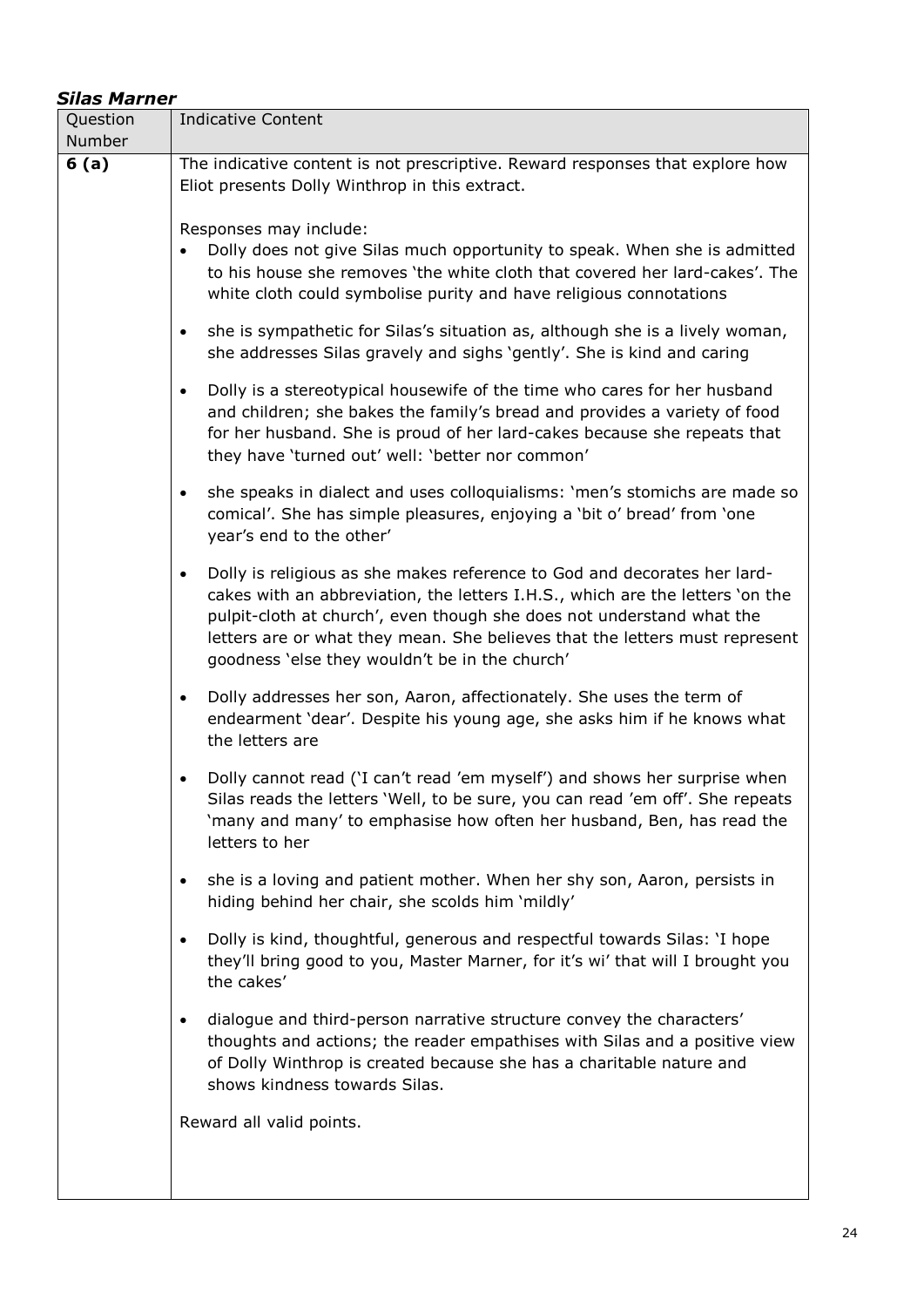| <b>Silas Marner</b> |                                                                                                                                                                                                                                                                                                                                                                                  |
|---------------------|----------------------------------------------------------------------------------------------------------------------------------------------------------------------------------------------------------------------------------------------------------------------------------------------------------------------------------------------------------------------------------|
| Question            | <b>Indicative Content</b>                                                                                                                                                                                                                                                                                                                                                        |
| Number              |                                                                                                                                                                                                                                                                                                                                                                                  |
| 6(a)                | The indicative content is not prescriptive. Reward responses that explore how<br>Eliot presents Dolly Winthrop in this extract.                                                                                                                                                                                                                                                  |
|                     | Responses may include:<br>Dolly does not give Silas much opportunity to speak. When she is admitted<br>to his house she removes 'the white cloth that covered her lard-cakes'. The<br>white cloth could symbolise purity and have religious connotations                                                                                                                         |
|                     | she is sympathetic for Silas's situation as, although she is a lively woman,<br>$\bullet$<br>she addresses Silas gravely and sighs 'gently'. She is kind and caring                                                                                                                                                                                                              |
|                     | Dolly is a stereotypical housewife of the time who cares for her husband<br>$\bullet$<br>and children; she bakes the family's bread and provides a variety of food<br>for her husband. She is proud of her lard-cakes because she repeats that<br>they have 'turned out' well: 'better nor common'                                                                               |
|                     | she speaks in dialect and uses colloquialisms: 'men's stomichs are made so<br>$\bullet$<br>comical'. She has simple pleasures, enjoying a 'bit o' bread' from 'one<br>year's end to the other'                                                                                                                                                                                   |
|                     | Dolly is religious as she makes reference to God and decorates her lard-<br>$\bullet$<br>cakes with an abbreviation, the letters I.H.S., which are the letters 'on the<br>pulpit-cloth at church', even though she does not understand what the<br>letters are or what they mean. She believes that the letters must represent<br>goodness 'else they wouldn't be in the church' |
|                     | Dolly addresses her son, Aaron, affectionately. She uses the term of<br>$\bullet$<br>endearment 'dear'. Despite his young age, she asks him if he knows what<br>the letters are                                                                                                                                                                                                  |
|                     | Dolly cannot read ('I can't read 'em myself') and shows her surprise when<br>Silas reads the letters 'Well, to be sure, you can read 'em off'. She repeats<br>'many and many' to emphasise how often her husband, Ben, has read the<br>letters to her                                                                                                                            |
|                     | she is a loving and patient mother. When her shy son, Aaron, persists in<br>$\bullet$<br>hiding behind her chair, she scolds him 'mildly'                                                                                                                                                                                                                                        |
|                     | Dolly is kind, thoughtful, generous and respectful towards Silas: 'I hope<br>$\bullet$<br>they'll bring good to you, Master Marner, for it's wi' that will I brought you<br>the cakes'                                                                                                                                                                                           |
|                     | dialogue and third-person narrative structure convey the characters'<br>$\bullet$<br>thoughts and actions; the reader empathises with Silas and a positive view<br>of Dolly Winthrop is created because she has a charitable nature and<br>shows kindness towards Silas.                                                                                                         |
|                     | Reward all valid points.                                                                                                                                                                                                                                                                                                                                                         |
|                     |                                                                                                                                                                                                                                                                                                                                                                                  |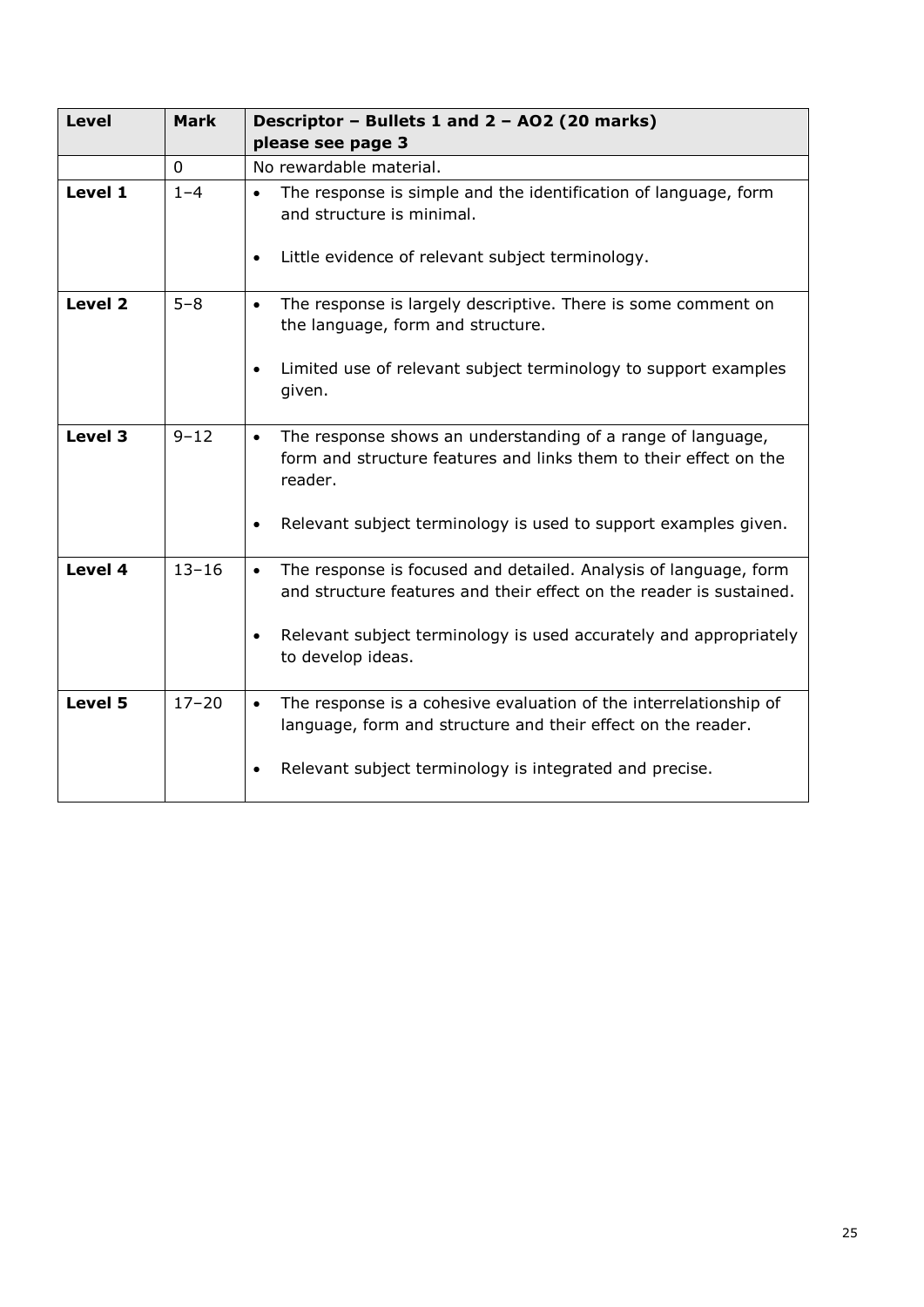| <b>Level</b> | <b>Mark</b>  | Descriptor - Bullets 1 and 2 - AO2 (20 marks)<br>please see page 3                                                                                                                                                                     |
|--------------|--------------|----------------------------------------------------------------------------------------------------------------------------------------------------------------------------------------------------------------------------------------|
|              | $\mathbf{0}$ | No rewardable material.                                                                                                                                                                                                                |
| Level 1      | $1 - 4$      | The response is simple and the identification of language, form<br>$\bullet$<br>and structure is minimal.<br>Little evidence of relevant subject terminology.<br>$\bullet$                                                             |
| Level 2      | $5 - 8$      | The response is largely descriptive. There is some comment on<br>$\bullet$<br>the language, form and structure.<br>Limited use of relevant subject terminology to support examples<br>$\bullet$                                        |
|              |              | given.                                                                                                                                                                                                                                 |
| Level 3      | $9 - 12$     | The response shows an understanding of a range of language,<br>$\bullet$<br>form and structure features and links them to their effect on the<br>reader.                                                                               |
|              |              | Relevant subject terminology is used to support examples given.<br>$\bullet$                                                                                                                                                           |
| Level 4      | $13 - 16$    | The response is focused and detailed. Analysis of language, form<br>$\bullet$<br>and structure features and their effect on the reader is sustained.<br>Relevant subject terminology is used accurately and appropriately<br>$\bullet$ |
|              |              | to develop ideas.                                                                                                                                                                                                                      |
| Level 5      | $17 - 20$    | The response is a cohesive evaluation of the interrelationship of<br>$\bullet$<br>language, form and structure and their effect on the reader.                                                                                         |
|              |              | Relevant subject terminology is integrated and precise.                                                                                                                                                                                |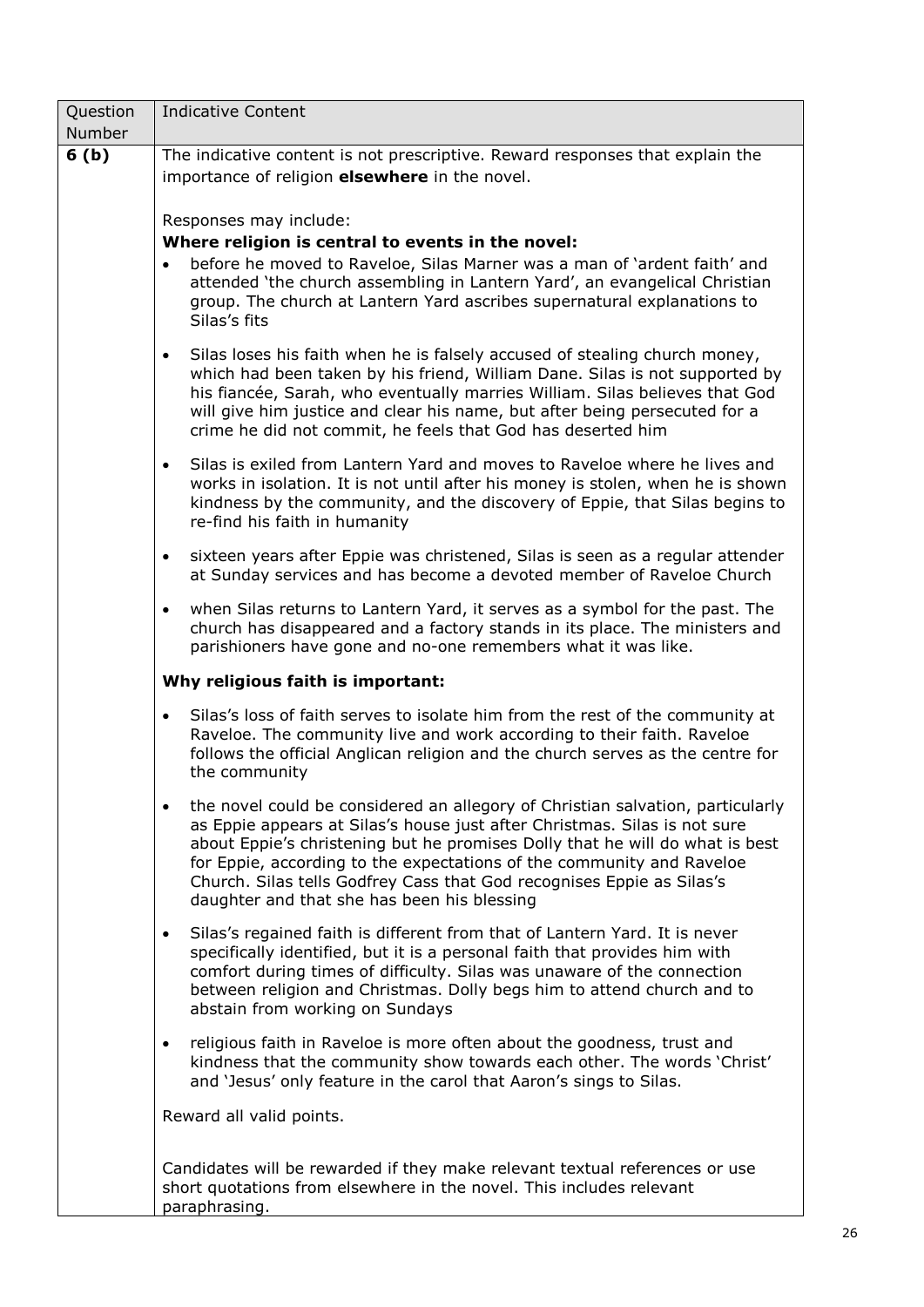| Question<br>Number | <b>Indicative Content</b>                                                                                                                                                                                                                                                                                                                                                                                                                    |  |  |  |
|--------------------|----------------------------------------------------------------------------------------------------------------------------------------------------------------------------------------------------------------------------------------------------------------------------------------------------------------------------------------------------------------------------------------------------------------------------------------------|--|--|--|
| 6(b)               | The indicative content is not prescriptive. Reward responses that explain the<br>importance of religion <b>elsewhere</b> in the novel.                                                                                                                                                                                                                                                                                                       |  |  |  |
|                    | Responses may include:<br>Where religion is central to events in the novel:                                                                                                                                                                                                                                                                                                                                                                  |  |  |  |
|                    | before he moved to Raveloe, Silas Marner was a man of 'ardent faith' and<br>$\bullet$<br>attended 'the church assembling in Lantern Yard', an evangelical Christian<br>group. The church at Lantern Yard ascribes supernatural explanations to<br>Silas's fits                                                                                                                                                                               |  |  |  |
|                    | Silas loses his faith when he is falsely accused of stealing church money,<br>$\bullet$<br>which had been taken by his friend, William Dane. Silas is not supported by<br>his fiancée, Sarah, who eventually marries William. Silas believes that God<br>will give him justice and clear his name, but after being persecuted for a<br>crime he did not commit, he feels that God has deserted him                                           |  |  |  |
|                    | Silas is exiled from Lantern Yard and moves to Raveloe where he lives and<br>$\bullet$<br>works in isolation. It is not until after his money is stolen, when he is shown<br>kindness by the community, and the discovery of Eppie, that Silas begins to<br>re-find his faith in humanity                                                                                                                                                    |  |  |  |
|                    | sixteen years after Eppie was christened, Silas is seen as a regular attender<br>$\bullet$<br>at Sunday services and has become a devoted member of Raveloe Church                                                                                                                                                                                                                                                                           |  |  |  |
|                    | when Silas returns to Lantern Yard, it serves as a symbol for the past. The<br>$\bullet$<br>church has disappeared and a factory stands in its place. The ministers and<br>parishioners have gone and no-one remembers what it was like.                                                                                                                                                                                                     |  |  |  |
|                    | Why religious faith is important:                                                                                                                                                                                                                                                                                                                                                                                                            |  |  |  |
|                    | Silas's loss of faith serves to isolate him from the rest of the community at<br>$\bullet$<br>Raveloe. The community live and work according to their faith. Raveloe<br>follows the official Anglican religion and the church serves as the centre for<br>the community                                                                                                                                                                      |  |  |  |
|                    | the novel could be considered an allegory of Christian salvation, particularly<br>as Eppie appears at Silas's house just after Christmas. Silas is not sure<br>about Eppie's christening but he promises Dolly that he will do what is best<br>for Eppie, according to the expectations of the community and Raveloe<br>Church. Silas tells Godfrey Cass that God recognises Eppie as Silas's<br>daughter and that she has been his blessing |  |  |  |
|                    | Silas's regained faith is different from that of Lantern Yard. It is never<br>$\bullet$<br>specifically identified, but it is a personal faith that provides him with<br>comfort during times of difficulty. Silas was unaware of the connection<br>between religion and Christmas. Dolly begs him to attend church and to<br>abstain from working on Sundays                                                                                |  |  |  |
|                    | religious faith in Raveloe is more often about the goodness, trust and<br>$\bullet$<br>kindness that the community show towards each other. The words 'Christ'<br>and 'Jesus' only feature in the carol that Aaron's sings to Silas.                                                                                                                                                                                                         |  |  |  |
|                    | Reward all valid points.                                                                                                                                                                                                                                                                                                                                                                                                                     |  |  |  |
|                    | Candidates will be rewarded if they make relevant textual references or use<br>short quotations from elsewhere in the novel. This includes relevant<br>paraphrasing.                                                                                                                                                                                                                                                                         |  |  |  |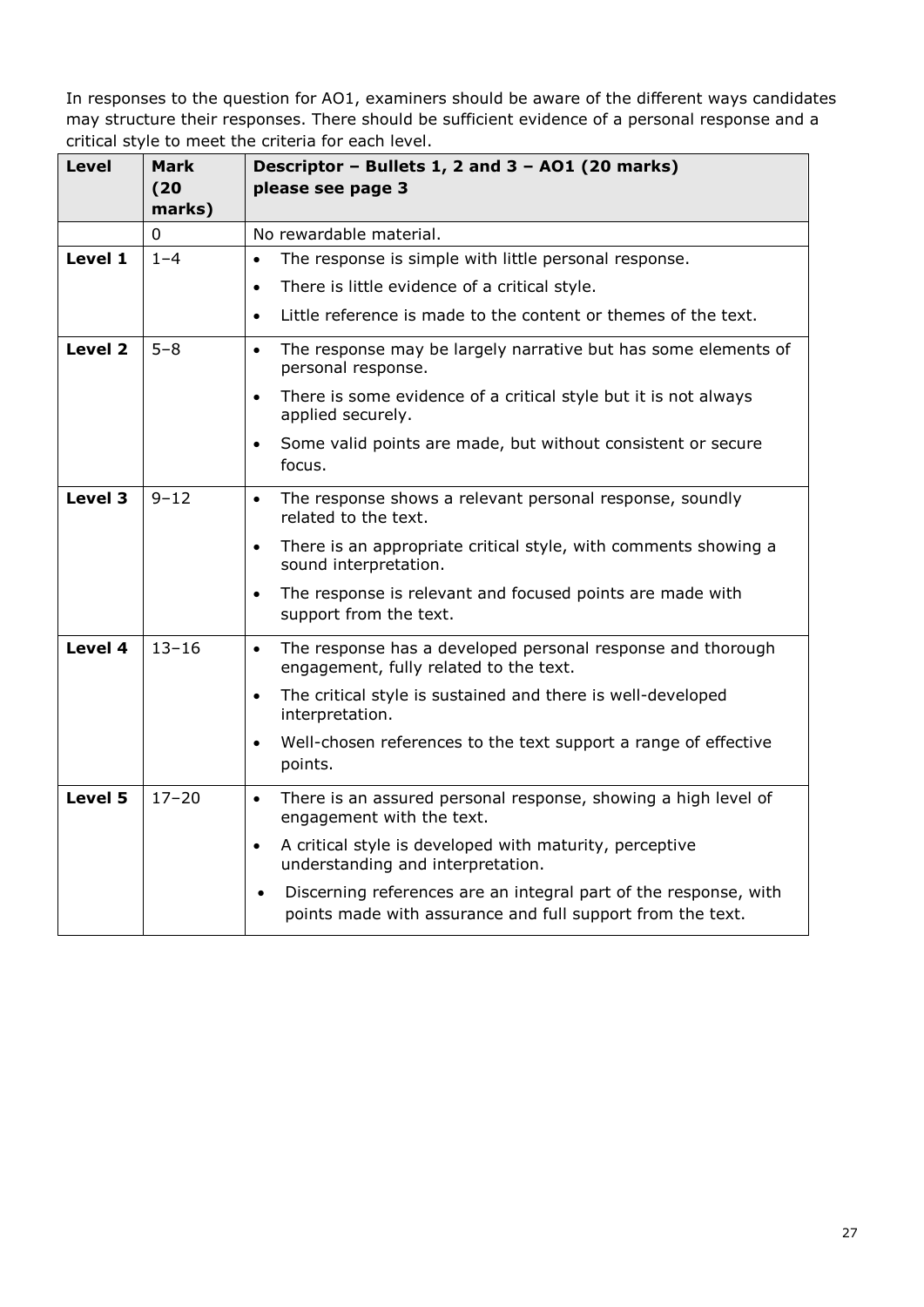| <b>Level</b> | Mark<br>(20)<br>marks) | Descriptor - Bullets 1, 2 and 3 - A01 (20 marks)<br>please see page 3                                                                       |
|--------------|------------------------|---------------------------------------------------------------------------------------------------------------------------------------------|
|              | 0                      | No rewardable material.                                                                                                                     |
| Level 1      | $1 - 4$                | The response is simple with little personal response.<br>$\bullet$                                                                          |
|              |                        | There is little evidence of a critical style.<br>$\bullet$                                                                                  |
|              |                        | Little reference is made to the content or themes of the text.<br>$\bullet$                                                                 |
| Level 2      | $5 - 8$                | The response may be largely narrative but has some elements of<br>$\bullet$<br>personal response.                                           |
|              |                        | There is some evidence of a critical style but it is not always<br>$\bullet$<br>applied securely.                                           |
|              |                        | Some valid points are made, but without consistent or secure<br>$\bullet$<br>focus.                                                         |
| Level 3      | $9 - 12$               | The response shows a relevant personal response, soundly<br>$\bullet$<br>related to the text.                                               |
|              |                        | There is an appropriate critical style, with comments showing a<br>$\bullet$<br>sound interpretation.                                       |
|              |                        | The response is relevant and focused points are made with<br>$\bullet$<br>support from the text.                                            |
| Level 4      | $13 - 16$              | The response has a developed personal response and thorough<br>$\bullet$<br>engagement, fully related to the text.                          |
|              |                        | The critical style is sustained and there is well-developed<br>$\bullet$<br>interpretation.                                                 |
|              |                        | Well-chosen references to the text support a range of effective<br>$\bullet$<br>points.                                                     |
| Level 5      | $17 - 20$              | There is an assured personal response, showing a high level of<br>$\bullet$<br>engagement with the text.                                    |
|              |                        | A critical style is developed with maturity, perceptive<br>$\bullet$<br>understanding and interpretation.                                   |
|              |                        | Discerning references are an integral part of the response, with<br>$\bullet$<br>points made with assurance and full support from the text. |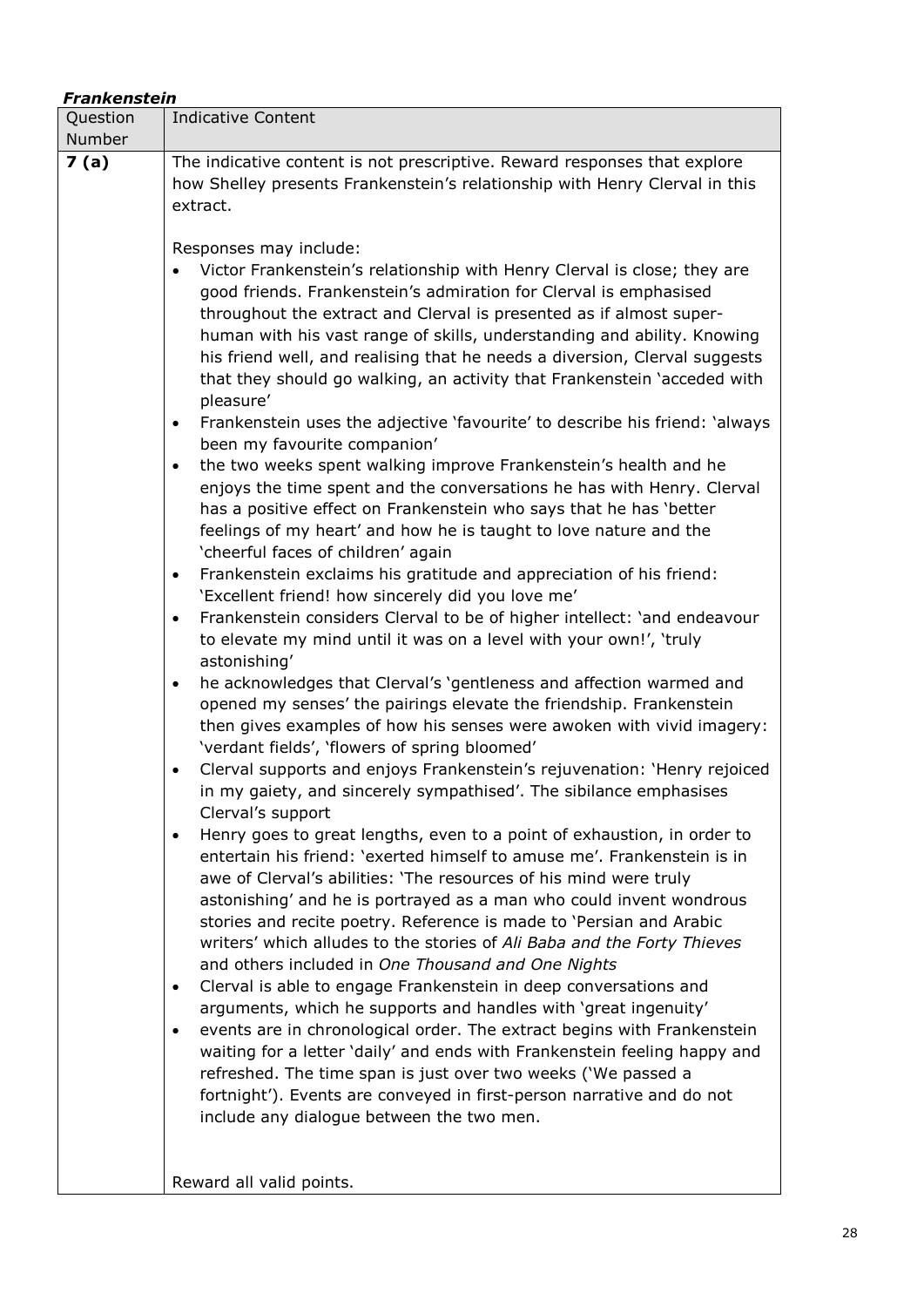| Question<br>Number | <b>Indicative Content</b>                                                                                                                                                                                                                                                                                                                                                                                                                                                                                                                                                                                                                                                                                                                                                                                                                                                                                                                                                                                                                                                                                                                                                                                                                                                                                                                                                                                                                                                                                                                                                                                                                                                                                                                                                                                                                                                                                                                                                                                                                                                                                                                                                                                                                                                                                                                                                                                                                                                                                                                                                                                                                                                                                                                                                                                        |
|--------------------|------------------------------------------------------------------------------------------------------------------------------------------------------------------------------------------------------------------------------------------------------------------------------------------------------------------------------------------------------------------------------------------------------------------------------------------------------------------------------------------------------------------------------------------------------------------------------------------------------------------------------------------------------------------------------------------------------------------------------------------------------------------------------------------------------------------------------------------------------------------------------------------------------------------------------------------------------------------------------------------------------------------------------------------------------------------------------------------------------------------------------------------------------------------------------------------------------------------------------------------------------------------------------------------------------------------------------------------------------------------------------------------------------------------------------------------------------------------------------------------------------------------------------------------------------------------------------------------------------------------------------------------------------------------------------------------------------------------------------------------------------------------------------------------------------------------------------------------------------------------------------------------------------------------------------------------------------------------------------------------------------------------------------------------------------------------------------------------------------------------------------------------------------------------------------------------------------------------------------------------------------------------------------------------------------------------------------------------------------------------------------------------------------------------------------------------------------------------------------------------------------------------------------------------------------------------------------------------------------------------------------------------------------------------------------------------------------------------------------------------------------------------------------------------------------------------|
| 7(a)               | The indicative content is not prescriptive. Reward responses that explore<br>how Shelley presents Frankenstein's relationship with Henry Clerval in this<br>extract.                                                                                                                                                                                                                                                                                                                                                                                                                                                                                                                                                                                                                                                                                                                                                                                                                                                                                                                                                                                                                                                                                                                                                                                                                                                                                                                                                                                                                                                                                                                                                                                                                                                                                                                                                                                                                                                                                                                                                                                                                                                                                                                                                                                                                                                                                                                                                                                                                                                                                                                                                                                                                                             |
|                    | Responses may include:<br>Victor Frankenstein's relationship with Henry Clerval is close; they are<br>good friends. Frankenstein's admiration for Clerval is emphasised<br>throughout the extract and Clerval is presented as if almost super-<br>human with his vast range of skills, understanding and ability. Knowing<br>his friend well, and realising that he needs a diversion, Clerval suggests<br>that they should go walking, an activity that Frankenstein 'acceded with<br>pleasure'<br>Frankenstein uses the adjective 'favourite' to describe his friend: 'always<br>$\bullet$<br>been my favourite companion'<br>the two weeks spent walking improve Frankenstein's health and he<br>$\bullet$<br>enjoys the time spent and the conversations he has with Henry. Clerval<br>has a positive effect on Frankenstein who says that he has 'better<br>feelings of my heart' and how he is taught to love nature and the<br>'cheerful faces of children' again<br>Frankenstein exclaims his gratitude and appreciation of his friend:<br>$\bullet$<br>'Excellent friend! how sincerely did you love me'<br>Frankenstein considers Clerval to be of higher intellect: 'and endeavour<br>$\bullet$<br>to elevate my mind until it was on a level with your own!', 'truly<br>astonishing'<br>he acknowledges that Clerval's 'gentleness and affection warmed and<br>$\bullet$<br>opened my senses' the pairings elevate the friendship. Frankenstein<br>then gives examples of how his senses were awoken with vivid imagery:<br>'verdant fields', 'flowers of spring bloomed'<br>Clerval supports and enjoys Frankenstein's rejuvenation: 'Henry rejoiced<br>$\bullet$<br>in my gaiety, and sincerely sympathised'. The sibilance emphasises<br>Clerval's support<br>Henry goes to great lengths, even to a point of exhaustion, in order to<br>$\bullet$<br>entertain his friend: 'exerted himself to amuse me'. Frankenstein is in<br>awe of Clerval's abilities: 'The resources of his mind were truly<br>astonishing' and he is portrayed as a man who could invent wondrous<br>stories and recite poetry. Reference is made to 'Persian and Arabic<br>writers' which alludes to the stories of Ali Baba and the Forty Thieves<br>and others included in One Thousand and One Nights<br>Clerval is able to engage Frankenstein in deep conversations and<br>$\bullet$<br>arguments, which he supports and handles with 'great ingenuity'<br>events are in chronological order. The extract begins with Frankenstein<br>$\bullet$<br>waiting for a letter 'daily' and ends with Frankenstein feeling happy and<br>refreshed. The time span is just over two weeks ('We passed a<br>fortnight'). Events are conveyed in first-person narrative and do not<br>include any dialogue between the two men. |
|                    | Reward all valid points.                                                                                                                                                                                                                                                                                                                                                                                                                                                                                                                                                                                                                                                                                                                                                                                                                                                                                                                                                                                                                                                                                                                                                                                                                                                                                                                                                                                                                                                                                                                                                                                                                                                                                                                                                                                                                                                                                                                                                                                                                                                                                                                                                                                                                                                                                                                                                                                                                                                                                                                                                                                                                                                                                                                                                                                         |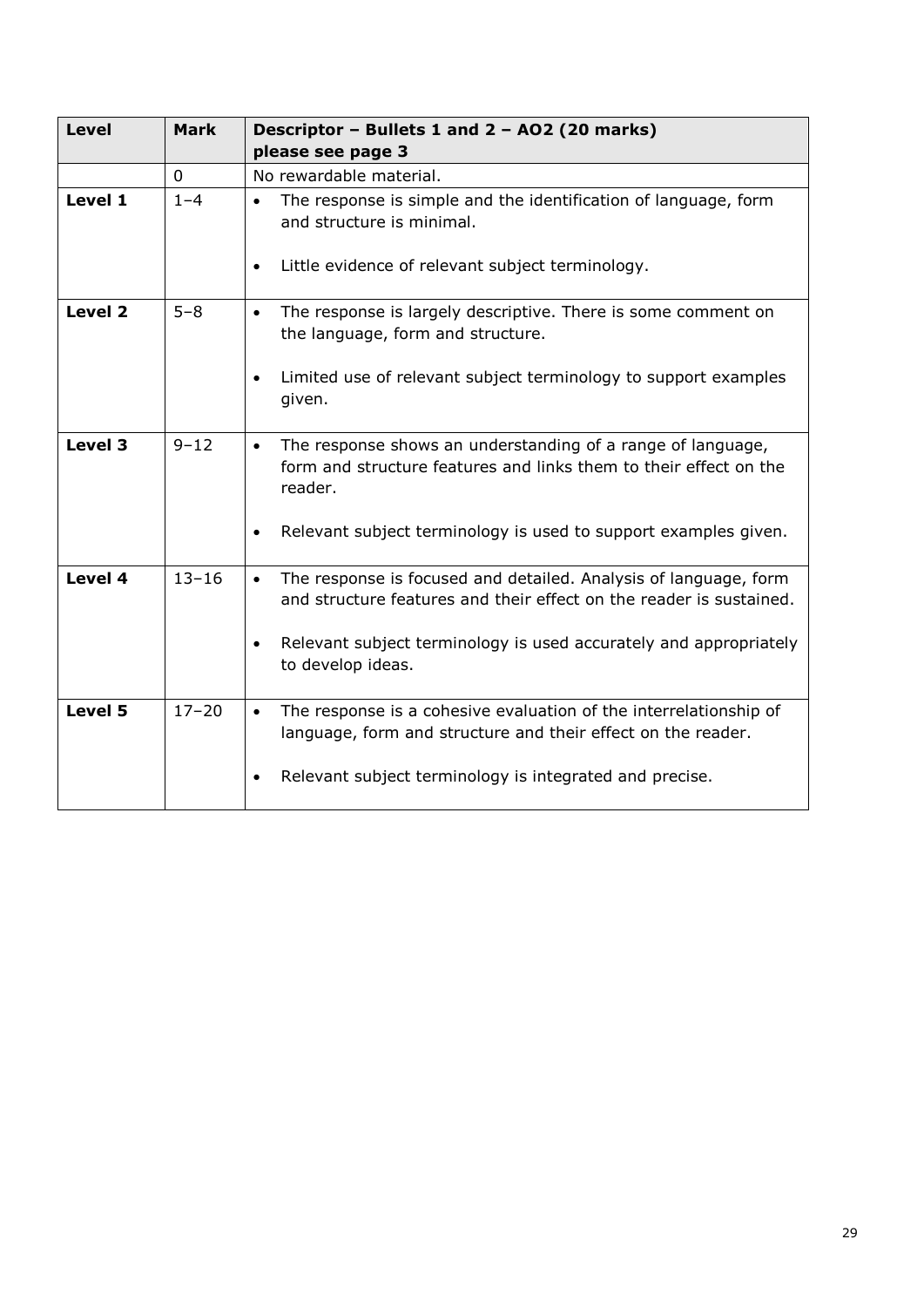| <b>Level</b> | <b>Mark</b> | Descriptor - Bullets 1 and 2 - AO2 (20 marks)<br>please see page 3                                                                                                                                                                             |
|--------------|-------------|------------------------------------------------------------------------------------------------------------------------------------------------------------------------------------------------------------------------------------------------|
|              | $\mathbf 0$ | No rewardable material.                                                                                                                                                                                                                        |
| Level 1      | $1 - 4$     | The response is simple and the identification of language, form<br>$\bullet$<br>and structure is minimal.<br>Little evidence of relevant subject terminology.<br>$\bullet$                                                                     |
| Level 2      | $5 - 8$     | The response is largely descriptive. There is some comment on<br>$\bullet$<br>the language, form and structure.<br>Limited use of relevant subject terminology to support examples<br>given.                                                   |
| Level 3      | $9 - 12$    | The response shows an understanding of a range of language,<br>$\bullet$<br>form and structure features and links them to their effect on the<br>reader.<br>Relevant subject terminology is used to support examples given.                    |
| Level 4      | $13 - 16$   | The response is focused and detailed. Analysis of language, form<br>$\bullet$<br>and structure features and their effect on the reader is sustained.<br>Relevant subject terminology is used accurately and appropriately<br>to develop ideas. |
| Level 5      | $17 - 20$   | The response is a cohesive evaluation of the interrelationship of<br>$\bullet$<br>language, form and structure and their effect on the reader.<br>Relevant subject terminology is integrated and precise.                                      |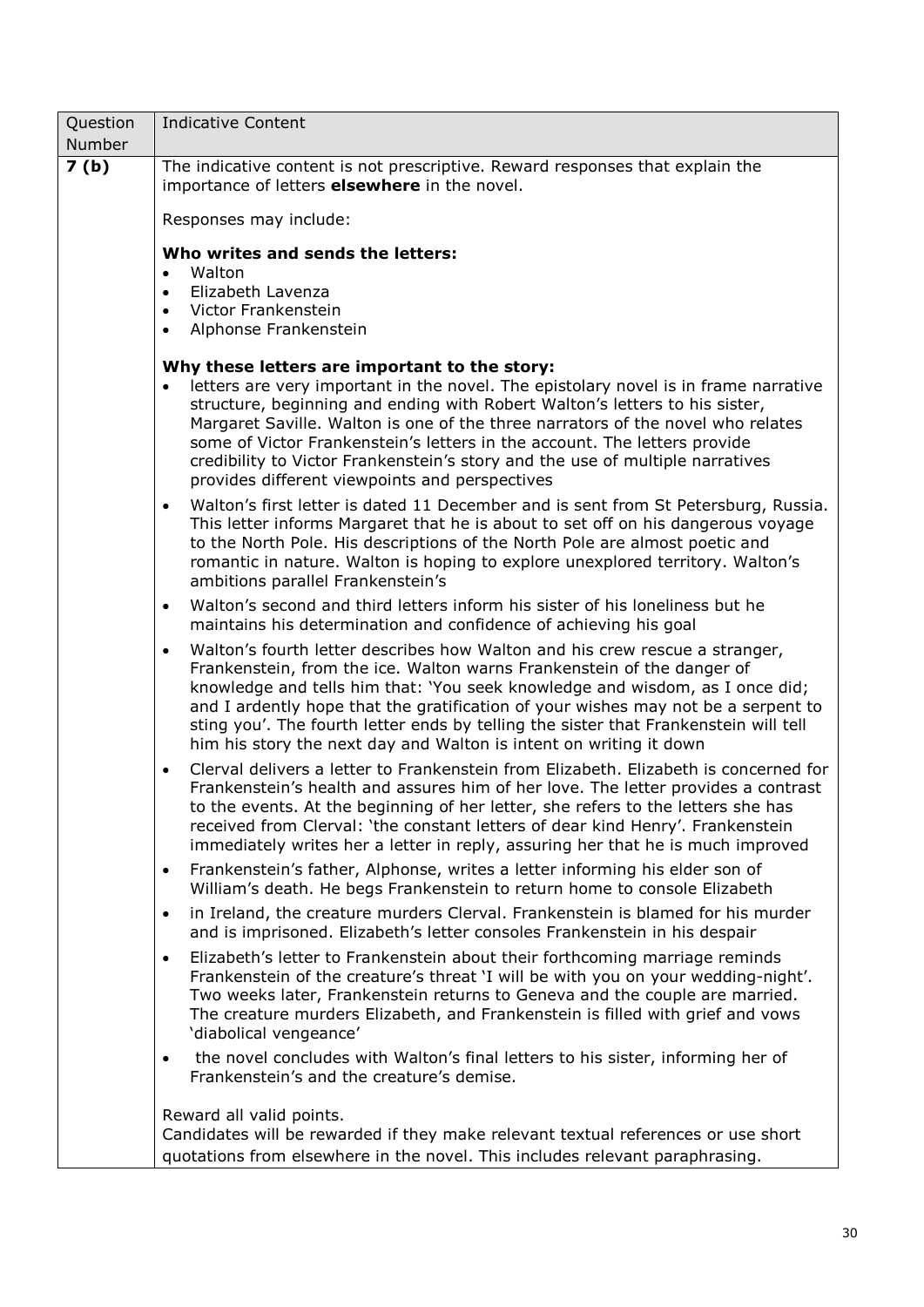| Question | <b>Indicative Content</b>                                                                                                                                                                                                                                                                                                                                                                                                                                                                                                           |  |  |
|----------|-------------------------------------------------------------------------------------------------------------------------------------------------------------------------------------------------------------------------------------------------------------------------------------------------------------------------------------------------------------------------------------------------------------------------------------------------------------------------------------------------------------------------------------|--|--|
| Number   |                                                                                                                                                                                                                                                                                                                                                                                                                                                                                                                                     |  |  |
| 7(b)     | The indicative content is not prescriptive. Reward responses that explain the<br>importance of letters <b>elsewhere</b> in the novel.                                                                                                                                                                                                                                                                                                                                                                                               |  |  |
|          | Responses may include:                                                                                                                                                                                                                                                                                                                                                                                                                                                                                                              |  |  |
|          | Who writes and sends the letters:<br>Walton<br>$\bullet$                                                                                                                                                                                                                                                                                                                                                                                                                                                                            |  |  |
|          | Elizabeth Lavenza<br>$\bullet$<br>Victor Frankenstein<br>$\bullet$<br>Alphonse Frankenstein<br>$\bullet$                                                                                                                                                                                                                                                                                                                                                                                                                            |  |  |
|          |                                                                                                                                                                                                                                                                                                                                                                                                                                                                                                                                     |  |  |
|          | Why these letters are important to the story:<br>letters are very important in the novel. The epistolary novel is in frame narrative<br>$\bullet$<br>structure, beginning and ending with Robert Walton's letters to his sister,<br>Margaret Saville. Walton is one of the three narrators of the novel who relates<br>some of Victor Frankenstein's letters in the account. The letters provide<br>credibility to Victor Frankenstein's story and the use of multiple narratives<br>provides different viewpoints and perspectives |  |  |
|          | Walton's first letter is dated 11 December and is sent from St Petersburg, Russia.<br>$\bullet$<br>This letter informs Margaret that he is about to set off on his dangerous voyage<br>to the North Pole. His descriptions of the North Pole are almost poetic and<br>romantic in nature. Walton is hoping to explore unexplored territory. Walton's<br>ambitions parallel Frankenstein's                                                                                                                                           |  |  |
|          | Walton's second and third letters inform his sister of his loneliness but he<br>$\bullet$<br>maintains his determination and confidence of achieving his goal                                                                                                                                                                                                                                                                                                                                                                       |  |  |
|          | Walton's fourth letter describes how Walton and his crew rescue a stranger,<br>$\bullet$<br>Frankenstein, from the ice. Walton warns Frankenstein of the danger of<br>knowledge and tells him that: 'You seek knowledge and wisdom, as I once did;<br>and I ardently hope that the gratification of your wishes may not be a serpent to<br>sting you'. The fourth letter ends by telling the sister that Frankenstein will tell<br>him his story the next day and Walton is intent on writing it down                               |  |  |
|          | Clerval delivers a letter to Frankenstein from Elizabeth. Elizabeth is concerned for<br>$\bullet$<br>Frankenstein's health and assures him of her love. The letter provides a contrast<br>to the events. At the beginning of her letter, she refers to the letters she has<br>received from Clerval: 'the constant letters of dear kind Henry'. Frankenstein<br>immediately writes her a letter in reply, assuring her that he is much improved                                                                                     |  |  |
|          | Frankenstein's father, Alphonse, writes a letter informing his elder son of<br>$\bullet$<br>William's death. He begs Frankenstein to return home to console Elizabeth                                                                                                                                                                                                                                                                                                                                                               |  |  |
|          | in Ireland, the creature murders Clerval. Frankenstein is blamed for his murder<br>$\bullet$<br>and is imprisoned. Elizabeth's letter consoles Frankenstein in his despair                                                                                                                                                                                                                                                                                                                                                          |  |  |
|          | Elizabeth's letter to Frankenstein about their forthcoming marriage reminds<br>$\bullet$<br>Frankenstein of the creature's threat 'I will be with you on your wedding-night'.<br>Two weeks later, Frankenstein returns to Geneva and the couple are married.<br>The creature murders Elizabeth, and Frankenstein is filled with grief and vows<br>'diabolical vengeance'                                                                                                                                                            |  |  |
|          | the novel concludes with Walton's final letters to his sister, informing her of<br>$\bullet$<br>Frankenstein's and the creature's demise.                                                                                                                                                                                                                                                                                                                                                                                           |  |  |
|          | Reward all valid points.<br>Candidates will be rewarded if they make relevant textual references or use short<br>quotations from elsewhere in the novel. This includes relevant paraphrasing.                                                                                                                                                                                                                                                                                                                                       |  |  |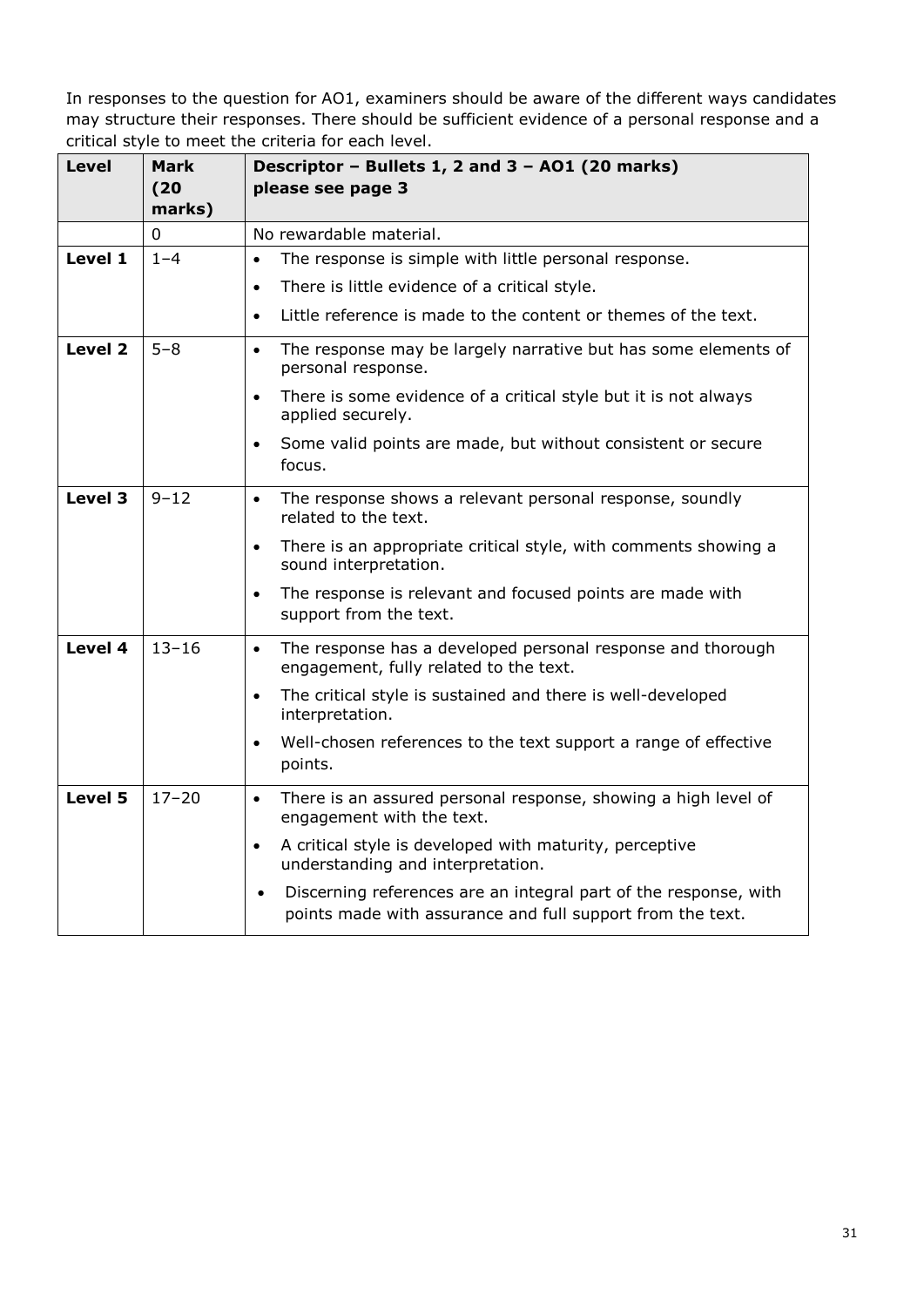| <b>Level</b> | Mark<br>(20)<br>marks) | Descriptor - Bullets 1, 2 and 3 - A01 (20 marks)<br>please see page 3                                                                       |
|--------------|------------------------|---------------------------------------------------------------------------------------------------------------------------------------------|
|              | 0                      | No rewardable material.                                                                                                                     |
| Level 1      | $1 - 4$                | The response is simple with little personal response.<br>$\bullet$                                                                          |
|              |                        | There is little evidence of a critical style.<br>$\bullet$                                                                                  |
|              |                        | Little reference is made to the content or themes of the text.<br>$\bullet$                                                                 |
| Level 2      | $5 - 8$                | The response may be largely narrative but has some elements of<br>$\bullet$<br>personal response.                                           |
|              |                        | There is some evidence of a critical style but it is not always<br>$\bullet$<br>applied securely.                                           |
|              |                        | Some valid points are made, but without consistent or secure<br>$\bullet$<br>focus.                                                         |
| Level 3      | $9 - 12$               | The response shows a relevant personal response, soundly<br>$\bullet$<br>related to the text.                                               |
|              |                        | There is an appropriate critical style, with comments showing a<br>$\bullet$<br>sound interpretation.                                       |
|              |                        | The response is relevant and focused points are made with<br>$\bullet$<br>support from the text.                                            |
| Level 4      | $13 - 16$              | The response has a developed personal response and thorough<br>$\bullet$<br>engagement, fully related to the text.                          |
|              |                        | The critical style is sustained and there is well-developed<br>$\bullet$<br>interpretation.                                                 |
|              |                        | Well-chosen references to the text support a range of effective<br>$\bullet$<br>points.                                                     |
| Level 5      | $17 - 20$              | There is an assured personal response, showing a high level of<br>$\bullet$<br>engagement with the text.                                    |
|              |                        | A critical style is developed with maturity, perceptive<br>$\bullet$<br>understanding and interpretation.                                   |
|              |                        | Discerning references are an integral part of the response, with<br>$\bullet$<br>points made with assurance and full support from the text. |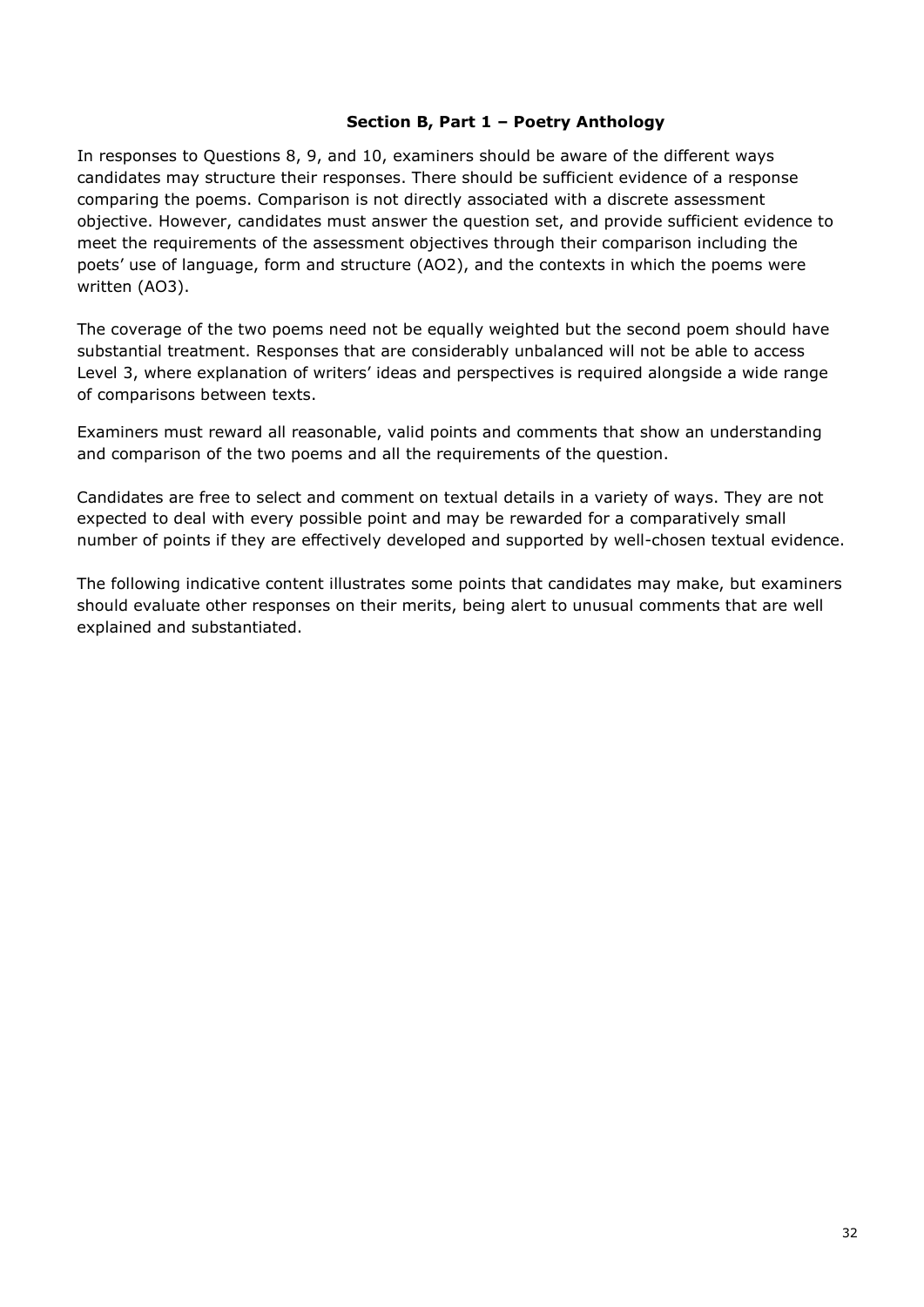#### **Section B, Part 1 – Poetry Anthology**

In responses to Questions 8, 9, and 10, examiners should be aware of the different ways candidates may structure their responses. There should be sufficient evidence of a response comparing the poems. Comparison is not directly associated with a discrete assessment objective. However, candidates must answer the question set, and provide sufficient evidence to meet the requirements of the assessment objectives through their comparison including the poets' use of language, form and structure (AO2), and the contexts in which the poems were written (AO3).

The coverage of the two poems need not be equally weighted but the second poem should have substantial treatment. Responses that are considerably unbalanced will not be able to access Level 3, where explanation of writers' ideas and perspectives is required alongside a wide range of comparisons between texts.

Examiners must reward all reasonable, valid points and comments that show an understanding and comparison of the two poems and all the requirements of the question.

Candidates are free to select and comment on textual details in a variety of ways. They are not expected to deal with every possible point and may be rewarded for a comparatively small number of points if they are effectively developed and supported by well-chosen textual evidence.

The following indicative content illustrates some points that candidates may make, but examiners should evaluate other responses on their merits, being alert to unusual comments that are well explained and substantiated.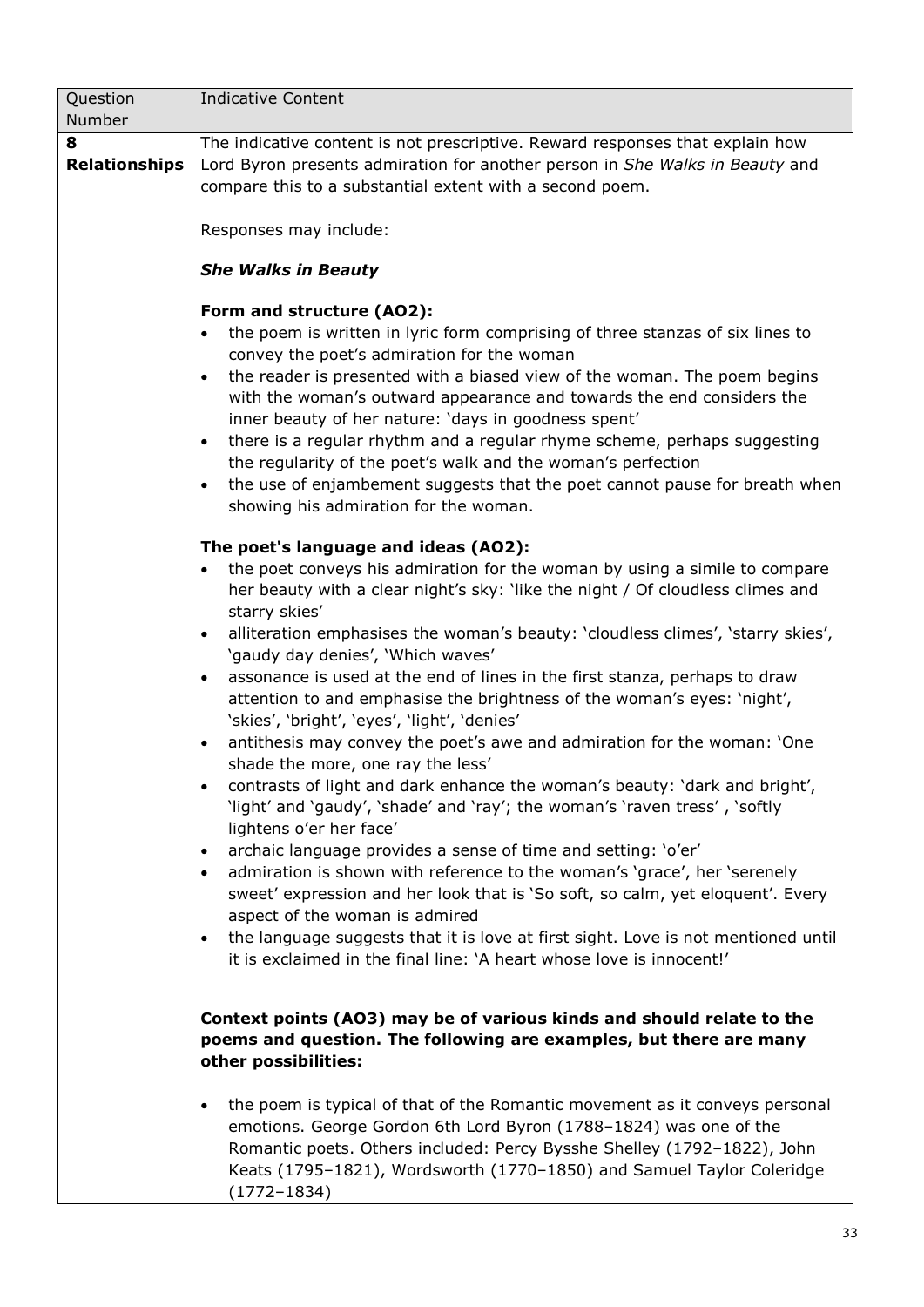| Question                  | <b>Indicative Content</b>                                                                                                                                                                                                                                                                                                                                                                                                                                                                                                                                                                                                                                                                    |
|---------------------------|----------------------------------------------------------------------------------------------------------------------------------------------------------------------------------------------------------------------------------------------------------------------------------------------------------------------------------------------------------------------------------------------------------------------------------------------------------------------------------------------------------------------------------------------------------------------------------------------------------------------------------------------------------------------------------------------|
| Number                    |                                                                                                                                                                                                                                                                                                                                                                                                                                                                                                                                                                                                                                                                                              |
| 8<br><b>Relationships</b> | The indicative content is not prescriptive. Reward responses that explain how<br>Lord Byron presents admiration for another person in She Walks in Beauty and<br>compare this to a substantial extent with a second poem.<br>Responses may include:                                                                                                                                                                                                                                                                                                                                                                                                                                          |
|                           | <b>She Walks in Beauty</b>                                                                                                                                                                                                                                                                                                                                                                                                                                                                                                                                                                                                                                                                   |
|                           | Form and structure (AO2):<br>the poem is written in lyric form comprising of three stanzas of six lines to<br>$\bullet$<br>convey the poet's admiration for the woman<br>the reader is presented with a biased view of the woman. The poem begins<br>$\bullet$<br>with the woman's outward appearance and towards the end considers the<br>inner beauty of her nature: 'days in goodness spent'<br>there is a regular rhythm and a regular rhyme scheme, perhaps suggesting<br>$\bullet$<br>the regularity of the poet's walk and the woman's perfection<br>the use of enjambement suggests that the poet cannot pause for breath when<br>$\bullet$<br>showing his admiration for the woman. |
|                           | The poet's language and ideas (AO2):                                                                                                                                                                                                                                                                                                                                                                                                                                                                                                                                                                                                                                                         |
|                           | the poet conveys his admiration for the woman by using a simile to compare<br>$\bullet$<br>her beauty with a clear night's sky: 'like the night / Of cloudless climes and<br>starry skies'                                                                                                                                                                                                                                                                                                                                                                                                                                                                                                   |
|                           | alliteration emphasises the woman's beauty: 'cloudless climes', 'starry skies',<br>$\bullet$<br>'gaudy day denies', 'Which waves'                                                                                                                                                                                                                                                                                                                                                                                                                                                                                                                                                            |
|                           | assonance is used at the end of lines in the first stanza, perhaps to draw<br>$\bullet$<br>attention to and emphasise the brightness of the woman's eyes: 'night',<br>'skies', 'bright', 'eyes', 'light', 'denies'                                                                                                                                                                                                                                                                                                                                                                                                                                                                           |
|                           | antithesis may convey the poet's awe and admiration for the woman: 'One<br>٠<br>shade the more, one ray the less'                                                                                                                                                                                                                                                                                                                                                                                                                                                                                                                                                                            |
|                           | contrasts of light and dark enhance the woman's beauty: 'dark and bright',<br>'light' and 'gaudy', 'shade' and 'ray'; the woman's 'raven tress', 'softly<br>lightens o'er her face'                                                                                                                                                                                                                                                                                                                                                                                                                                                                                                          |
|                           | archaic language provides a sense of time and setting: 'o'er'<br>٠<br>admiration is shown with reference to the woman's 'grace', her 'serenely<br>$\bullet$<br>sweet' expression and her look that is 'So soft, so calm, yet eloquent'. Every<br>aspect of the woman is admired<br>the language suggests that it is love at first sight. Love is not mentioned until<br>$\bullet$<br>it is exclaimed in the final line: 'A heart whose love is innocent!'                                                                                                                                                                                                                                    |
|                           | Context points (AO3) may be of various kinds and should relate to the<br>poems and question. The following are examples, but there are many<br>other possibilities:                                                                                                                                                                                                                                                                                                                                                                                                                                                                                                                          |
|                           | the poem is typical of that of the Romantic movement as it conveys personal<br>٠<br>emotions. George Gordon 6th Lord Byron (1788-1824) was one of the<br>Romantic poets. Others included: Percy Bysshe Shelley (1792-1822), John<br>Keats (1795-1821), Wordsworth (1770-1850) and Samuel Taylor Coleridge<br>$(1772 - 1834)$                                                                                                                                                                                                                                                                                                                                                                 |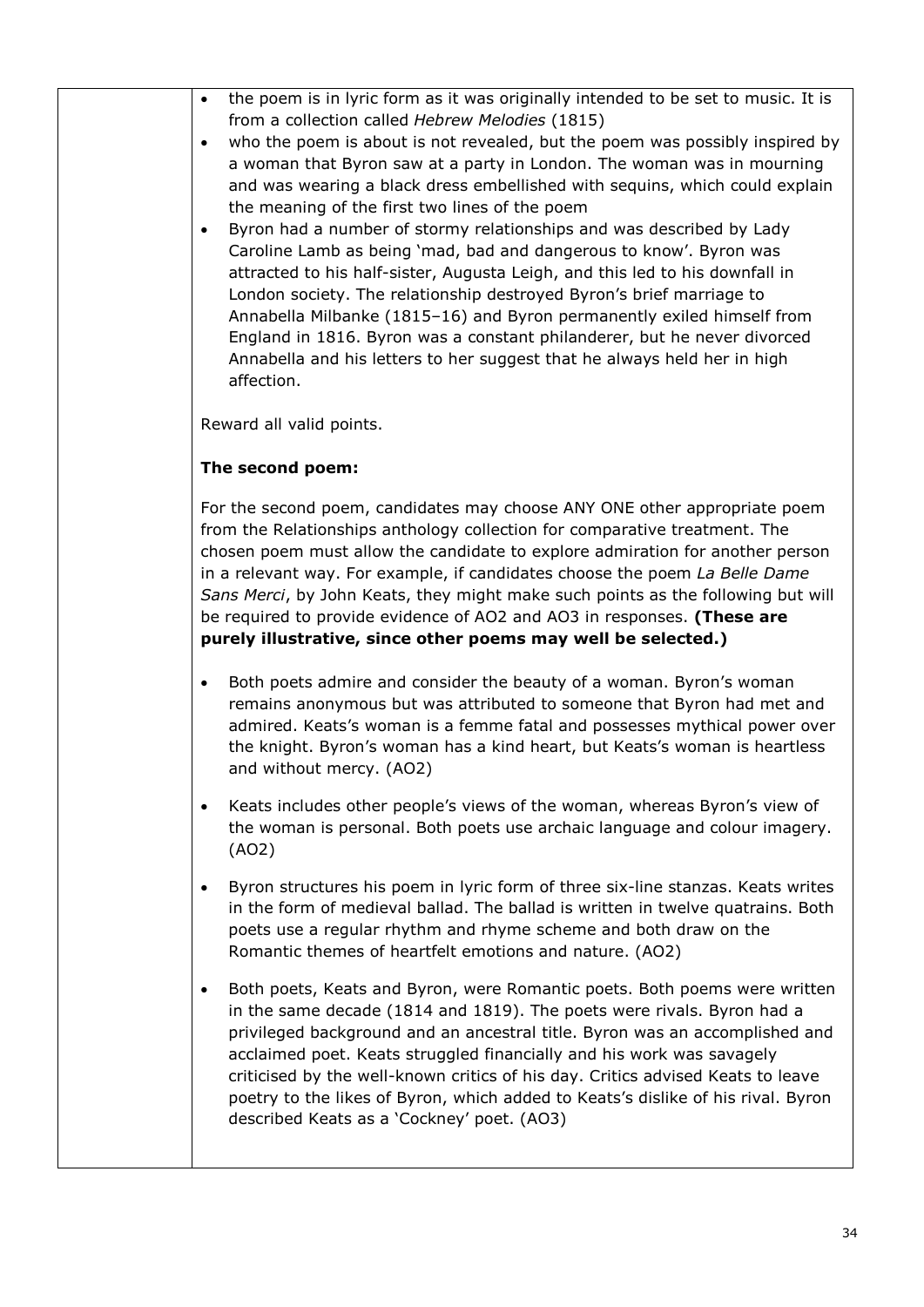| the poem is in lyric form as it was originally intended to be set to music. It is<br>$\bullet$<br>from a collection called Hebrew Melodies (1815)<br>who the poem is about is not revealed, but the poem was possibly inspired by<br>$\bullet$<br>a woman that Byron saw at a party in London. The woman was in mourning<br>and was wearing a black dress embellished with sequins, which could explain<br>the meaning of the first two lines of the poem<br>Byron had a number of stormy relationships and was described by Lady<br>$\bullet$<br>Caroline Lamb as being 'mad, bad and dangerous to know'. Byron was<br>attracted to his half-sister, Augusta Leigh, and this led to his downfall in<br>London society. The relationship destroyed Byron's brief marriage to<br>Annabella Milbanke (1815-16) and Byron permanently exiled himself from<br>England in 1816. Byron was a constant philanderer, but he never divorced<br>Annabella and his letters to her suggest that he always held her in high<br>affection. |
|------------------------------------------------------------------------------------------------------------------------------------------------------------------------------------------------------------------------------------------------------------------------------------------------------------------------------------------------------------------------------------------------------------------------------------------------------------------------------------------------------------------------------------------------------------------------------------------------------------------------------------------------------------------------------------------------------------------------------------------------------------------------------------------------------------------------------------------------------------------------------------------------------------------------------------------------------------------------------------------------------------------------------|
| Reward all valid points.                                                                                                                                                                                                                                                                                                                                                                                                                                                                                                                                                                                                                                                                                                                                                                                                                                                                                                                                                                                                     |
| The second poem:                                                                                                                                                                                                                                                                                                                                                                                                                                                                                                                                                                                                                                                                                                                                                                                                                                                                                                                                                                                                             |

For the second poem, candidates may choose ANY ONE other appropriate poem from the Relationships anthology collection for comparative treatment. The chosen poem must allow the candidate to explore admiration for another person in a relevant way. For example, if candidates choose the poem *La Belle Dame Sans Merci*, by John Keats, they might make such points as the following but will be required to provide evidence of AO2 and AO3 in responses. **(These are purely illustrative, since other poems may well be selected.)**

- Both poets admire and consider the beauty of a woman. Byron's woman remains anonymous but was attributed to someone that Byron had met and admired. Keats's woman is a femme fatal and possesses mythical power over the knight. Byron's woman has a kind heart, but Keats's woman is heartless and without mercy. (AO2)
- Keats includes other people's views of the woman, whereas Byron's view of the woman is personal. Both poets use archaic language and colour imagery. (AO2)
- Byron structures his poem in lyric form of three six-line stanzas. Keats writes in the form of medieval ballad. The ballad is written in twelve quatrains. Both poets use a regular rhythm and rhyme scheme and both draw on the Romantic themes of heartfelt emotions and nature. (AO2)
- Both poets, Keats and Byron, were Romantic poets. Both poems were written in the same decade (1814 and 1819). The poets were rivals. Byron had a privileged background and an ancestral title. Byron was an accomplished and acclaimed poet. Keats struggled financially and his work was savagely criticised by the well-known critics of his day. Critics advised Keats to leave poetry to the likes of Byron, which added to Keats's dislike of his rival. Byron described Keats as a 'Cockney' poet. (AO3)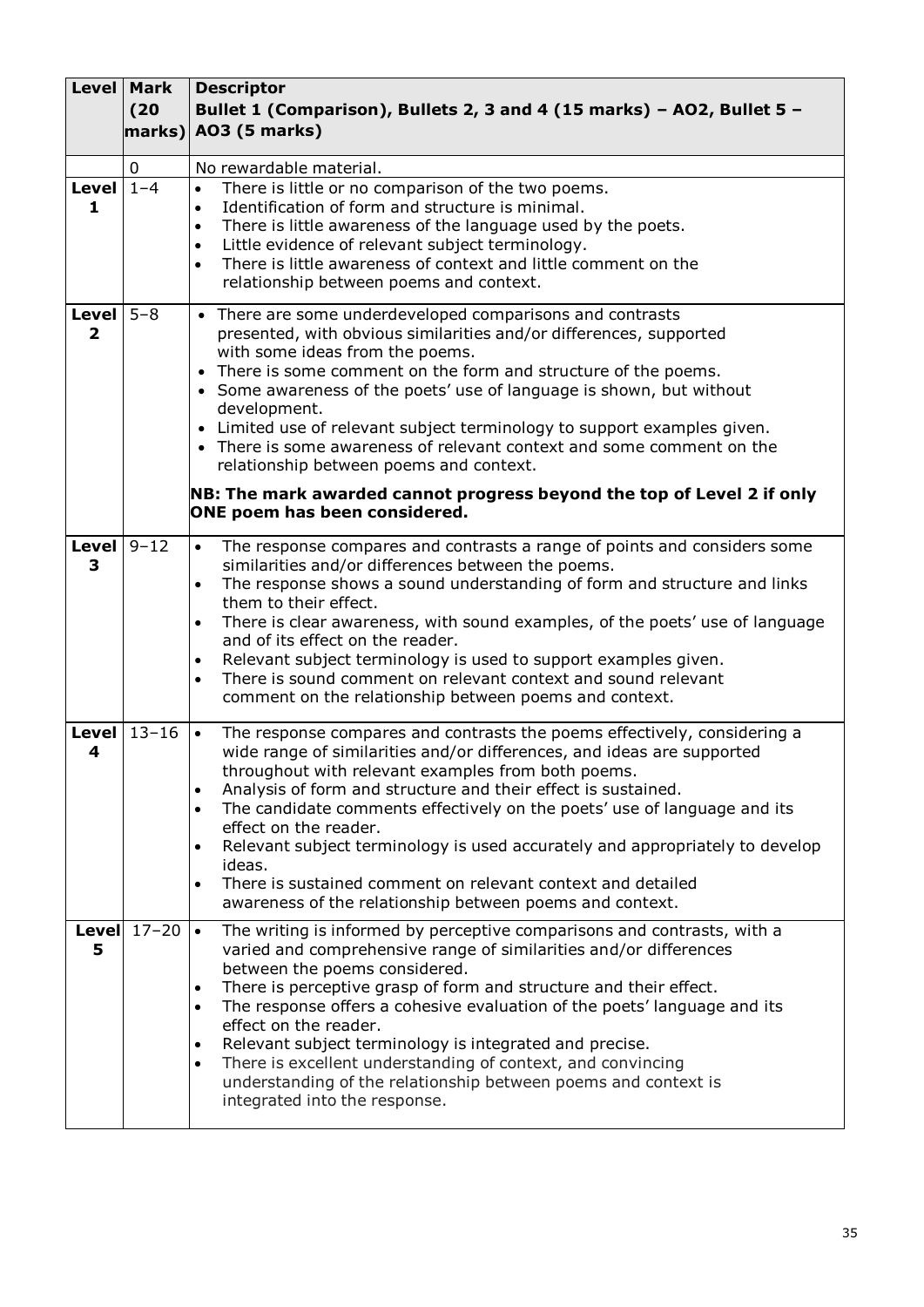|                             | <b>Level   Mark</b><br>(20) | <b>Descriptor</b><br>Bullet 1 (Comparison), Bullets 2, 3 and 4 (15 marks) - AO2, Bullet 5 -<br>$marks$ ) AO3 (5 marks)                                                                                                                                                                                                                                                                                                                                                                                                                                                                                                                                               |
|-----------------------------|-----------------------------|----------------------------------------------------------------------------------------------------------------------------------------------------------------------------------------------------------------------------------------------------------------------------------------------------------------------------------------------------------------------------------------------------------------------------------------------------------------------------------------------------------------------------------------------------------------------------------------------------------------------------------------------------------------------|
|                             | $\mathbf 0$                 | No rewardable material.                                                                                                                                                                                                                                                                                                                                                                                                                                                                                                                                                                                                                                              |
| Level $1-\overline{4}$<br>1 |                             | There is little or no comparison of the two poems.<br>$\bullet$<br>Identification of form and structure is minimal.<br>$\bullet$<br>There is little awareness of the language used by the poets.<br>$\bullet$<br>Little evidence of relevant subject terminology.<br>$\bullet$<br>There is little awareness of context and little comment on the<br>$\bullet$<br>relationship between poems and context.                                                                                                                                                                                                                                                             |
| Level<br>$\overline{2}$     | $5 - 8$                     | • There are some underdeveloped comparisons and contrasts<br>presented, with obvious similarities and/or differences, supported<br>with some ideas from the poems.<br>• There is some comment on the form and structure of the poems.<br>• Some awareness of the poets' use of language is shown, but without<br>development.<br>• Limited use of relevant subject terminology to support examples given.<br>• There is some awareness of relevant context and some comment on the<br>relationship between poems and context.<br>NB: The mark awarded cannot progress beyond the top of Level 2 if only<br>ONE poem has been considered.                             |
|                             |                             |                                                                                                                                                                                                                                                                                                                                                                                                                                                                                                                                                                                                                                                                      |
| Level $9-12$<br>3           |                             | The response compares and contrasts a range of points and considers some<br>$\bullet$<br>similarities and/or differences between the poems.<br>The response shows a sound understanding of form and structure and links<br>$\bullet$<br>them to their effect.<br>There is clear awareness, with sound examples, of the poets' use of language<br>and of its effect on the reader.<br>Relevant subject terminology is used to support examples given.<br>There is sound comment on relevant context and sound relevant<br>comment on the relationship between poems and context.                                                                                      |
| 4                           | Level $13-16$               | The response compares and contrasts the poems effectively, considering a<br>$\bullet$<br>wide range of similarities and/or differences, and ideas are supported<br>throughout with relevant examples from both poems.<br>Analysis of form and structure and their effect is sustained.<br>$\bullet$<br>The candidate comments effectively on the poets' use of language and its<br>$\bullet$<br>effect on the reader.<br>Relevant subject terminology is used accurately and appropriately to develop<br>$\bullet$<br>ideas.<br>There is sustained comment on relevant context and detailed<br>$\bullet$<br>awareness of the relationship between poems and context. |
| 5                           | Level $17-20$ $\cdot$       | The writing is informed by perceptive comparisons and contrasts, with a<br>varied and comprehensive range of similarities and/or differences<br>between the poems considered.<br>There is perceptive grasp of form and structure and their effect.<br>$\bullet$<br>The response offers a cohesive evaluation of the poets' language and its<br>$\bullet$<br>effect on the reader.<br>Relevant subject terminology is integrated and precise.<br>$\bullet$<br>There is excellent understanding of context, and convincing<br>$\bullet$<br>understanding of the relationship between poems and context is<br>integrated into the response.                             |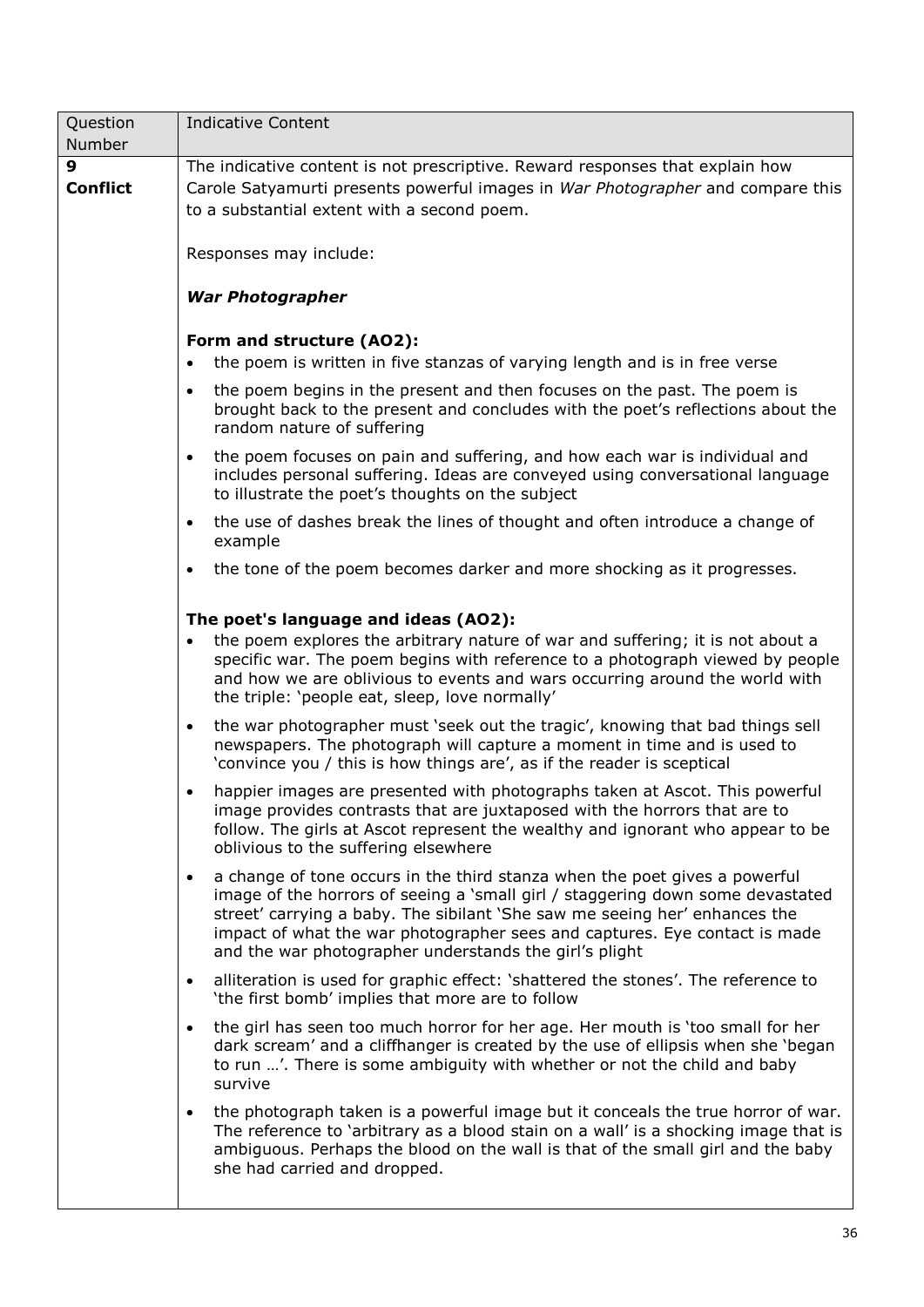| Question             | <b>Indicative Content</b>                                                                                                                                                                                                                                                                                                                                                                       |  |  |
|----------------------|-------------------------------------------------------------------------------------------------------------------------------------------------------------------------------------------------------------------------------------------------------------------------------------------------------------------------------------------------------------------------------------------------|--|--|
| Number               |                                                                                                                                                                                                                                                                                                                                                                                                 |  |  |
| 9<br><b>Conflict</b> | The indicative content is not prescriptive. Reward responses that explain how<br>Carole Satyamurti presents powerful images in War Photographer and compare this<br>to a substantial extent with a second poem.<br>Responses may include:                                                                                                                                                       |  |  |
|                      | <b>War Photographer</b>                                                                                                                                                                                                                                                                                                                                                                         |  |  |
|                      | Form and structure (AO2):<br>the poem is written in five stanzas of varying length and is in free verse                                                                                                                                                                                                                                                                                         |  |  |
|                      | the poem begins in the present and then focuses on the past. The poem is<br>$\bullet$<br>brought back to the present and concludes with the poet's reflections about the<br>random nature of suffering                                                                                                                                                                                          |  |  |
|                      | the poem focuses on pain and suffering, and how each war is individual and<br>$\bullet$<br>includes personal suffering. Ideas are conveyed using conversational language<br>to illustrate the poet's thoughts on the subject                                                                                                                                                                    |  |  |
|                      | the use of dashes break the lines of thought and often introduce a change of<br>$\bullet$<br>example                                                                                                                                                                                                                                                                                            |  |  |
|                      | the tone of the poem becomes darker and more shocking as it progresses.<br>$\bullet$                                                                                                                                                                                                                                                                                                            |  |  |
|                      | The poet's language and ideas (AO2):                                                                                                                                                                                                                                                                                                                                                            |  |  |
|                      | the poem explores the arbitrary nature of war and suffering; it is not about a<br>specific war. The poem begins with reference to a photograph viewed by people<br>and how we are oblivious to events and wars occurring around the world with<br>the triple: 'people eat, sleep, love normally'                                                                                                |  |  |
|                      | the war photographer must 'seek out the tragic', knowing that bad things sell<br>$\bullet$<br>newspapers. The photograph will capture a moment in time and is used to<br>'convince you / this is how things are', as if the reader is sceptical                                                                                                                                                 |  |  |
|                      | happier images are presented with photographs taken at Ascot. This powerful<br>$\bullet$<br>image provides contrasts that are juxtaposed with the horrors that are to<br>follow. The girls at Ascot represent the wealthy and ignorant who appear to be<br>oblivious to the suffering elsewhere                                                                                                 |  |  |
|                      | a change of tone occurs in the third stanza when the poet gives a powerful<br>$\bullet$<br>image of the horrors of seeing a 'small girl / staggering down some devastated<br>street' carrying a baby. The sibilant 'She saw me seeing her' enhances the<br>impact of what the war photographer sees and captures. Eye contact is made<br>and the war photographer understands the girl's plight |  |  |
|                      | alliteration is used for graphic effect: 'shattered the stones'. The reference to<br>$\bullet$<br>'the first bomb' implies that more are to follow                                                                                                                                                                                                                                              |  |  |
|                      | the girl has seen too much horror for her age. Her mouth is 'too small for her<br>$\bullet$<br>dark scream' and a cliffhanger is created by the use of ellipsis when she 'began<br>to run '. There is some ambiguity with whether or not the child and baby<br>survive                                                                                                                          |  |  |
|                      | the photograph taken is a powerful image but it conceals the true horror of war.<br>$\bullet$<br>The reference to 'arbitrary as a blood stain on a wall' is a shocking image that is<br>ambiguous. Perhaps the blood on the wall is that of the small girl and the baby<br>she had carried and dropped.                                                                                         |  |  |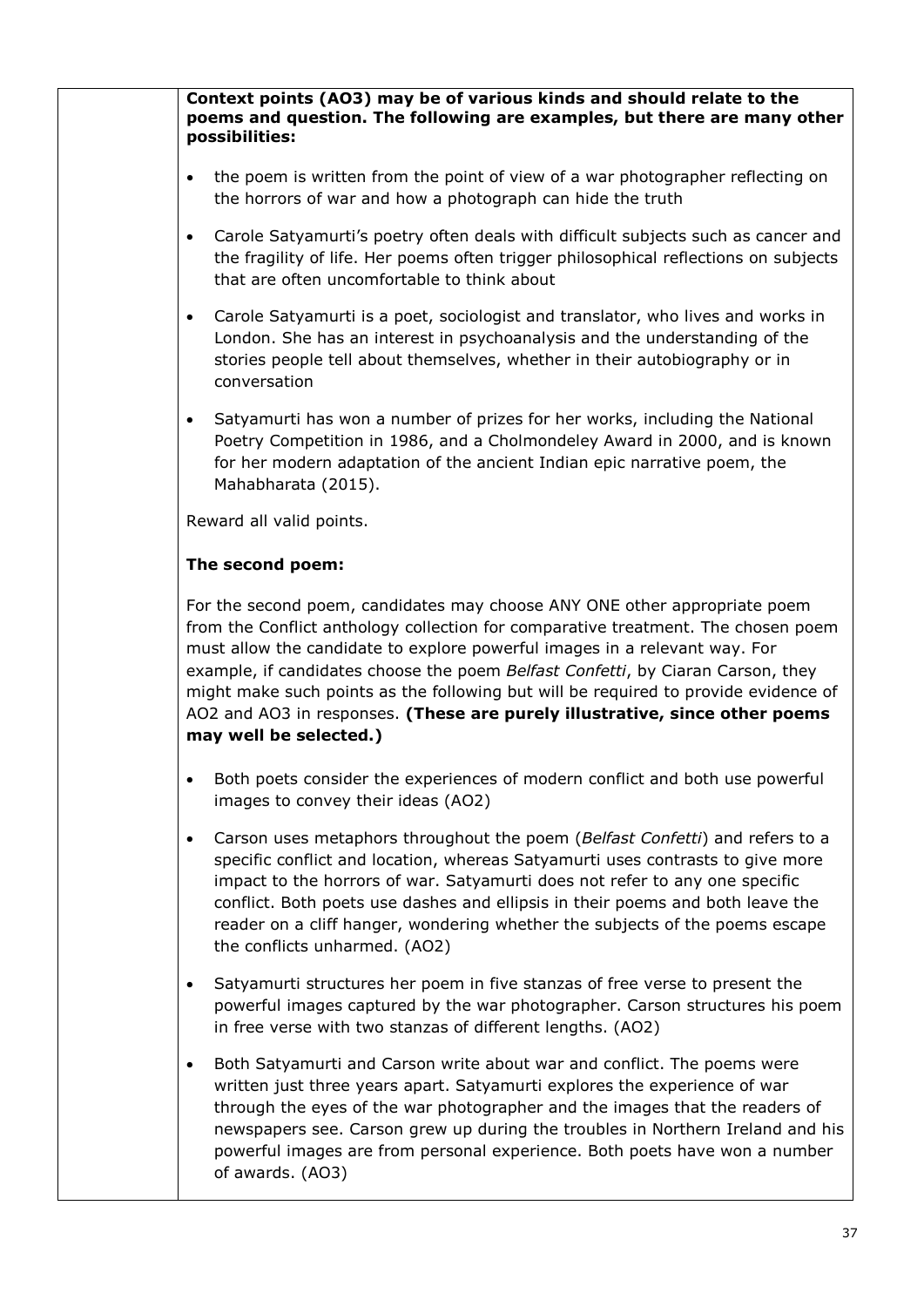| Context points (AO3) may be of various kinds and should relate to the<br>poems and question. The following are examples, but there are many other<br>possibilities:                                                                                                                                                                                                                                                                                                                                                             |
|---------------------------------------------------------------------------------------------------------------------------------------------------------------------------------------------------------------------------------------------------------------------------------------------------------------------------------------------------------------------------------------------------------------------------------------------------------------------------------------------------------------------------------|
| the poem is written from the point of view of a war photographer reflecting on<br>$\bullet$<br>the horrors of war and how a photograph can hide the truth                                                                                                                                                                                                                                                                                                                                                                       |
| Carole Satyamurti's poetry often deals with difficult subjects such as cancer and<br>$\bullet$<br>the fragility of life. Her poems often trigger philosophical reflections on subjects<br>that are often uncomfortable to think about                                                                                                                                                                                                                                                                                           |
| Carole Satyamurti is a poet, sociologist and translator, who lives and works in<br>$\bullet$<br>London. She has an interest in psychoanalysis and the understanding of the<br>stories people tell about themselves, whether in their autobiography or in<br>conversation                                                                                                                                                                                                                                                        |
| Satyamurti has won a number of prizes for her works, including the National<br>$\bullet$<br>Poetry Competition in 1986, and a Cholmondeley Award in 2000, and is known<br>for her modern adaptation of the ancient Indian epic narrative poem, the<br>Mahabharata (2015).                                                                                                                                                                                                                                                       |
| Reward all valid points.                                                                                                                                                                                                                                                                                                                                                                                                                                                                                                        |
| The second poem:                                                                                                                                                                                                                                                                                                                                                                                                                                                                                                                |
| For the second poem, candidates may choose ANY ONE other appropriate poem<br>from the Conflict anthology collection for comparative treatment. The chosen poem<br>must allow the candidate to explore powerful images in a relevant way. For<br>example, if candidates choose the poem Belfast Confetti, by Ciaran Carson, they<br>might make such points as the following but will be required to provide evidence of<br>AO2 and AO3 in responses. (These are purely illustrative, since other poems<br>may well be selected.) |
| Both poets consider the experiences of modern conflict and both use powerful<br>images to convey their ideas (AO2)                                                                                                                                                                                                                                                                                                                                                                                                              |
| Carson uses metaphors throughout the poem (Belfast Confetti) and refers to a<br>$\bullet$<br>specific conflict and location, whereas Satyamurti uses contrasts to give more<br>impact to the horrors of war. Satyamurti does not refer to any one specific<br>conflict. Both poets use dashes and ellipsis in their poems and both leave the<br>reader on a cliff hanger, wondering whether the subjects of the poems escape<br>the conflicts unharmed. (AO2)                                                                   |
| Satyamurti structures her poem in five stanzas of free verse to present the<br>powerful images captured by the war photographer. Carson structures his poem<br>in free verse with two stanzas of different lengths. (AO2)                                                                                                                                                                                                                                                                                                       |
| Both Satyamurti and Carson write about war and conflict. The poems were<br>$\bullet$<br>written just three years apart. Satyamurti explores the experience of war<br>through the eyes of the war photographer and the images that the readers of<br>newspapers see. Carson grew up during the troubles in Northern Ireland and his<br>powerful images are from personal experience. Both poets have won a number<br>of awards. (AO3)                                                                                            |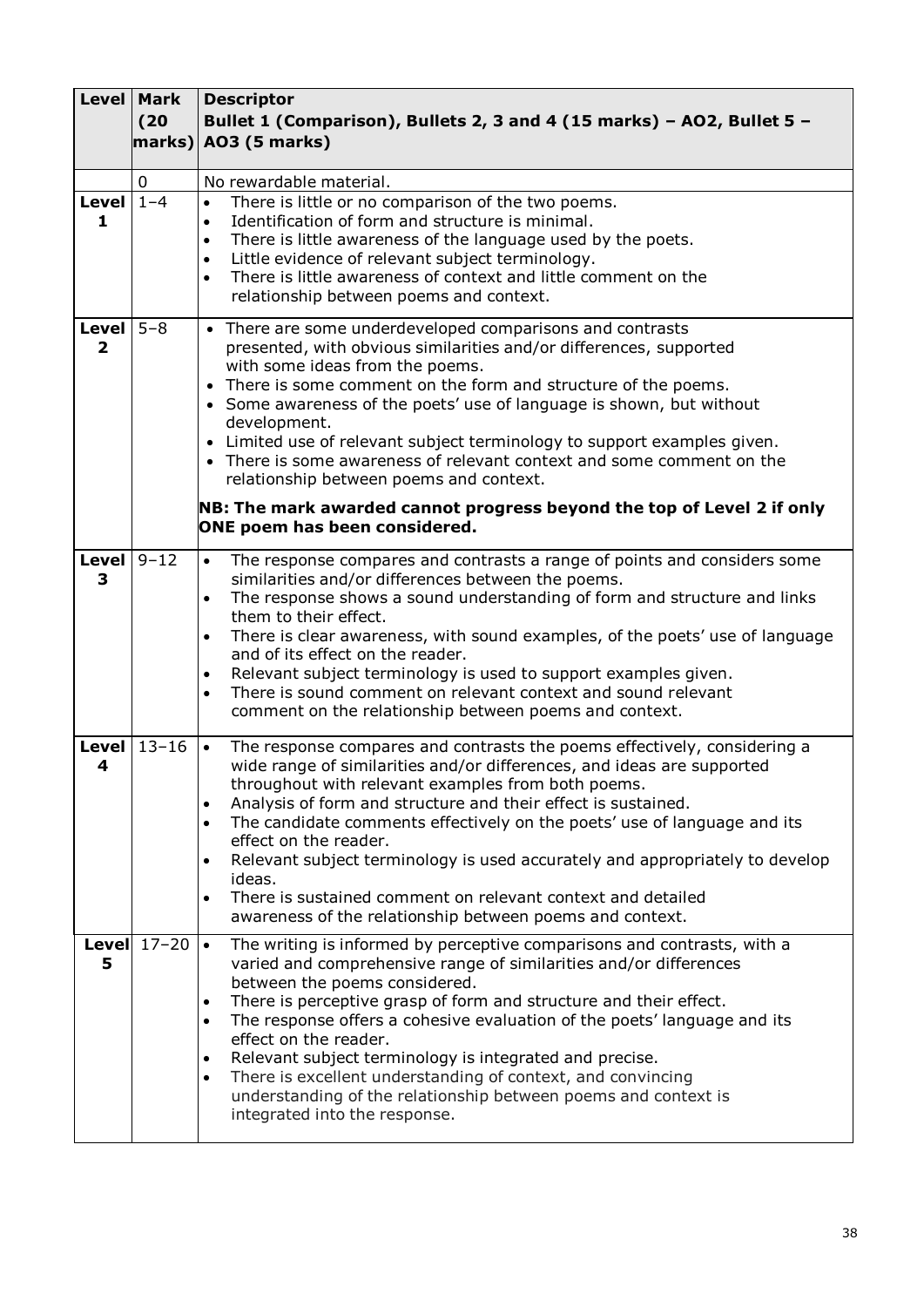|                              | <b>Level Mark</b><br>(20)<br>$ \textsf{marks}\rangle $ | <b>Descriptor</b><br>Bullet 1 (Comparison), Bullets 2, 3 and 4 (15 marks) - AO2, Bullet 5 -<br><b>AO3 (5 marks)</b>                                                                                                                                                                                                                                                                                                                                                                                                                                                                                                                                                  |
|------------------------------|--------------------------------------------------------|----------------------------------------------------------------------------------------------------------------------------------------------------------------------------------------------------------------------------------------------------------------------------------------------------------------------------------------------------------------------------------------------------------------------------------------------------------------------------------------------------------------------------------------------------------------------------------------------------------------------------------------------------------------------|
|                              | 0                                                      | No rewardable material.                                                                                                                                                                                                                                                                                                                                                                                                                                                                                                                                                                                                                                              |
| Level $1-4$<br>1             |                                                        | There is little or no comparison of the two poems.<br>$\bullet$<br>Identification of form and structure is minimal.<br>$\bullet$<br>There is little awareness of the language used by the poets.<br>$\bullet$<br>Little evidence of relevant subject terminology.<br>$\bullet$<br>There is little awareness of context and little comment on the<br>$\bullet$<br>relationship between poems and context.                                                                                                                                                                                                                                                             |
| <b>Level</b><br>$\mathbf{2}$ | $5 - 8$                                                | • There are some underdeveloped comparisons and contrasts<br>presented, with obvious similarities and/or differences, supported<br>with some ideas from the poems.<br>• There is some comment on the form and structure of the poems.<br>• Some awareness of the poets' use of language is shown, but without<br>development.<br>• Limited use of relevant subject terminology to support examples given.<br>• There is some awareness of relevant context and some comment on the<br>relationship between poems and context.<br>NB: The mark awarded cannot progress beyond the top of Level 2 if only                                                              |
|                              |                                                        | ONE poem has been considered.                                                                                                                                                                                                                                                                                                                                                                                                                                                                                                                                                                                                                                        |
| <b>Level</b><br>3            | $9 - 12$                                               | The response compares and contrasts a range of points and considers some<br>$\bullet$<br>similarities and/or differences between the poems.<br>The response shows a sound understanding of form and structure and links<br>$\bullet$<br>them to their effect.<br>There is clear awareness, with sound examples, of the poets' use of language<br>and of its effect on the reader.<br>Relevant subject terminology is used to support examples given.<br>There is sound comment on relevant context and sound relevant<br>comment on the relationship between poems and context.                                                                                      |
| Level<br>4                   | $13 - 16$                                              | The response compares and contrasts the poems effectively, considering a<br>$\bullet$<br>wide range of similarities and/or differences, and ideas are supported<br>throughout with relevant examples from both poems.<br>Analysis of form and structure and their effect is sustained.<br>$\bullet$<br>The candidate comments effectively on the poets' use of language and its<br>$\bullet$<br>effect on the reader.<br>Relevant subject terminology is used accurately and appropriately to develop<br>$\bullet$<br>ideas.<br>There is sustained comment on relevant context and detailed<br>$\bullet$<br>awareness of the relationship between poems and context. |
| 5                            | Level $17-20$                                          | $\bullet$<br>The writing is informed by perceptive comparisons and contrasts, with a<br>varied and comprehensive range of similarities and/or differences<br>between the poems considered.<br>There is perceptive grasp of form and structure and their effect.<br>$\bullet$<br>The response offers a cohesive evaluation of the poets' language and its<br>$\bullet$<br>effect on the reader.<br>Relevant subject terminology is integrated and precise.<br>$\bullet$<br>There is excellent understanding of context, and convincing<br>$\bullet$<br>understanding of the relationship between poems and context is<br>integrated into the response.                |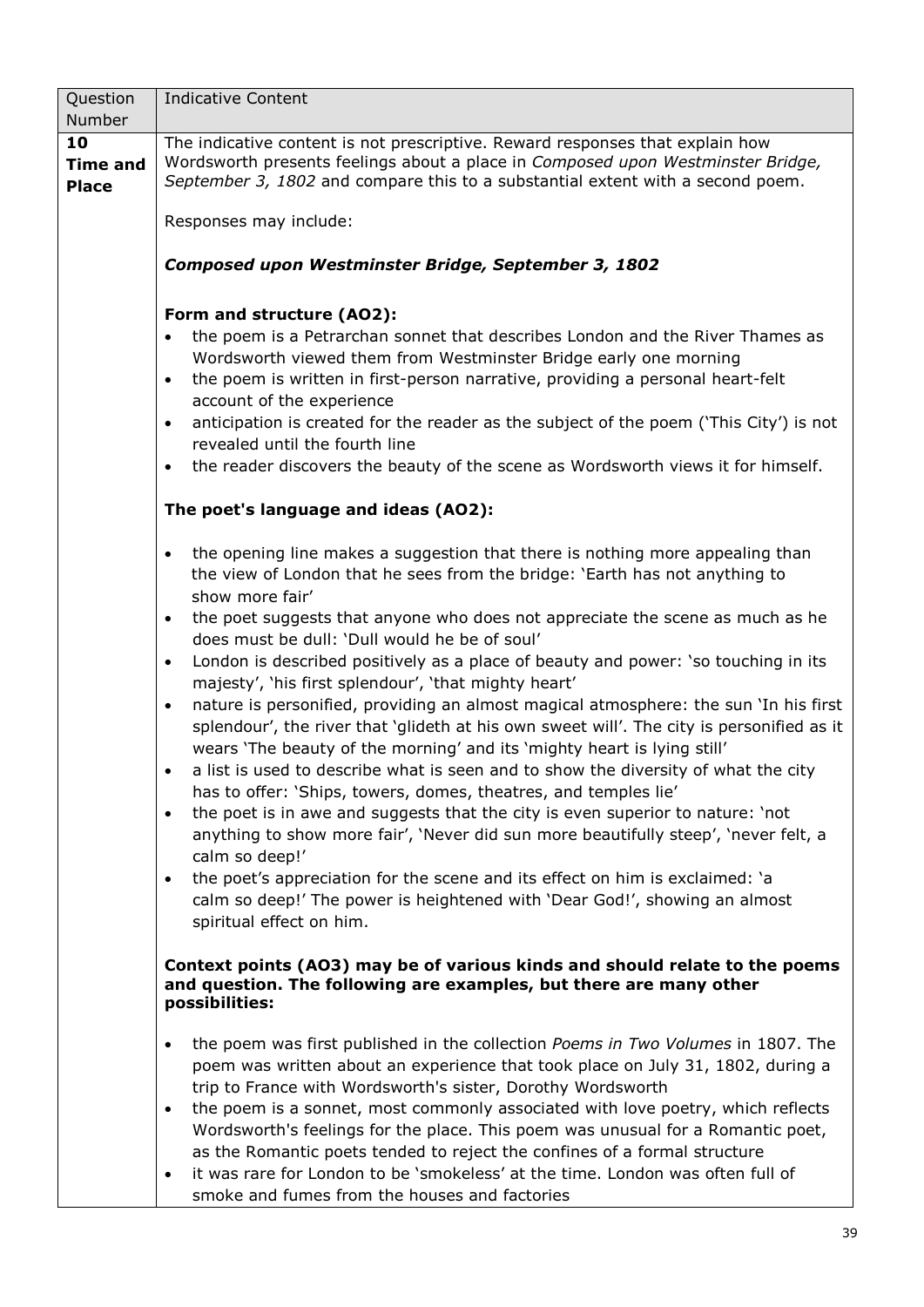| Question                              | <b>Indicative Content</b>                                                                                                                                                                                                                                                                                                                                                                                                                                                                                                                                                                                                                                                                                                                                                                                                                                                                                                                                                                                                                                                                                                                                                                                                                                                                                                                                                |
|---------------------------------------|--------------------------------------------------------------------------------------------------------------------------------------------------------------------------------------------------------------------------------------------------------------------------------------------------------------------------------------------------------------------------------------------------------------------------------------------------------------------------------------------------------------------------------------------------------------------------------------------------------------------------------------------------------------------------------------------------------------------------------------------------------------------------------------------------------------------------------------------------------------------------------------------------------------------------------------------------------------------------------------------------------------------------------------------------------------------------------------------------------------------------------------------------------------------------------------------------------------------------------------------------------------------------------------------------------------------------------------------------------------------------|
| Number                                |                                                                                                                                                                                                                                                                                                                                                                                                                                                                                                                                                                                                                                                                                                                                                                                                                                                                                                                                                                                                                                                                                                                                                                                                                                                                                                                                                                          |
| 10<br><b>Time and</b><br><b>Place</b> | The indicative content is not prescriptive. Reward responses that explain how<br>Wordsworth presents feelings about a place in Composed upon Westminster Bridge,<br>September 3, 1802 and compare this to a substantial extent with a second poem.                                                                                                                                                                                                                                                                                                                                                                                                                                                                                                                                                                                                                                                                                                                                                                                                                                                                                                                                                                                                                                                                                                                       |
|                                       | Responses may include:                                                                                                                                                                                                                                                                                                                                                                                                                                                                                                                                                                                                                                                                                                                                                                                                                                                                                                                                                                                                                                                                                                                                                                                                                                                                                                                                                   |
|                                       | Composed upon Westminster Bridge, September 3, 1802                                                                                                                                                                                                                                                                                                                                                                                                                                                                                                                                                                                                                                                                                                                                                                                                                                                                                                                                                                                                                                                                                                                                                                                                                                                                                                                      |
|                                       | Form and structure (AO2):<br>the poem is a Petrarchan sonnet that describes London and the River Thames as<br>Wordsworth viewed them from Westminster Bridge early one morning<br>the poem is written in first-person narrative, providing a personal heart-felt<br>$\bullet$<br>account of the experience<br>anticipation is created for the reader as the subject of the poem ('This City') is not<br>$\bullet$<br>revealed until the fourth line<br>the reader discovers the beauty of the scene as Wordsworth views it for himself.<br>$\bullet$                                                                                                                                                                                                                                                                                                                                                                                                                                                                                                                                                                                                                                                                                                                                                                                                                     |
|                                       | The poet's language and ideas (AO2):                                                                                                                                                                                                                                                                                                                                                                                                                                                                                                                                                                                                                                                                                                                                                                                                                                                                                                                                                                                                                                                                                                                                                                                                                                                                                                                                     |
|                                       | the opening line makes a suggestion that there is nothing more appealing than<br>$\bullet$<br>the view of London that he sees from the bridge: 'Earth has not anything to<br>show more fair'<br>the poet suggests that anyone who does not appreciate the scene as much as he<br>$\bullet$<br>does must be dull: 'Dull would he be of soul'<br>London is described positively as a place of beauty and power: 'so touching in its<br>$\bullet$<br>majesty', 'his first splendour', 'that mighty heart'<br>nature is personified, providing an almost magical atmosphere: the sun 'In his first<br>$\bullet$<br>splendour', the river that 'glideth at his own sweet will'. The city is personified as it<br>wears 'The beauty of the morning' and its 'mighty heart is lying still'<br>a list is used to describe what is seen and to show the diversity of what the city<br>$\bullet$<br>has to offer: 'Ships, towers, domes, theatres, and temples lie'<br>the poet is in awe and suggests that the city is even superior to nature: 'not<br>$\bullet$<br>anything to show more fair', 'Never did sun more beautifully steep', 'never felt, a<br>calm so deep!'<br>the poet's appreciation for the scene and its effect on him is exclaimed: 'a<br>$\bullet$<br>calm so deep!' The power is heightened with 'Dear God!', showing an almost<br>spiritual effect on him. |
|                                       | Context points (AO3) may be of various kinds and should relate to the poems<br>and question. The following are examples, but there are many other<br>possibilities:                                                                                                                                                                                                                                                                                                                                                                                                                                                                                                                                                                                                                                                                                                                                                                                                                                                                                                                                                                                                                                                                                                                                                                                                      |
|                                       | the poem was first published in the collection Poems in Two Volumes in 1807. The<br>$\bullet$<br>poem was written about an experience that took place on July 31, 1802, during a<br>trip to France with Wordsworth's sister, Dorothy Wordsworth<br>the poem is a sonnet, most commonly associated with love poetry, which reflects<br>$\bullet$<br>Wordsworth's feelings for the place. This poem was unusual for a Romantic poet,<br>as the Romantic poets tended to reject the confines of a formal structure<br>it was rare for London to be 'smokeless' at the time. London was often full of<br>$\bullet$<br>smoke and fumes from the houses and factories                                                                                                                                                                                                                                                                                                                                                                                                                                                                                                                                                                                                                                                                                                          |
|                                       | 39                                                                                                                                                                                                                                                                                                                                                                                                                                                                                                                                                                                                                                                                                                                                                                                                                                                                                                                                                                                                                                                                                                                                                                                                                                                                                                                                                                       |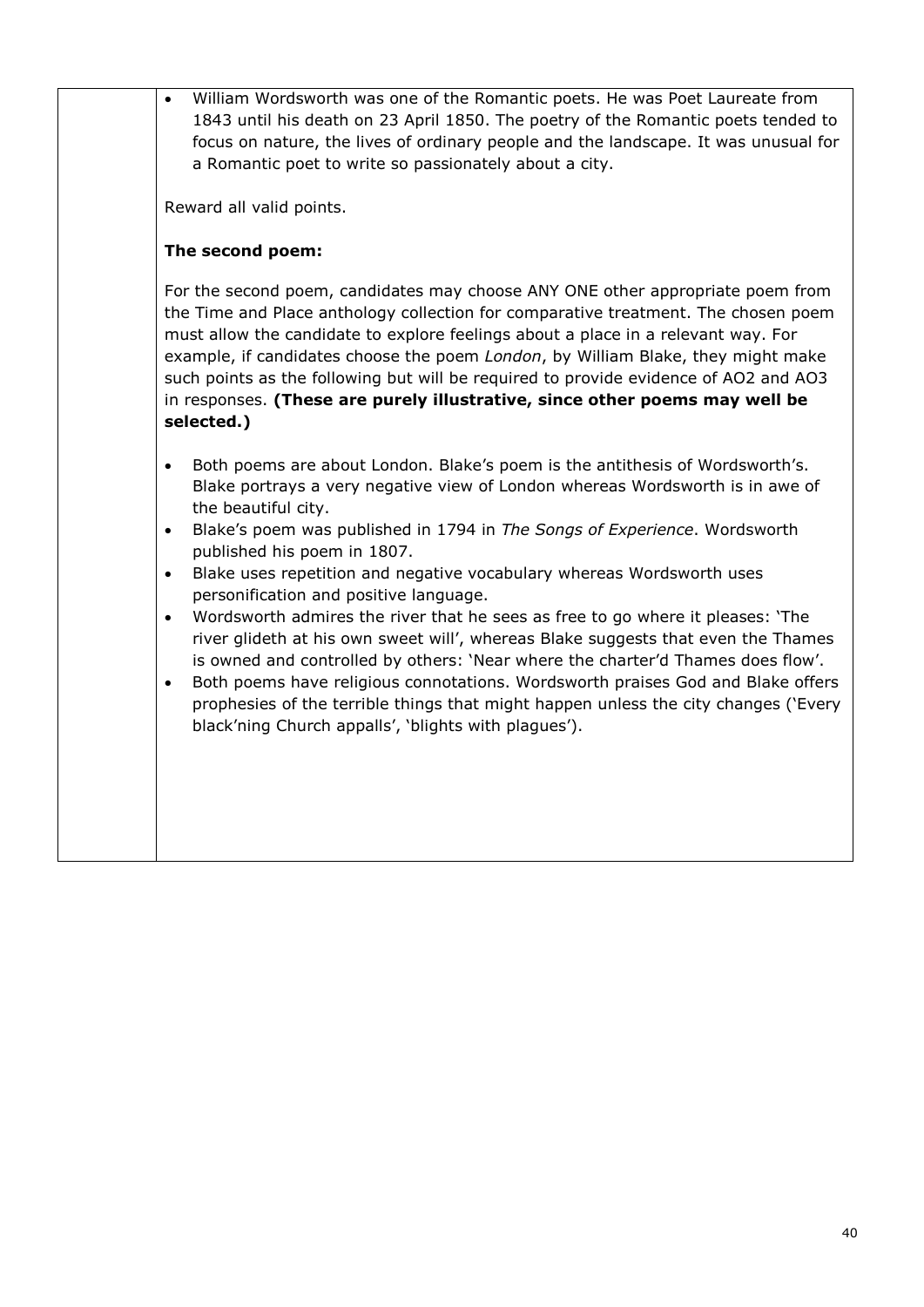• William Wordsworth was one of the Romantic poets. He was Poet Laureate from 1843 until his death on 23 April 1850. The poetry of the Romantic poets tended to focus on nature, the lives of ordinary people and the landscape. It was unusual for a Romantic poet to write so passionately about a city.

Reward all valid points.

#### **The second poem:**

For the second poem, candidates may choose ANY ONE other appropriate poem from the Time and Place anthology collection for comparative treatment. The chosen poem must allow the candidate to explore feelings about a place in a relevant way. For example, if candidates choose the poem *London*, by William Blake, they might make such points as the following but will be required to provide evidence of AO2 and AO3 in responses. **(These are purely illustrative, since other poems may well be selected.)**

- Both poems are about London. Blake's poem is the antithesis of Wordsworth's. Blake portrays a very negative view of London whereas Wordsworth is in awe of the beautiful city.
- Blake's poem was published in 1794 in *The Songs of Experience*. Wordsworth published his poem in 1807.
- Blake uses repetition and negative vocabulary whereas Wordsworth uses personification and positive language.
- Wordsworth admires the river that he sees as free to go where it pleases: 'The river glideth at his own sweet will', whereas Blake suggests that even the Thames is owned and controlled by others: 'Near where the charter'd Thames does flow'.
- Both poems have religious connotations. Wordsworth praises God and Blake offers prophesies of the terrible things that might happen unless the city changes ('Every black'ning Church appalls', 'blights with plagues').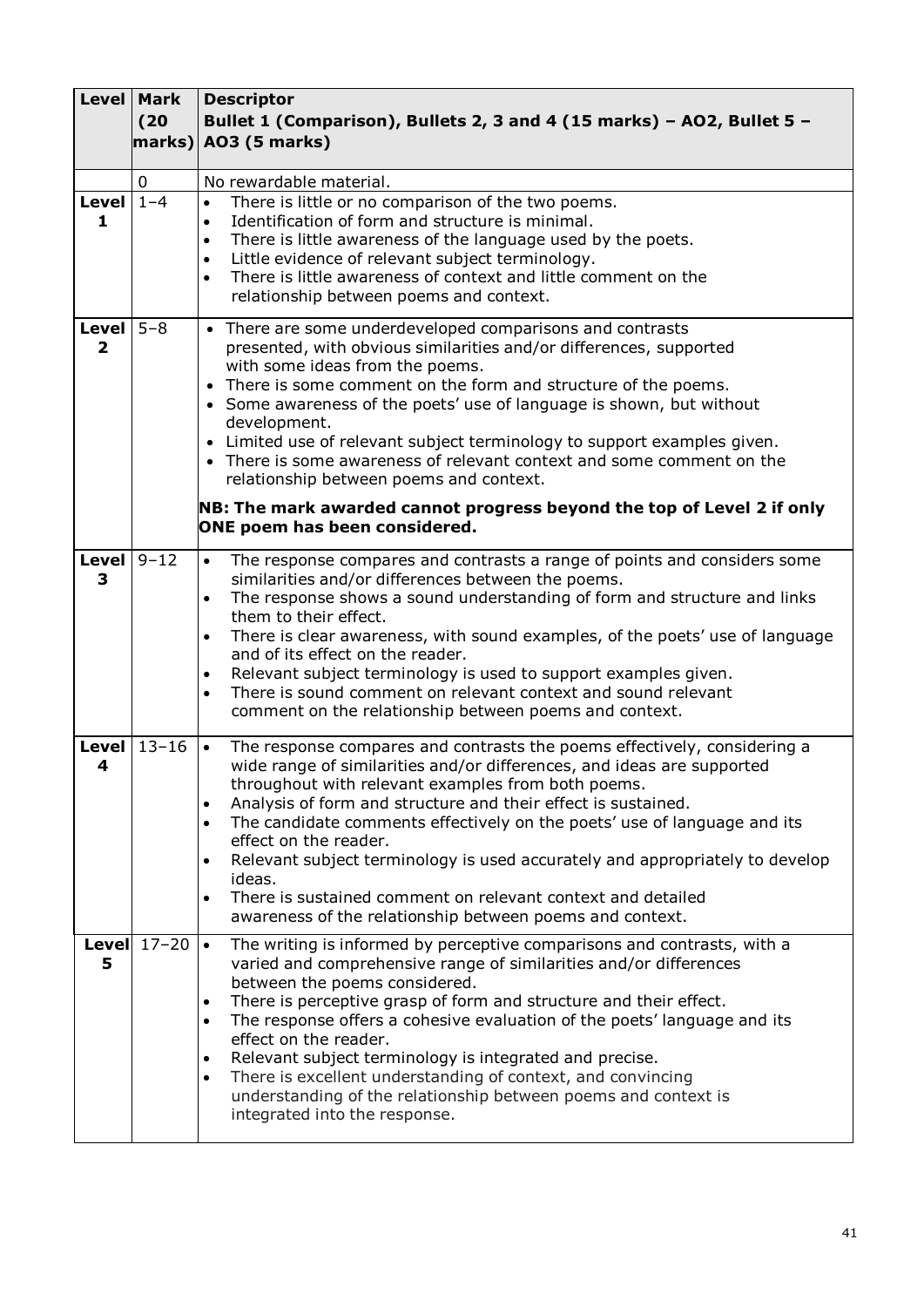|                              | <b>Level Mark</b><br>(20)<br>$ \textsf{marks}\rangle $ | <b>Descriptor</b><br>Bullet 1 (Comparison), Bullets 2, 3 and 4 (15 marks) - AO2, Bullet 5 -<br><b>AO3 (5 marks)</b>                                                                                                                                                                                                                                                                                                                                                                                                                                                                                                                                                  |
|------------------------------|--------------------------------------------------------|----------------------------------------------------------------------------------------------------------------------------------------------------------------------------------------------------------------------------------------------------------------------------------------------------------------------------------------------------------------------------------------------------------------------------------------------------------------------------------------------------------------------------------------------------------------------------------------------------------------------------------------------------------------------|
|                              | 0                                                      | No rewardable material.                                                                                                                                                                                                                                                                                                                                                                                                                                                                                                                                                                                                                                              |
| Level $1-4$<br>1             |                                                        | There is little or no comparison of the two poems.<br>$\bullet$<br>Identification of form and structure is minimal.<br>$\bullet$<br>There is little awareness of the language used by the poets.<br>$\bullet$<br>Little evidence of relevant subject terminology.<br>$\bullet$<br>There is little awareness of context and little comment on the<br>$\bullet$<br>relationship between poems and context.                                                                                                                                                                                                                                                             |
| <b>Level</b><br>$\mathbf{2}$ | $5 - 8$                                                | • There are some underdeveloped comparisons and contrasts<br>presented, with obvious similarities and/or differences, supported<br>with some ideas from the poems.<br>• There is some comment on the form and structure of the poems.<br>• Some awareness of the poets' use of language is shown, but without<br>development.<br>• Limited use of relevant subject terminology to support examples given.<br>• There is some awareness of relevant context and some comment on the<br>relationship between poems and context.<br>NB: The mark awarded cannot progress beyond the top of Level 2 if only                                                              |
|                              |                                                        | ONE poem has been considered.                                                                                                                                                                                                                                                                                                                                                                                                                                                                                                                                                                                                                                        |
| <b>Level</b><br>3            | $9 - 12$                                               | The response compares and contrasts a range of points and considers some<br>$\bullet$<br>similarities and/or differences between the poems.<br>The response shows a sound understanding of form and structure and links<br>$\bullet$<br>them to their effect.<br>There is clear awareness, with sound examples, of the poets' use of language<br>and of its effect on the reader.<br>Relevant subject terminology is used to support examples given.<br>There is sound comment on relevant context and sound relevant<br>comment on the relationship between poems and context.                                                                                      |
| Level<br>4                   | $13 - 16$                                              | The response compares and contrasts the poems effectively, considering a<br>$\bullet$<br>wide range of similarities and/or differences, and ideas are supported<br>throughout with relevant examples from both poems.<br>Analysis of form and structure and their effect is sustained.<br>$\bullet$<br>The candidate comments effectively on the poets' use of language and its<br>$\bullet$<br>effect on the reader.<br>Relevant subject terminology is used accurately and appropriately to develop<br>$\bullet$<br>ideas.<br>There is sustained comment on relevant context and detailed<br>$\bullet$<br>awareness of the relationship between poems and context. |
| 5                            | Level $17-20$                                          | $\bullet$<br>The writing is informed by perceptive comparisons and contrasts, with a<br>varied and comprehensive range of similarities and/or differences<br>between the poems considered.<br>There is perceptive grasp of form and structure and their effect.<br>$\bullet$<br>The response offers a cohesive evaluation of the poets' language and its<br>$\bullet$<br>effect on the reader.<br>Relevant subject terminology is integrated and precise.<br>$\bullet$<br>There is excellent understanding of context, and convincing<br>$\bullet$<br>understanding of the relationship between poems and context is<br>integrated into the response.                |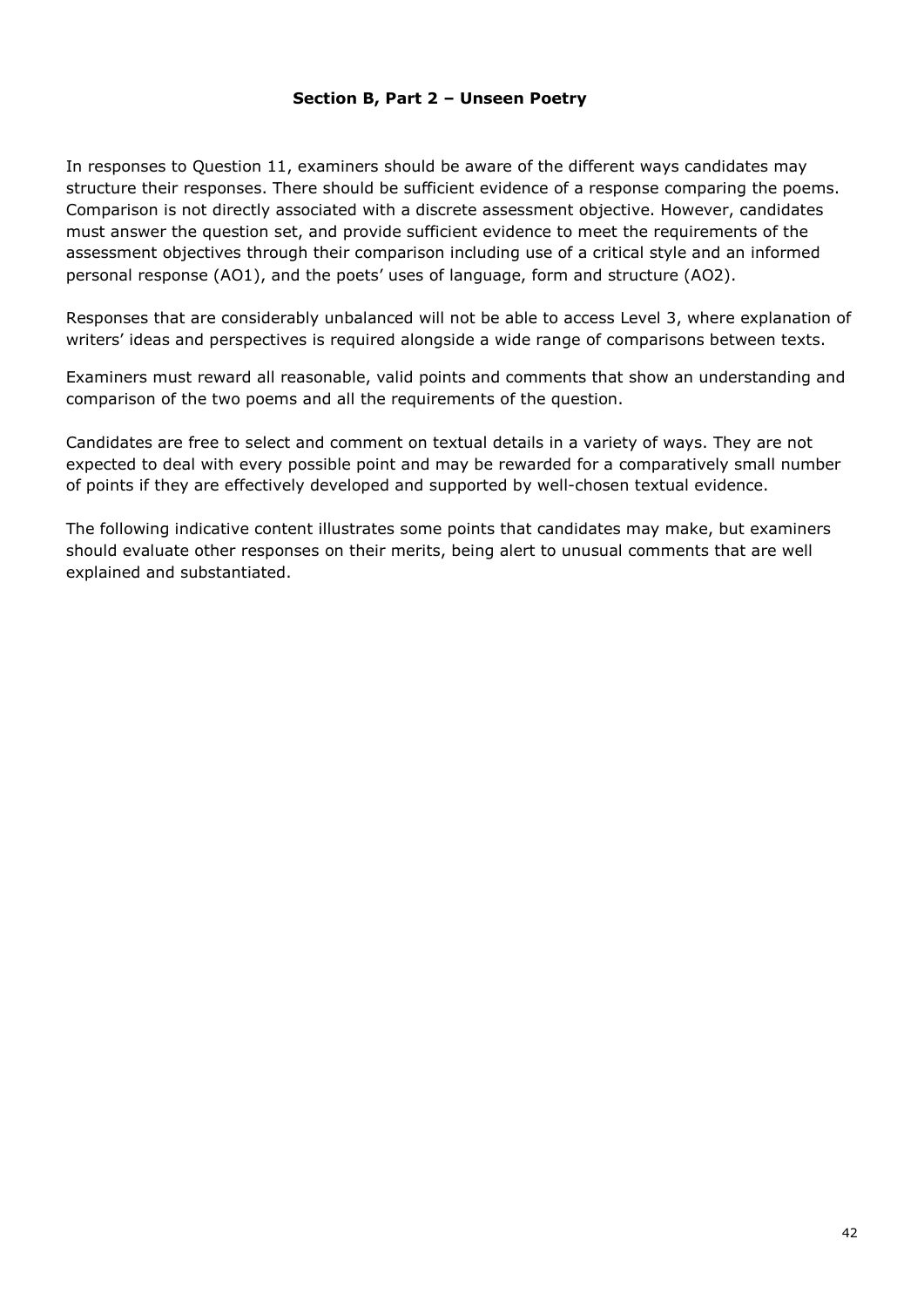#### **Section B, Part 2 – Unseen Poetry**

In responses to Question 11, examiners should be aware of the different ways candidates may structure their responses. There should be sufficient evidence of a response comparing the poems. Comparison is not directly associated with a discrete assessment objective. However, candidates must answer the question set, and provide sufficient evidence to meet the requirements of the assessment objectives through their comparison including use of a critical style and an informed personal response (AO1), and the poets' uses of language, form and structure (AO2).

Responses that are considerably unbalanced will not be able to access Level 3, where explanation of writers' ideas and perspectives is required alongside a wide range of comparisons between texts.

Examiners must reward all reasonable, valid points and comments that show an understanding and comparison of the two poems and all the requirements of the question.

Candidates are free to select and comment on textual details in a variety of ways. They are not expected to deal with every possible point and may be rewarded for a comparatively small number of points if they are effectively developed and supported by well-chosen textual evidence.

The following indicative content illustrates some points that candidates may make, but examiners should evaluate other responses on their merits, being alert to unusual comments that are well explained and substantiated.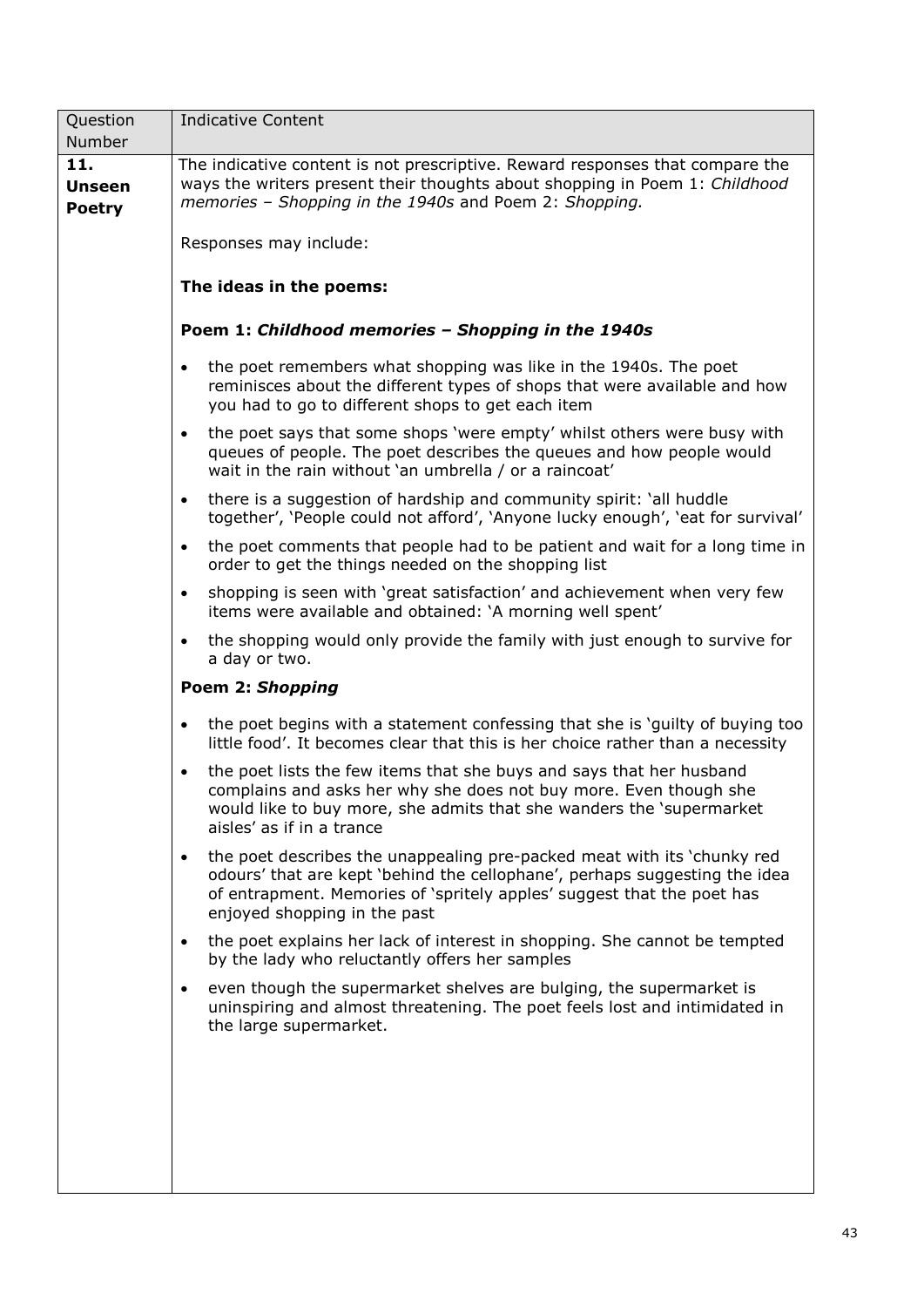| Question                              | <b>Indicative Content</b>                                                                                                                                                                                                                                                    |
|---------------------------------------|------------------------------------------------------------------------------------------------------------------------------------------------------------------------------------------------------------------------------------------------------------------------------|
| Number                                |                                                                                                                                                                                                                                                                              |
| 11.<br><b>Unseen</b><br><b>Poetry</b> | The indicative content is not prescriptive. Reward responses that compare the<br>ways the writers present their thoughts about shopping in Poem 1: Childhood<br>memories - Shopping in the 1940s and Poem 2: Shopping.                                                       |
|                                       | Responses may include:                                                                                                                                                                                                                                                       |
|                                       | The ideas in the poems:                                                                                                                                                                                                                                                      |
|                                       | Poem 1: Childhood memories - Shopping in the 1940s                                                                                                                                                                                                                           |
|                                       | the poet remembers what shopping was like in the 1940s. The poet<br>$\bullet$<br>reminisces about the different types of shops that were available and how<br>you had to go to different shops to get each item                                                              |
|                                       | the poet says that some shops 'were empty' whilst others were busy with<br>$\bullet$<br>queues of people. The poet describes the queues and how people would<br>wait in the rain without 'an umbrella / or a raincoat'                                                       |
|                                       | there is a suggestion of hardship and community spirit: 'all huddle<br>$\bullet$<br>together', 'People could not afford', 'Anyone lucky enough', 'eat for survival'                                                                                                          |
|                                       | the poet comments that people had to be patient and wait for a long time in<br>$\bullet$<br>order to get the things needed on the shopping list                                                                                                                              |
|                                       | shopping is seen with 'great satisfaction' and achievement when very few<br>$\bullet$<br>items were available and obtained: 'A morning well spent'                                                                                                                           |
|                                       | the shopping would only provide the family with just enough to survive for<br>$\bullet$<br>a day or two.                                                                                                                                                                     |
|                                       | Poem 2: Shopping                                                                                                                                                                                                                                                             |
|                                       | the poet begins with a statement confessing that she is 'guilty of buying too<br>$\bullet$<br>little food'. It becomes clear that this is her choice rather than a necessity                                                                                                 |
|                                       | the poet lists the few items that she buys and says that her husband<br>$\bullet$<br>complains and asks her why she does not buy more. Even though she<br>would like to buy more, she admits that she wanders the 'supermarket<br>aisles' as if in a trance                  |
|                                       | the poet describes the unappealing pre-packed meat with its 'chunky red<br>$\bullet$<br>odours' that are kept 'behind the cellophane', perhaps suggesting the idea<br>of entrapment. Memories of 'spritely apples' suggest that the poet has<br>enjoyed shopping in the past |
|                                       | the poet explains her lack of interest in shopping. She cannot be tempted<br>$\bullet$<br>by the lady who reluctantly offers her samples                                                                                                                                     |
|                                       | even though the supermarket shelves are bulging, the supermarket is<br>$\bullet$<br>uninspiring and almost threatening. The poet feels lost and intimidated in<br>the large supermarket.                                                                                     |
|                                       |                                                                                                                                                                                                                                                                              |
|                                       |                                                                                                                                                                                                                                                                              |
|                                       |                                                                                                                                                                                                                                                                              |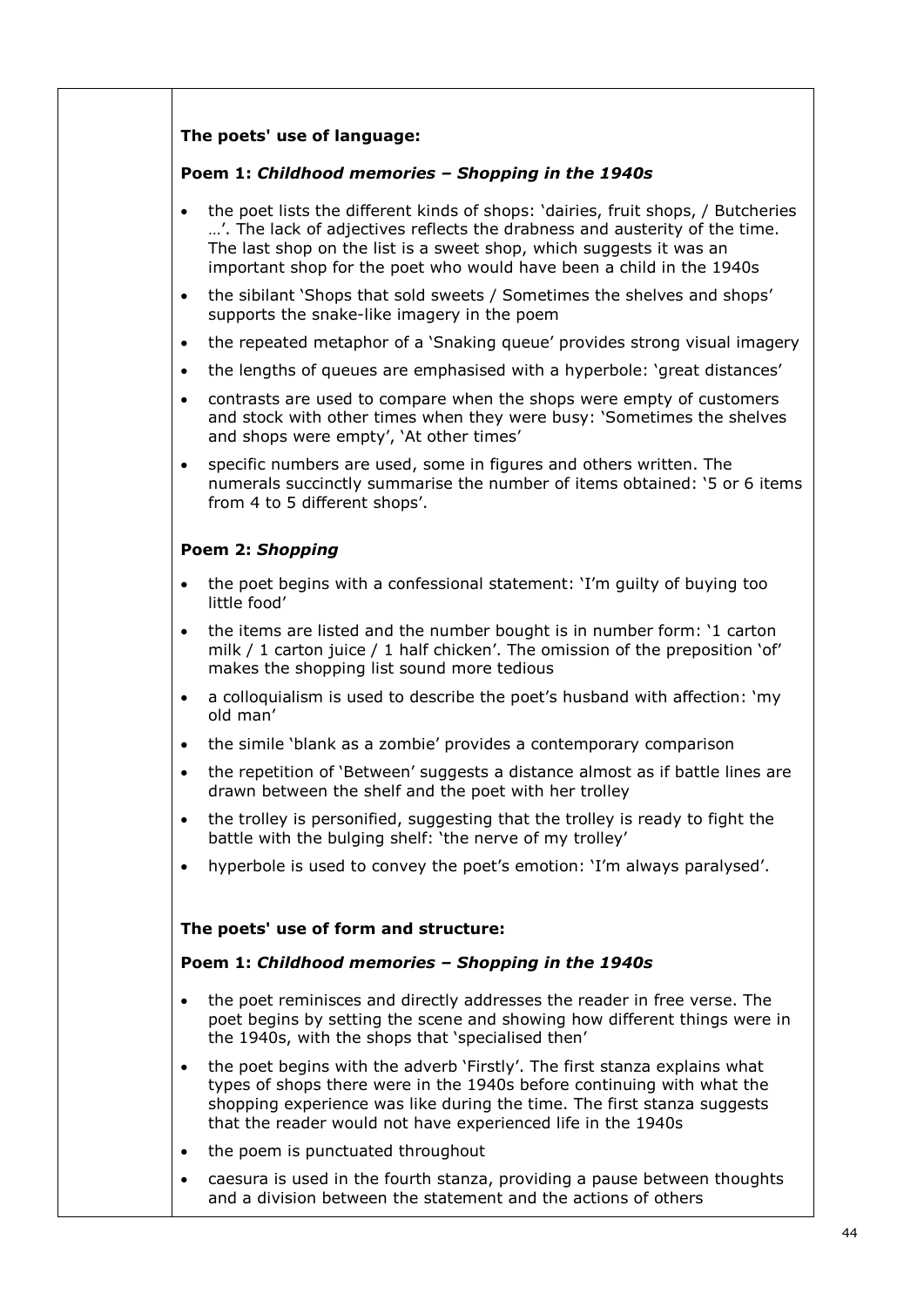#### **The poets' use of language:**

#### **Poem 1:** *Childhood memories – Shopping in the 1940s*

- the poet lists the different kinds of shops: 'dairies, fruit shops, / Butcheries …'. The lack of adjectives reflects the drabness and austerity of the time. The last shop on the list is a sweet shop, which suggests it was an important shop for the poet who would have been a child in the 1940s
- the sibilant 'Shops that sold sweets / Sometimes the shelves and shops' supports the snake-like imagery in the poem
- the repeated metaphor of a 'Snaking queue' provides strong visual imagery
- the lengths of queues are emphasised with a hyperbole: 'great distances'
- contrasts are used to compare when the shops were empty of customers and stock with other times when they were busy: 'Sometimes the shelves and shops were empty', 'At other times'
- specific numbers are used, some in figures and others written. The numerals succinctly summarise the number of items obtained: '5 or 6 items from 4 to 5 different shops'.

#### **Poem 2:** *Shopping*

- the poet begins with a confessional statement: 'I'm guilty of buying too little food'
- the items are listed and the number bought is in number form: '1 carton milk / 1 carton juice / 1 half chicken'. The omission of the preposition 'of' makes the shopping list sound more tedious
- a colloquialism is used to describe the poet's husband with affection: 'my old man'
- the simile 'blank as a zombie' provides a contemporary comparison
- the repetition of 'Between' suggests a distance almost as if battle lines are drawn between the shelf and the poet with her trolley
- the trolley is personified, suggesting that the trolley is ready to fight the battle with the bulging shelf: 'the nerve of my trolley'
- hyperbole is used to convey the poet's emotion: 'I'm always paralysed'.

#### **The poets' use of form and structure:**

#### **Poem 1:** *Childhood memories – Shopping in the 1940s*

- the poet reminisces and directly addresses the reader in free verse. The poet begins by setting the scene and showing how different things were in the 1940s, with the shops that 'specialised then'
- the poet begins with the adverb 'Firstly'. The first stanza explains what types of shops there were in the 1940s before continuing with what the shopping experience was like during the time. The first stanza suggests that the reader would not have experienced life in the 1940s
- the poem is punctuated throughout
- caesura is used in the fourth stanza, providing a pause between thoughts and a division between the statement and the actions of others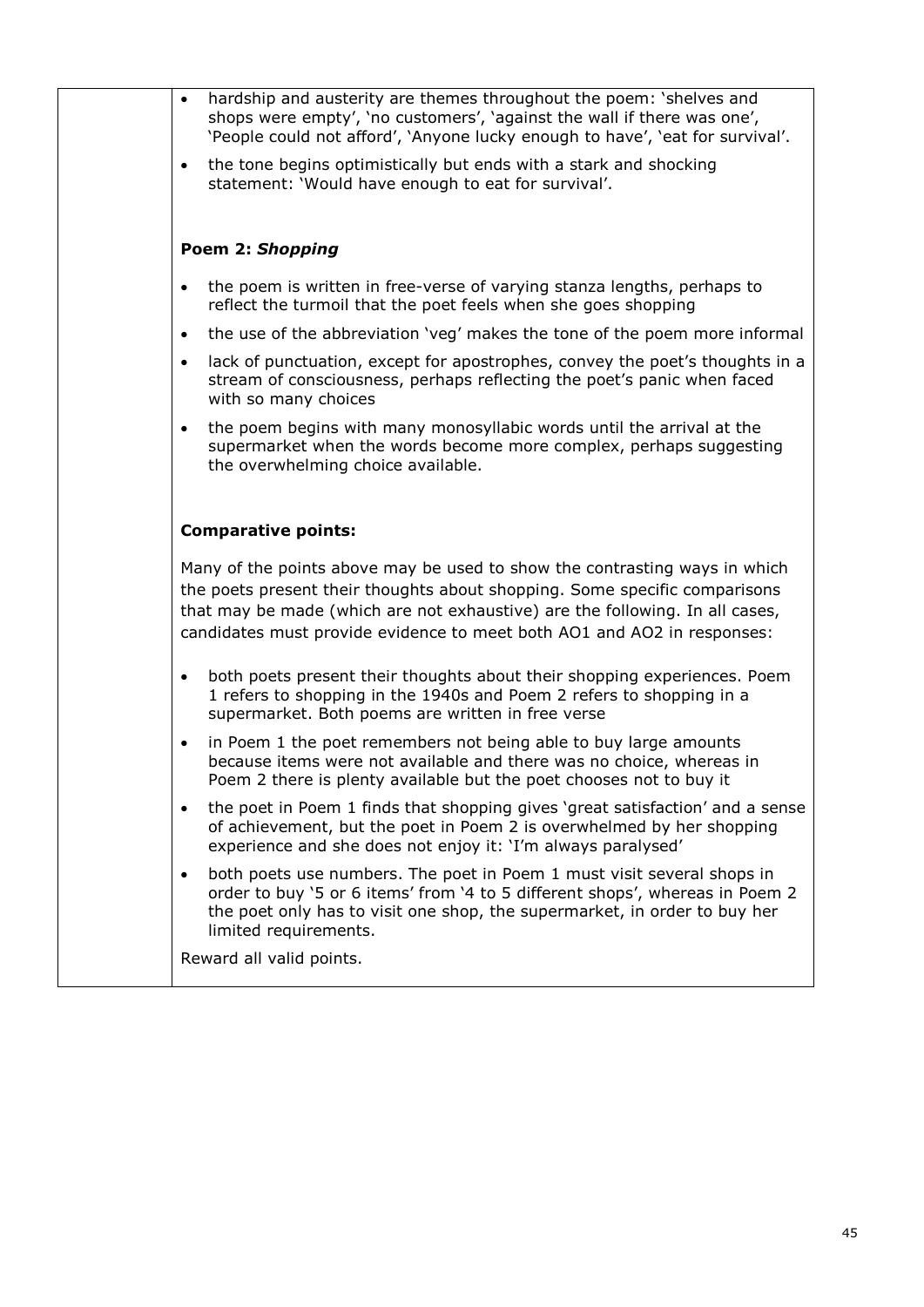|  | hardship and austerity are themes throughout the poem: 'shelves and<br>shops were empty', 'no customers', 'against the wall if there was one',<br>'People could not afford', 'Anyone lucky enough to have', 'eat for survival'.                                                                                     |
|--|---------------------------------------------------------------------------------------------------------------------------------------------------------------------------------------------------------------------------------------------------------------------------------------------------------------------|
|  | the tone begins optimistically but ends with a stark and shocking<br>$\bullet$<br>statement: 'Would have enough to eat for survival'.                                                                                                                                                                               |
|  |                                                                                                                                                                                                                                                                                                                     |
|  | Poem 2: Shopping                                                                                                                                                                                                                                                                                                    |
|  | the poem is written in free-verse of varying stanza lengths, perhaps to<br>$\bullet$<br>reflect the turmoil that the poet feels when she goes shopping                                                                                                                                                              |
|  | the use of the abbreviation 'veg' makes the tone of the poem more informal<br>$\bullet$                                                                                                                                                                                                                             |
|  | lack of punctuation, except for apostrophes, convey the poet's thoughts in a<br>$\bullet$<br>stream of consciousness, perhaps reflecting the poet's panic when faced<br>with so many choices                                                                                                                        |
|  | the poem begins with many monosyllabic words until the arrival at the<br>supermarket when the words become more complex, perhaps suggesting<br>the overwhelming choice available.                                                                                                                                   |
|  | <b>Comparative points:</b>                                                                                                                                                                                                                                                                                          |
|  | Many of the points above may be used to show the contrasting ways in which<br>the poets present their thoughts about shopping. Some specific comparisons<br>that may be made (which are not exhaustive) are the following. In all cases,<br>candidates must provide evidence to meet both AO1 and AO2 in responses: |
|  | both poets present their thoughts about their shopping experiences. Poem<br>$\bullet$<br>1 refers to shopping in the 1940s and Poem 2 refers to shopping in a<br>supermarket. Both poems are written in free verse                                                                                                  |
|  | in Poem 1 the poet remembers not being able to buy large amounts<br>$\bullet$<br>because items were not available and there was no choice, whereas in<br>Poem 2 there is plenty available but the poet chooses not to buy it                                                                                        |
|  | the poet in Poem 1 finds that shopping gives 'great satisfaction' and a sense<br>$\bullet$<br>of achievement, but the poet in Poem 2 is overwhelmed by her shopping<br>experience and she does not enjoy it: 'I'm always paralysed'                                                                                 |
|  | both poets use numbers. The poet in Poem 1 must visit several shops in<br>$\bullet$<br>order to buy '5 or 6 items' from '4 to 5 different shops', whereas in Poem 2<br>the poet only has to visit one shop, the supermarket, in order to buy her<br>limited requirements.                                           |
|  | Reward all valid points.                                                                                                                                                                                                                                                                                            |
|  |                                                                                                                                                                                                                                                                                                                     |